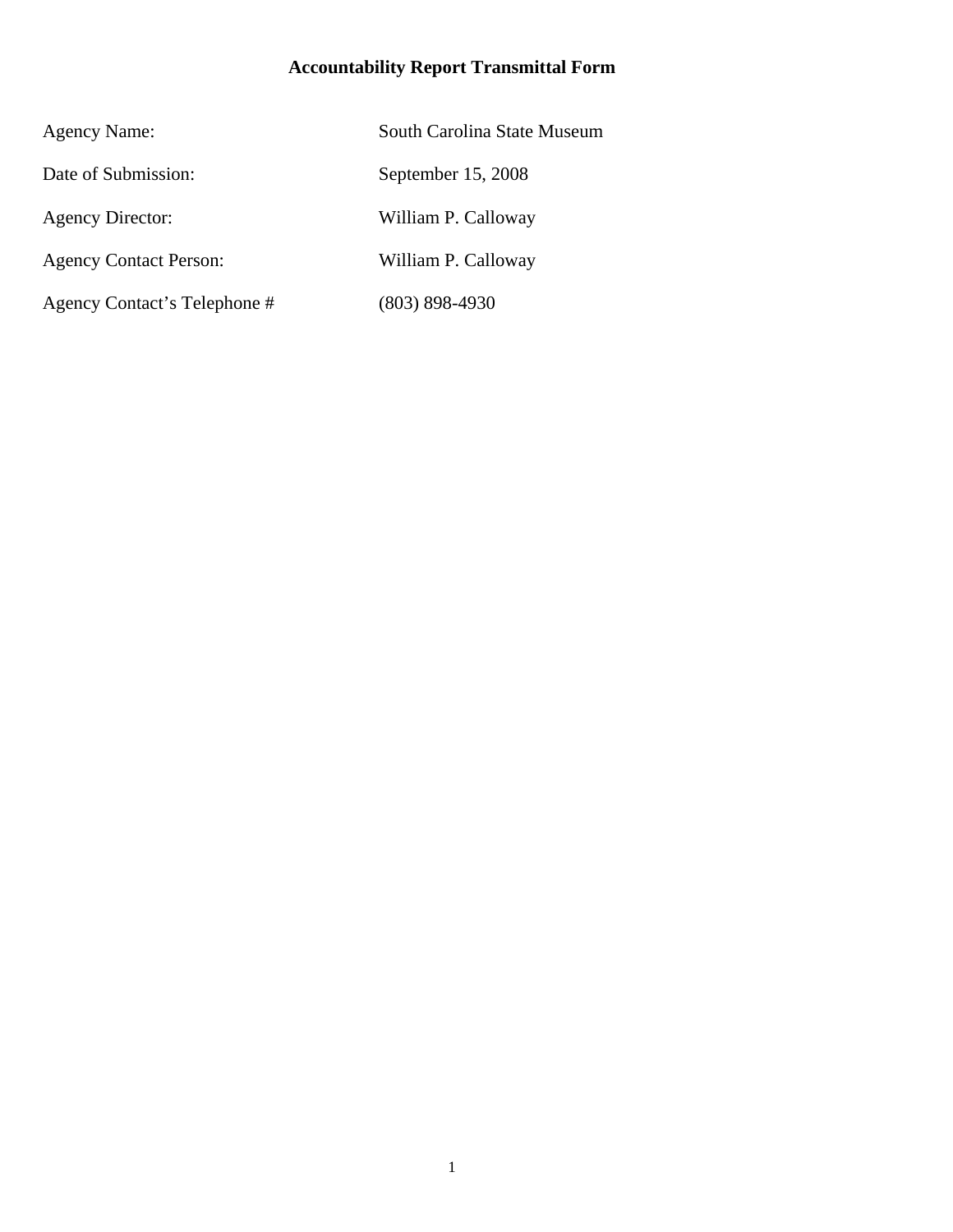# **Accountability Report Transmittal Form**

| <b>Agency Name:</b>           | South Carolina State Museum |
|-------------------------------|-----------------------------|
| Date of Submission:           | September 15, 2008          |
| <b>Agency Director:</b>       | William P. Calloway         |
| <b>Agency Contact Person:</b> | William P. Calloway         |
| Agency Contact's Telephone #  | $(803) 898 - 4930$          |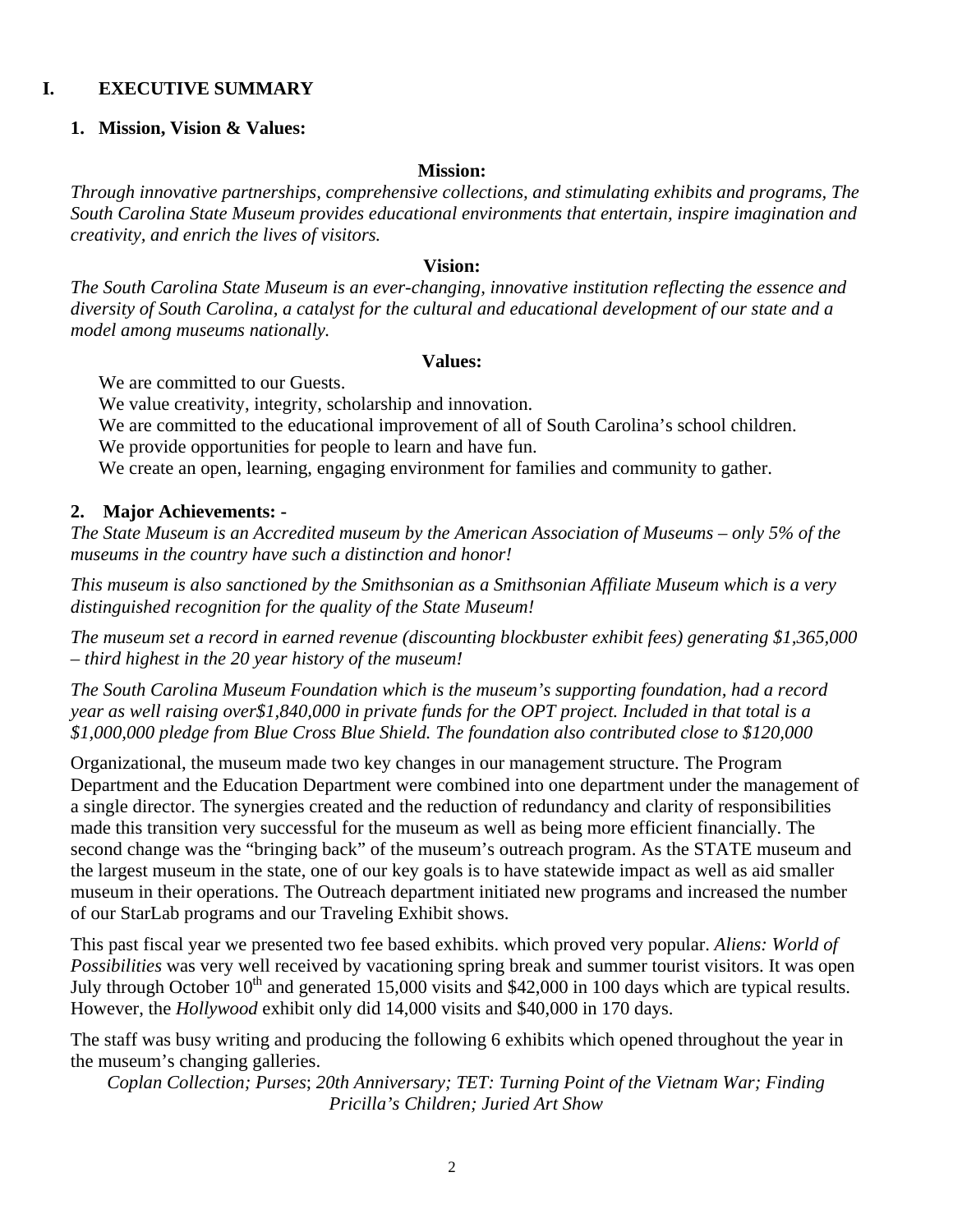### **I. EXECUTIVE SUMMARY**

#### **1. Mission, Vision & Values:**

#### **Mission:**

*Through innovative partnerships, comprehensive collections, and stimulating exhibits and programs, The South Carolina State Museum provides educational environments that entertain, inspire imagination and creativity, and enrich the lives of visitors.* 

#### **Vision:**

*The South Carolina State Museum is an ever-changing, innovative institution reflecting the essence and diversity of South Carolina, a catalyst for the cultural and educational development of our state and a model among museums nationally.* 

#### **Values:**

We are committed to our Guests.

We value creativity, integrity, scholarship and innovation.

We are committed to the educational improvement of all of South Carolina's school children.

We provide opportunities for people to learn and have fun.

We create an open, learning, engaging environment for families and community to gather.

#### **2. Major Achievements: -**

*The State Museum is an Accredited museum by the American Association of Museums – only 5% of the museums in the country have such a distinction and honor!* 

*This museum is also sanctioned by the Smithsonian as a Smithsonian Affiliate Museum which is a very distinguished recognition for the quality of the State Museum!* 

*The museum set a record in earned revenue (discounting blockbuster exhibit fees) generating \$1,365,000 – third highest in the 20 year history of the museum!* 

*The South Carolina Museum Foundation which is the museum's supporting foundation, had a record year as well raising over\$1,840,000 in private funds for the OPT project. Included in that total is a \$1,000,000 pledge from Blue Cross Blue Shield. The foundation also contributed close to \$120,000* 

Organizational, the museum made two key changes in our management structure. The Program Department and the Education Department were combined into one department under the management of a single director. The synergies created and the reduction of redundancy and clarity of responsibilities made this transition very successful for the museum as well as being more efficient financially. The second change was the "bringing back" of the museum's outreach program. As the STATE museum and the largest museum in the state, one of our key goals is to have statewide impact as well as aid smaller museum in their operations. The Outreach department initiated new programs and increased the number of our StarLab programs and our Traveling Exhibit shows.

This past fiscal year we presented two fee based exhibits. which proved very popular. *Aliens: World of Possibilities* was very well received by vacationing spring break and summer tourist visitors. It was open July through October 10<sup>th</sup> and generated 15,000 visits and \$42,000 in 100 days which are typical results. However, the *Hollywood* exhibit only did 14,000 visits and \$40,000 in 170 days.

The staff was busy writing and producing the following 6 exhibits which opened throughout the year in the museum's changing galleries.

*Coplan Collection; Purses*; *20th Anniversary; TET: Turning Point of the Vietnam War; Finding Pricilla's Children; Juried Art Show*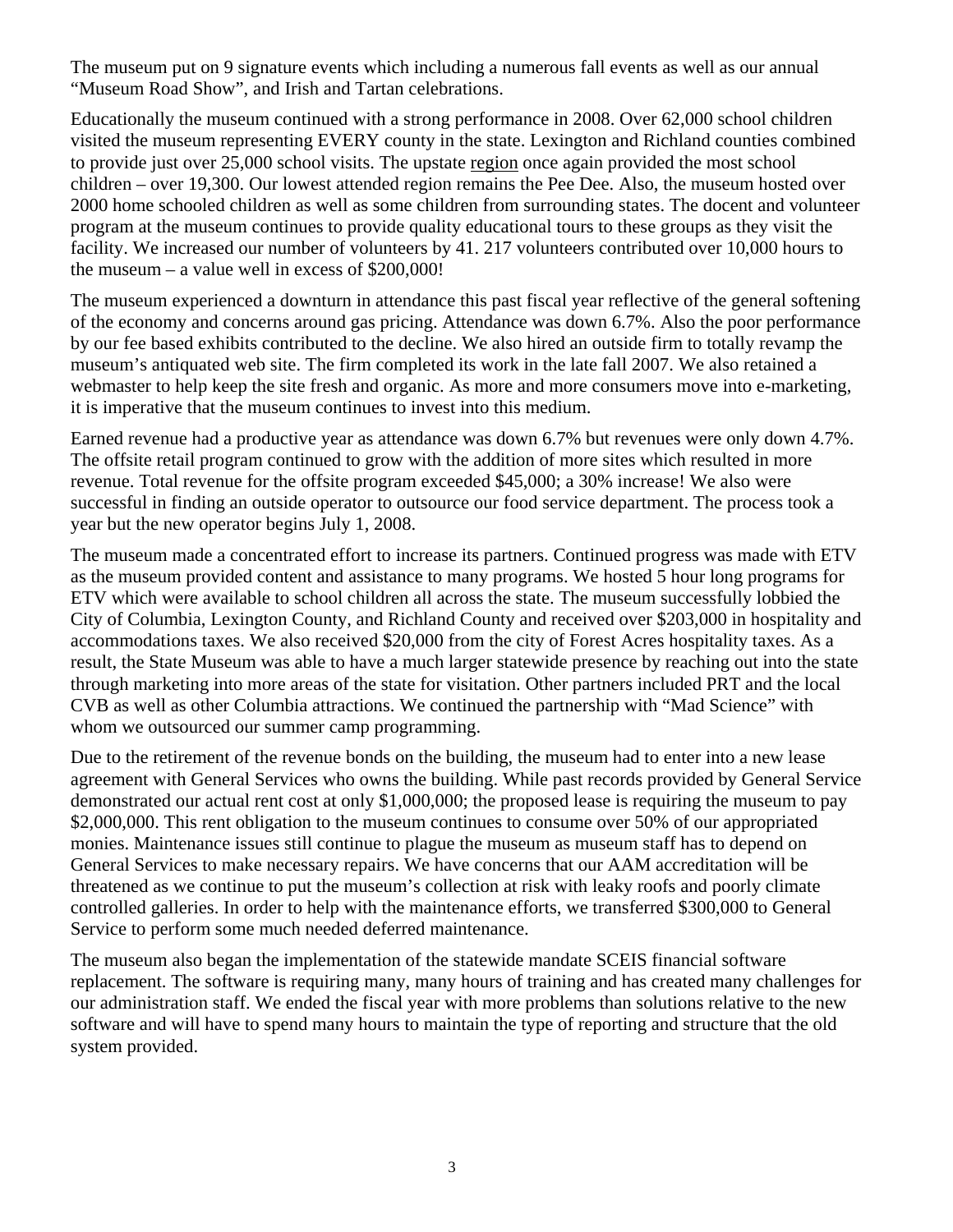The museum put on 9 signature events which including a numerous fall events as well as our annual "Museum Road Show", and Irish and Tartan celebrations.

Educationally the museum continued with a strong performance in 2008. Over 62,000 school children visited the museum representing EVERY county in the state. Lexington and Richland counties combined to provide just over 25,000 school visits. The upstate region once again provided the most school children – over 19,300. Our lowest attended region remains the Pee Dee. Also, the museum hosted over 2000 home schooled children as well as some children from surrounding states. The docent and volunteer program at the museum continues to provide quality educational tours to these groups as they visit the facility. We increased our number of volunteers by 41. 217 volunteers contributed over 10,000 hours to the museum – a value well in excess of \$200,000!

The museum experienced a downturn in attendance this past fiscal year reflective of the general softening of the economy and concerns around gas pricing. Attendance was down 6.7%. Also the poor performance by our fee based exhibits contributed to the decline. We also hired an outside firm to totally revamp the museum's antiquated web site. The firm completed its work in the late fall 2007. We also retained a webmaster to help keep the site fresh and organic. As more and more consumers move into e-marketing, it is imperative that the museum continues to invest into this medium.

Earned revenue had a productive year as attendance was down 6.7% but revenues were only down 4.7%. The offsite retail program continued to grow with the addition of more sites which resulted in more revenue. Total revenue for the offsite program exceeded \$45,000; a 30% increase! We also were successful in finding an outside operator to outsource our food service department. The process took a year but the new operator begins July 1, 2008.

The museum made a concentrated effort to increase its partners. Continued progress was made with ETV as the museum provided content and assistance to many programs. We hosted 5 hour long programs for ETV which were available to school children all across the state. The museum successfully lobbied the City of Columbia, Lexington County, and Richland County and received over \$203,000 in hospitality and accommodations taxes. We also received \$20,000 from the city of Forest Acres hospitality taxes. As a result, the State Museum was able to have a much larger statewide presence by reaching out into the state through marketing into more areas of the state for visitation. Other partners included PRT and the local CVB as well as other Columbia attractions. We continued the partnership with "Mad Science" with whom we outsourced our summer camp programming.

Due to the retirement of the revenue bonds on the building, the museum had to enter into a new lease agreement with General Services who owns the building. While past records provided by General Service demonstrated our actual rent cost at only \$1,000,000; the proposed lease is requiring the museum to pay \$2,000,000. This rent obligation to the museum continues to consume over 50% of our appropriated monies. Maintenance issues still continue to plague the museum as museum staff has to depend on General Services to make necessary repairs. We have concerns that our AAM accreditation will be threatened as we continue to put the museum's collection at risk with leaky roofs and poorly climate controlled galleries. In order to help with the maintenance efforts, we transferred \$300,000 to General Service to perform some much needed deferred maintenance.

The museum also began the implementation of the statewide mandate SCEIS financial software replacement. The software is requiring many, many hours of training and has created many challenges for our administration staff. We ended the fiscal year with more problems than solutions relative to the new software and will have to spend many hours to maintain the type of reporting and structure that the old system provided.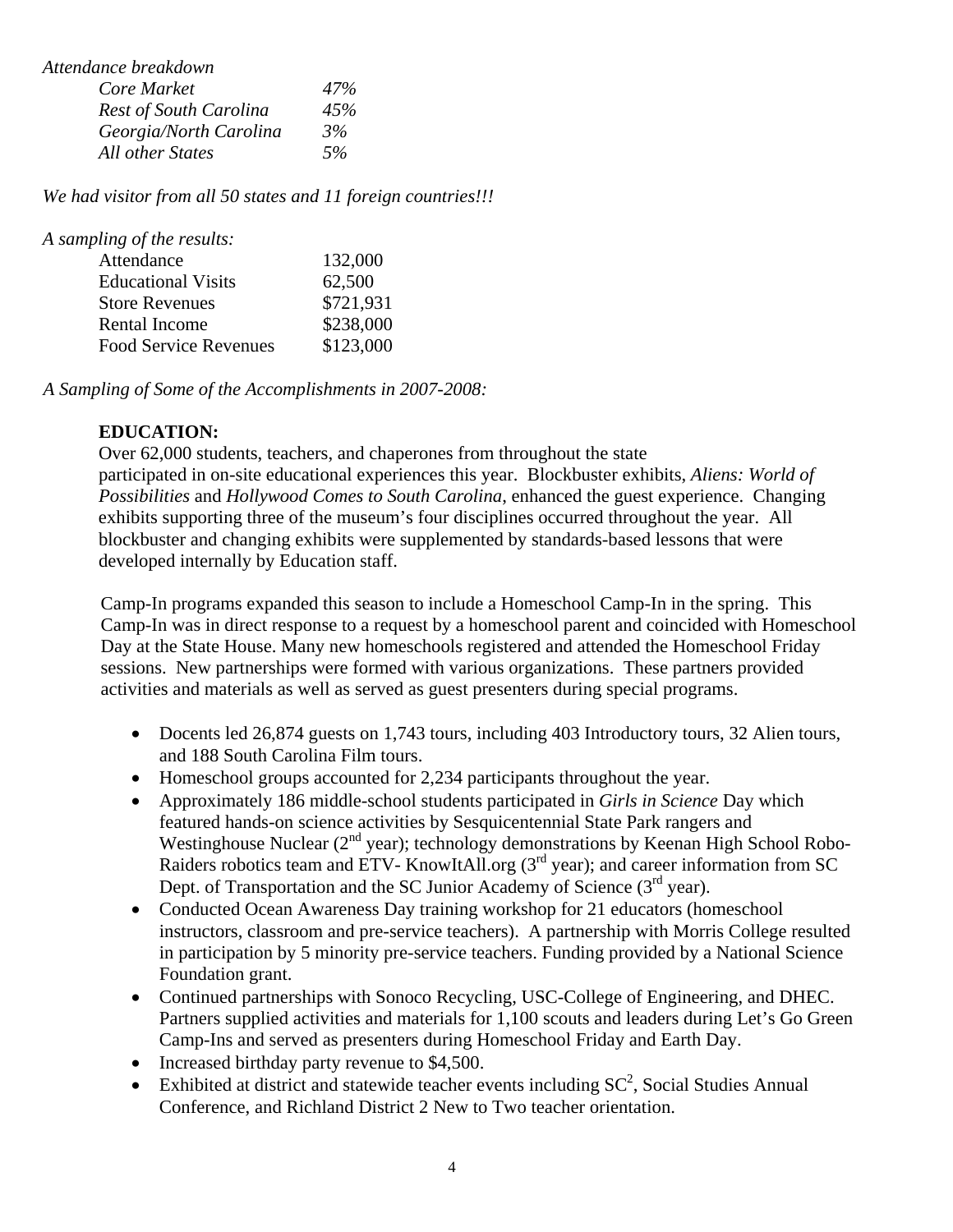| Attendance breakdown          |     |
|-------------------------------|-----|
| Core Market                   | 47% |
| <b>Rest of South Carolina</b> | 45% |
| Georgia/North Carolina        | 3%  |
| All other States              | 5%  |

*We had visitor from all 50 states and 11 foreign countries!!!* 

| A sampling of the results:   |           |
|------------------------------|-----------|
| Attendance                   | 132,000   |
| <b>Educational Visits</b>    | 62,500    |
| <b>Store Revenues</b>        | \$721,931 |
| Rental Income                | \$238,000 |
| <b>Food Service Revenues</b> | \$123,000 |
|                              |           |

*A Sampling of Some of the Accomplishments in 2007-2008:* 

### **EDUCATION:**

Over 62,000 students, teachers, and chaperones from throughout the state participated in on-site educational experiences this year. Blockbuster exhibits, *Aliens: World of Possibilities* and *Hollywood Comes to South Carolina*, enhanced the guest experience. Changing exhibits supporting three of the museum's four disciplines occurred throughout the year. All blockbuster and changing exhibits were supplemented by standards-based lessons that were developed internally by Education staff.

Camp-In programs expanded this season to include a Homeschool Camp-In in the spring. This Camp-In was in direct response to a request by a homeschool parent and coincided with Homeschool Day at the State House. Many new homeschools registered and attended the Homeschool Friday sessions. New partnerships were formed with various organizations. These partners provided activities and materials as well as served as guest presenters during special programs.

- Docents led 26,874 guests on 1,743 tours, including 403 Introductory tours, 32 Alien tours, and 188 South Carolina Film tours.
- Homeschool groups accounted for 2,234 participants throughout the year.
- Approximately 186 middle-school students participated in *Girls in Science* Day which featured hands-on science activities by Sesquicentennial State Park rangers and Westinghouse Nuclear  $(2^{nd}$  year); technology demonstrations by Keenan High School Robo-Raiders robotics team and ETV- KnowItAll.org (3<sup>rd</sup> year); and career information from SC Dept. of Transportation and the SC Junior Academy of Science (3<sup>rd</sup> year).
- Conducted Ocean Awareness Day training workshop for 21 educators (homeschool instructors, classroom and pre-service teachers). A partnership with Morris College resulted in participation by 5 minority pre-service teachers. Funding provided by a National Science Foundation grant.
- Continued partnerships with Sonoco Recycling, USC-College of Engineering, and DHEC. Partners supplied activities and materials for 1,100 scouts and leaders during Let's Go Green Camp-Ins and served as presenters during Homeschool Friday and Earth Day.
- Increased birthday party revenue to \$4,500.
- Exhibited at district and statewide teacher events including  $SC^2$ , Social Studies Annual Conference, and Richland District 2 New to Two teacher orientation.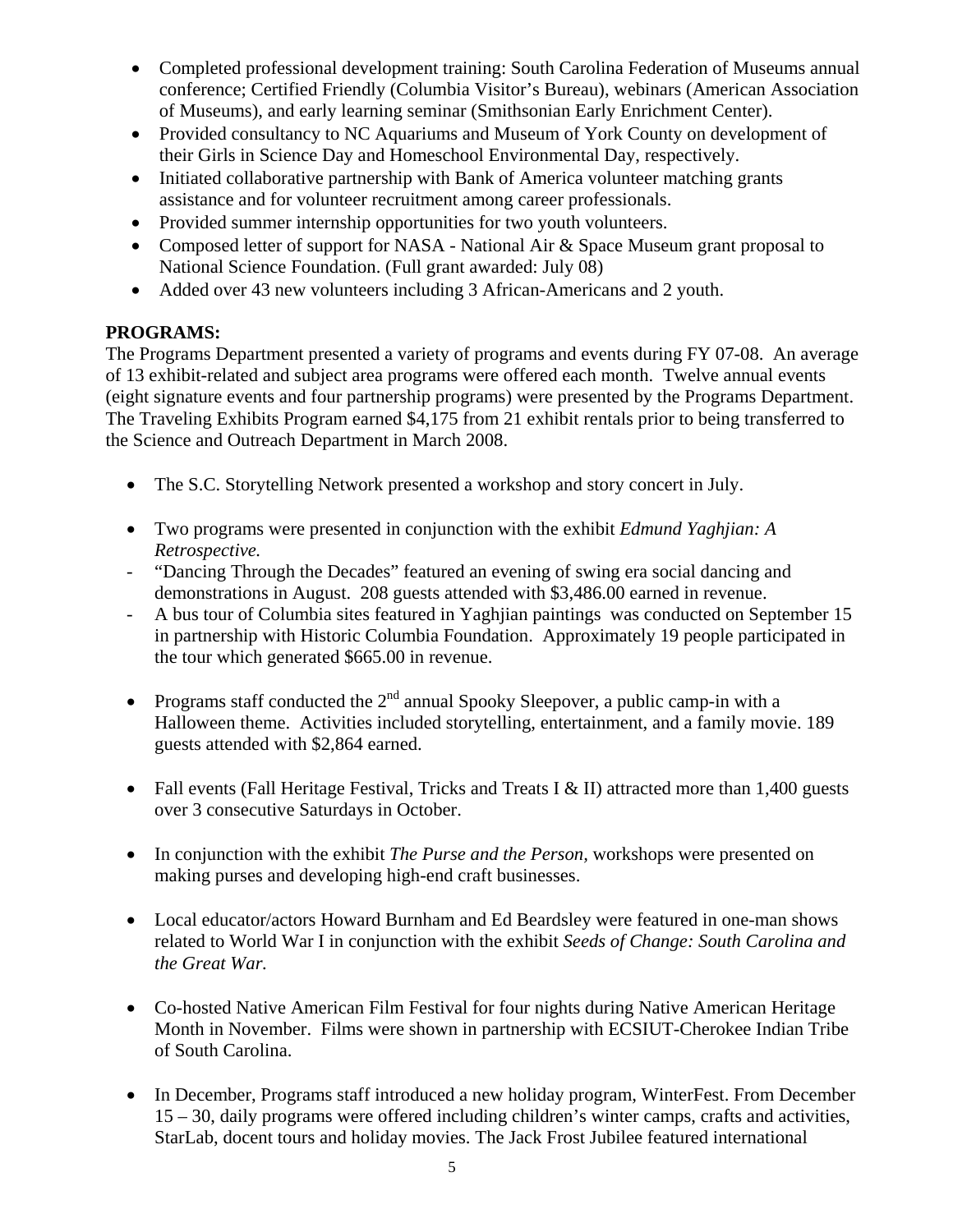- Completed professional development training: South Carolina Federation of Museums annual conference; Certified Friendly (Columbia Visitor's Bureau), webinars (American Association of Museums), and early learning seminar (Smithsonian Early Enrichment Center).
- Provided consultancy to NC Aquariums and Museum of York County on development of their Girls in Science Day and Homeschool Environmental Day, respectively.
- Initiated collaborative partnership with Bank of America volunteer matching grants assistance and for volunteer recruitment among career professionals.
- Provided summer internship opportunities for two youth volunteers.
- Composed letter of support for NASA National Air & Space Museum grant proposal to National Science Foundation. (Full grant awarded: July 08)
- Added over 43 new volunteers including 3 African-Americans and 2 youth.

## **PROGRAMS:**

The Programs Department presented a variety of programs and events during FY 07-08. An average of 13 exhibit-related and subject area programs were offered each month. Twelve annual events (eight signature events and four partnership programs) were presented by the Programs Department. The Traveling Exhibits Program earned \$4,175 from 21 exhibit rentals prior to being transferred to the Science and Outreach Department in March 2008.

- The S.C. Storytelling Network presented a workshop and story concert in July.
- Two programs were presented in conjunction with the exhibit *Edmund Yaghjian: A Retrospective.*
- *-* "Dancing Through the Decades" featured an evening of swing era social dancing and demonstrations in August. 208 guests attended with \$3,486.00 earned in revenue.
- *-* A bus tour of Columbia sites featured in Yaghjian paintings was conducted on September 15 in partnership with Historic Columbia Foundation. Approximately 19 people participated in the tour which generated \$665.00 in revenue.
- Programs staff conducted the  $2<sup>nd</sup>$  annual Spooky Sleepover, a public camp-in with a Halloween theme. Activities included storytelling, entertainment, and a family movie. 189 guests attended with \$2,864 earned.
- Fall events (Fall Heritage Festival, Tricks and Treats I & II) attracted more than 1,400 guests over 3 consecutive Saturdays in October.
- In conjunction with the exhibit *The Purse and the Person,* workshops were presented on making purses and developing high-end craft businesses.
- Local educator/actors Howard Burnham and Ed Beardsley were featured in one-man shows related to World War I in conjunction with the exhibit *Seeds of Change: South Carolina and the Great War.*
- Co-hosted Native American Film Festival for four nights during Native American Heritage Month in November. Films were shown in partnership with ECSIUT-Cherokee Indian Tribe of South Carolina.
- In December, Programs staff introduced a new holiday program, WinterFest. From December 15 – 30, daily programs were offered including children's winter camps, crafts and activities, StarLab, docent tours and holiday movies. The Jack Frost Jubilee featured international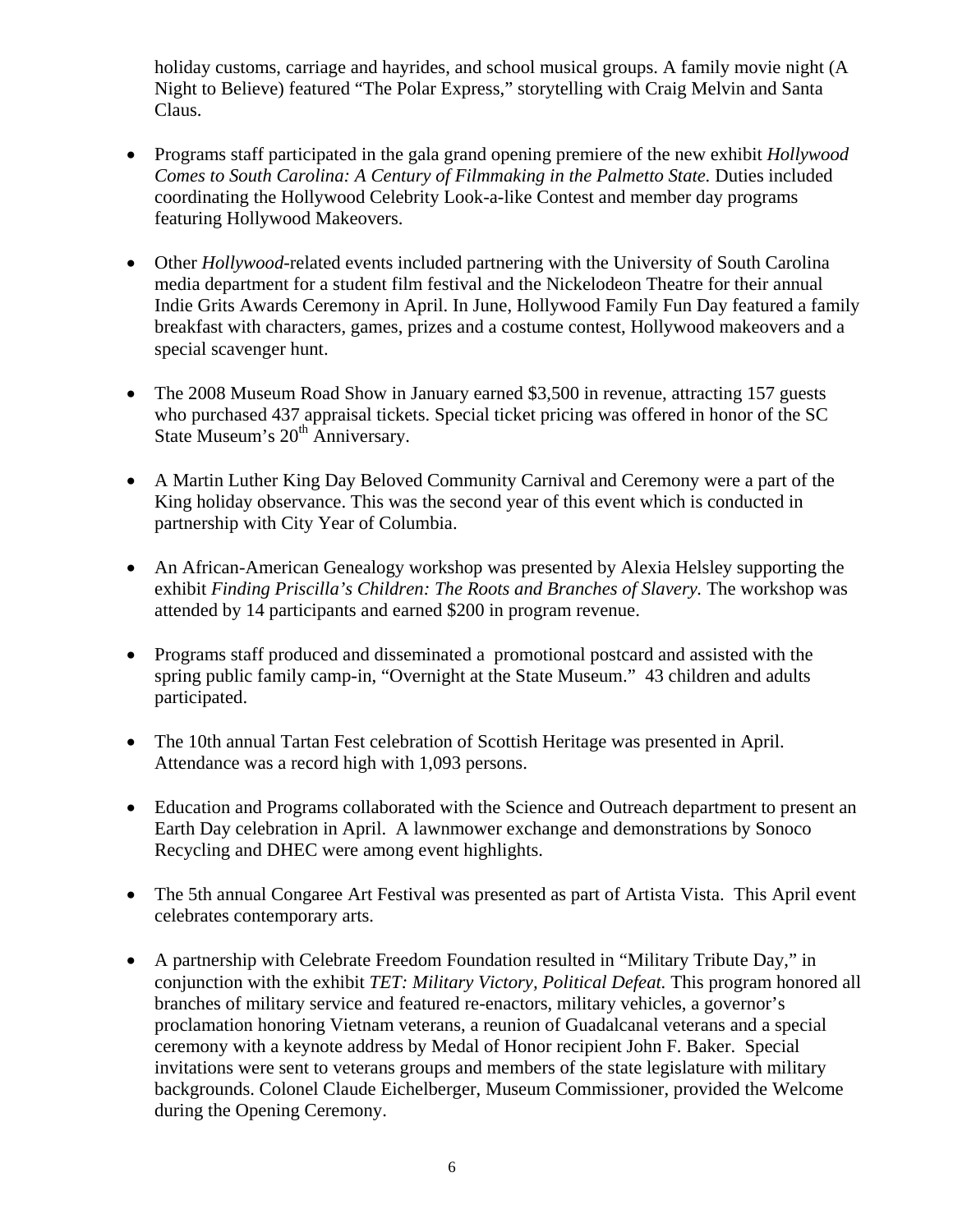holiday customs, carriage and hayrides, and school musical groups. A family movie night (A Night to Believe) featured "The Polar Express," storytelling with Craig Melvin and Santa Claus.

- Programs staff participated in the gala grand opening premiere of the new exhibit *Hollywood Comes to South Carolina: A Century of Filmmaking in the Palmetto State. Duties included* coordinating the Hollywood Celebrity Look-a-like Contest and member day programs featuring Hollywood Makeovers.
- Other *Hollywood*-related events included partnering with the University of South Carolina media department for a student film festival and the Nickelodeon Theatre for their annual Indie Grits Awards Ceremony in April. In June, Hollywood Family Fun Day featured a family breakfast with characters, games, prizes and a costume contest, Hollywood makeovers and a special scavenger hunt.
- The 2008 Museum Road Show in January earned \$3,500 in revenue, attracting 157 guests who purchased 437 appraisal tickets. Special ticket pricing was offered in honor of the SC State Museum's 20<sup>th</sup> Anniversary.
- A Martin Luther King Day Beloved Community Carnival and Ceremony were a part of the King holiday observance. This was the second year of this event which is conducted in partnership with City Year of Columbia.
- An African-American Genealogy workshop was presented by Alexia Helsley supporting the exhibit *Finding Priscilla's Children: The Roots and Branches of Slavery*. The workshop was attended by 14 participants and earned \$200 in program revenue.
- Programs staff produced and disseminated a promotional postcard and assisted with the spring public family camp-in, "Overnight at the State Museum." 43 children and adults participated.
- The 10th annual Tartan Fest celebration of Scottish Heritage was presented in April. Attendance was a record high with 1,093 persons.
- Education and Programs collaborated with the Science and Outreach department to present an Earth Day celebration in April. A lawnmower exchange and demonstrations by Sonoco Recycling and DHEC were among event highlights.
- The 5th annual Congaree Art Festival was presented as part of Artista Vista. This April event celebrates contemporary arts.
- A partnership with Celebrate Freedom Foundation resulted in "Military Tribute Day," in conjunction with the exhibit *TET: Military Victory, Political Defeat.* This program honored all branches of military service and featured re-enactors, military vehicles, a governor's proclamation honoring Vietnam veterans, a reunion of Guadalcanal veterans and a special ceremony with a keynote address by Medal of Honor recipient John F. Baker. Special invitations were sent to veterans groups and members of the state legislature with military backgrounds. Colonel Claude Eichelberger, Museum Commissioner, provided the Welcome during the Opening Ceremony.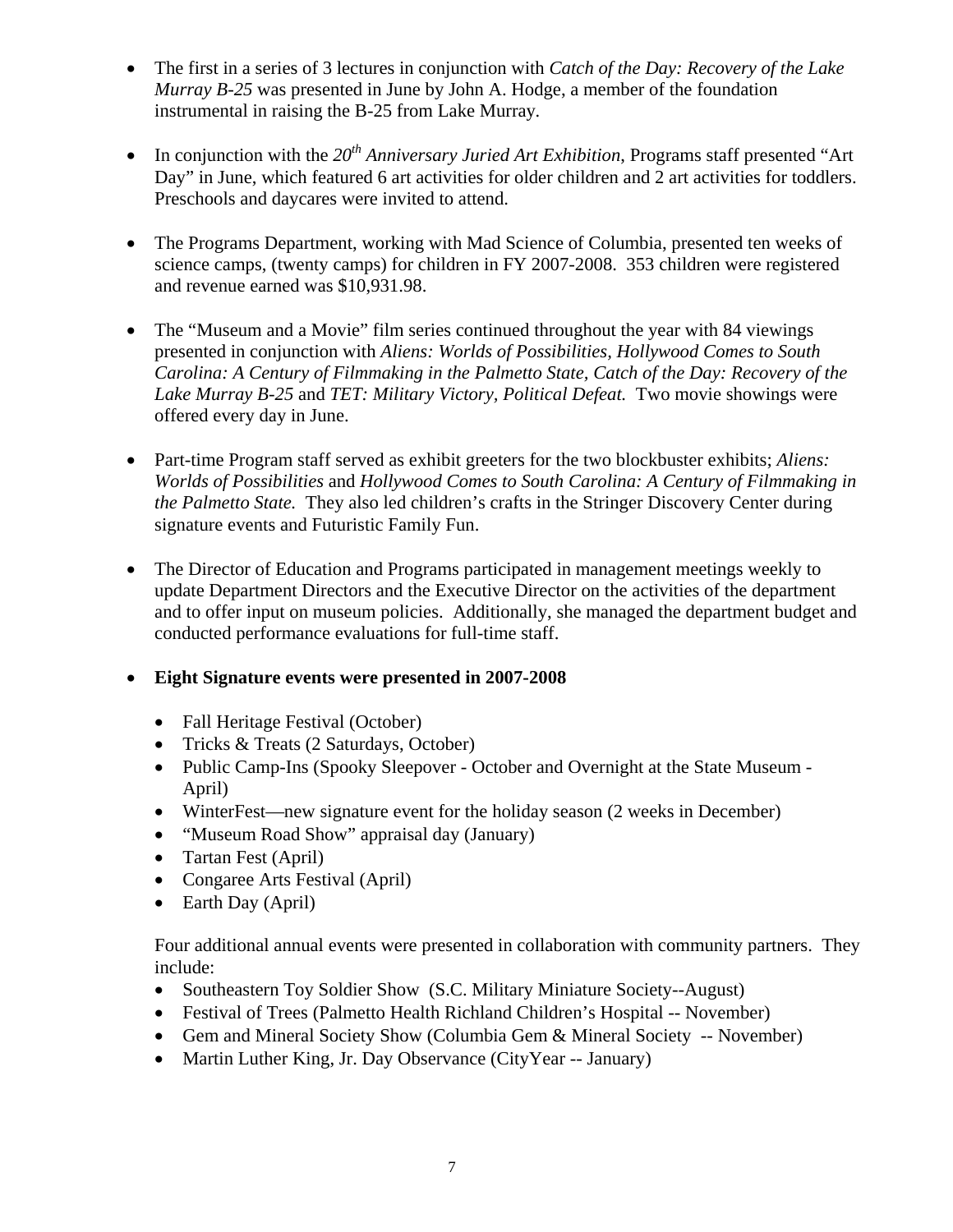- The first in a series of 3 lectures in conjunction with *Catch of the Day: Recovery of the Lake Murray B-25* was presented in June by John A. Hodge, a member of the foundation instrumental in raising the B-25 from Lake Murray*.*
- In conjunction with the  $20<sup>th</sup>$  Anniversary Juried Art Exhibition, Programs staff presented "Art" Day" in June, which featured 6 art activities for older children and 2 art activities for toddlers. Preschools and daycares were invited to attend.
- The Programs Department, working with Mad Science of Columbia, presented ten weeks of science camps, (twenty camps) for children in FY 2007-2008. 353 children were registered and revenue earned was \$10,931.98.
- The "Museum and a Movie" film series continued throughout the year with 84 viewings presented in conjunction with *Aliens: Worlds of Possibilities, Hollywood Comes to South Carolina: A Century of Filmmaking in the Palmetto State, Catch of the Day: Recovery of the Lake Murray B-25* and *TET: Military Victory, Political Defeat.* Two movie showings were offered every day in June.
- Part-time Program staff served as exhibit greeters for the two blockbuster exhibits; *Aliens: Worlds of Possibilities* and *Hollywood Comes to South Carolina: A Century of Filmmaking in the Palmetto State.* They also led children's crafts in the Stringer Discovery Center during signature events and Futuristic Family Fun.
- The Director of Education and Programs participated in management meetings weekly to update Department Directors and the Executive Director on the activities of the department and to offer input on museum policies. Additionally, she managed the department budget and conducted performance evaluations for full-time staff.
- **Eight Signature events were presented in 2007-2008** 
	- Fall Heritage Festival (October)
	- Tricks & Treats (2 Saturdays, October)
	- Public Camp-Ins (Spooky Sleepover October and Overnight at the State Museum April)
	- WinterFest—new signature event for the holiday season (2 weeks in December)
	- "Museum Road Show" appraisal day (January)
	- Tartan Fest (April)
	- Congaree Arts Festival (April)
	- Earth Day (April)

Four additional annual events were presented in collaboration with community partners. They include:

- Southeastern Toy Soldier Show (S.C. Military Miniature Society--August)
- Festival of Trees (Palmetto Health Richland Children's Hospital -- November)
- Gem and Mineral Society Show (Columbia Gem & Mineral Society -- November)
- Martin Luther King, Jr. Day Observance (City Year -- January)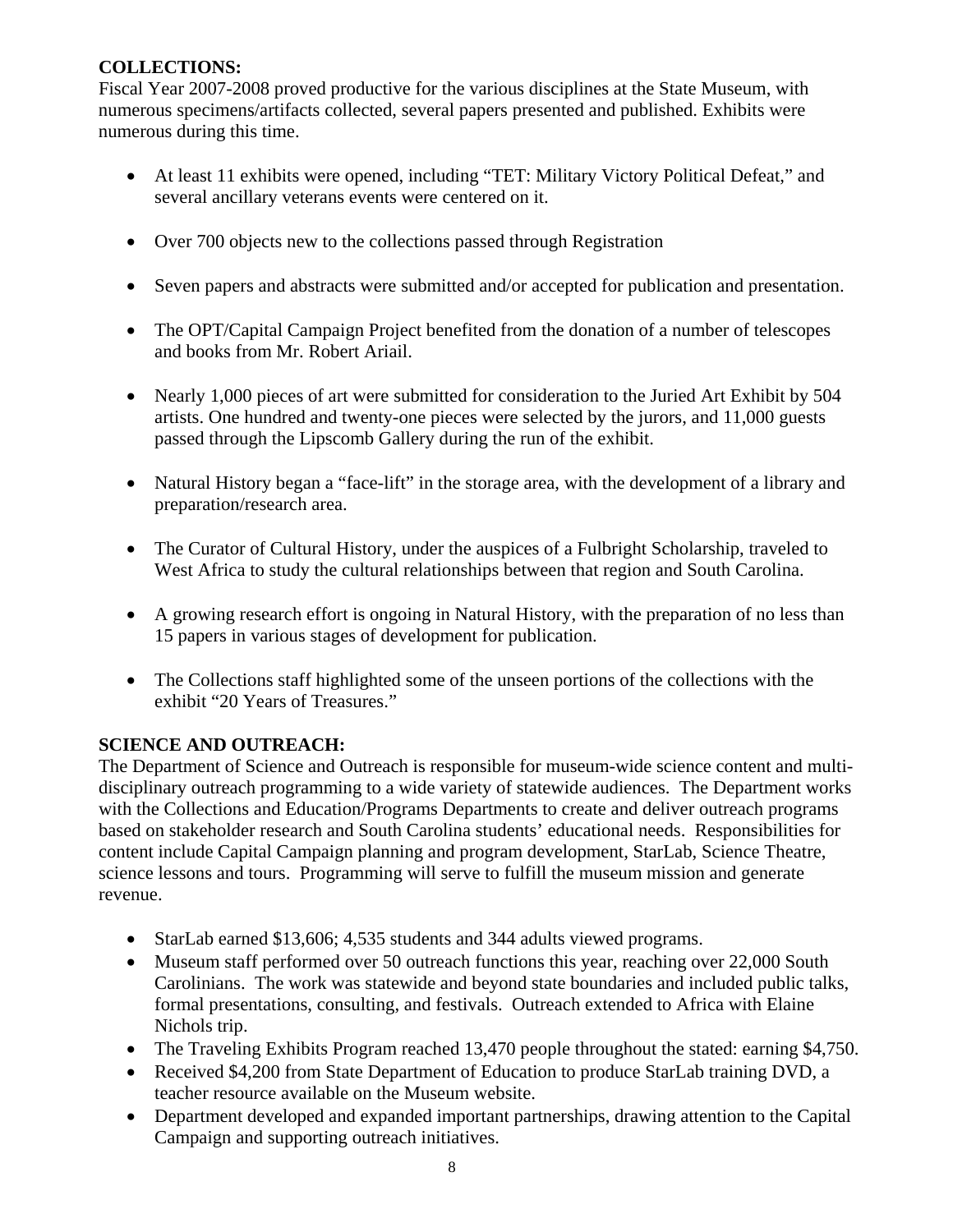## **COLLECTIONS:**

Fiscal Year 2007-2008 proved productive for the various disciplines at the State Museum, with numerous specimens/artifacts collected, several papers presented and published. Exhibits were numerous during this time.

- At least 11 exhibits were opened, including "TET: Military Victory Political Defeat," and several ancillary veterans events were centered on it.
- Over 700 objects new to the collections passed through Registration
- Seven papers and abstracts were submitted and/or accepted for publication and presentation.
- The OPT/Capital Campaign Project benefited from the donation of a number of telescopes and books from Mr. Robert Ariail.
- Nearly 1,000 pieces of art were submitted for consideration to the Juried Art Exhibit by 504 artists. One hundred and twenty-one pieces were selected by the jurors, and 11,000 guests passed through the Lipscomb Gallery during the run of the exhibit.
- Natural History began a "face-lift" in the storage area, with the development of a library and preparation/research area.
- The Curator of Cultural History, under the auspices of a Fulbright Scholarship, traveled to West Africa to study the cultural relationships between that region and South Carolina.
- A growing research effort is ongoing in Natural History, with the preparation of no less than 15 papers in various stages of development for publication.
- The Collections staff highlighted some of the unseen portions of the collections with the exhibit "20 Years of Treasures."

### **SCIENCE AND OUTREACH:**

The Department of Science and Outreach is responsible for museum-wide science content and multidisciplinary outreach programming to a wide variety of statewide audiences. The Department works with the Collections and Education/Programs Departments to create and deliver outreach programs based on stakeholder research and South Carolina students' educational needs. Responsibilities for content include Capital Campaign planning and program development, StarLab, Science Theatre, science lessons and tours. Programming will serve to fulfill the museum mission and generate revenue.

- StarLab earned \$13,606; 4,535 students and 344 adults viewed programs.
- Museum staff performed over 50 outreach functions this year, reaching over 22,000 South Carolinians. The work was statewide and beyond state boundaries and included public talks, formal presentations, consulting, and festivals. Outreach extended to Africa with Elaine Nichols trip.
- The Traveling Exhibits Program reached 13,470 people throughout the stated: earning \$4,750.
- Received \$4,200 from State Department of Education to produce StarLab training DVD, a teacher resource available on the Museum website.
- Department developed and expanded important partnerships, drawing attention to the Capital Campaign and supporting outreach initiatives.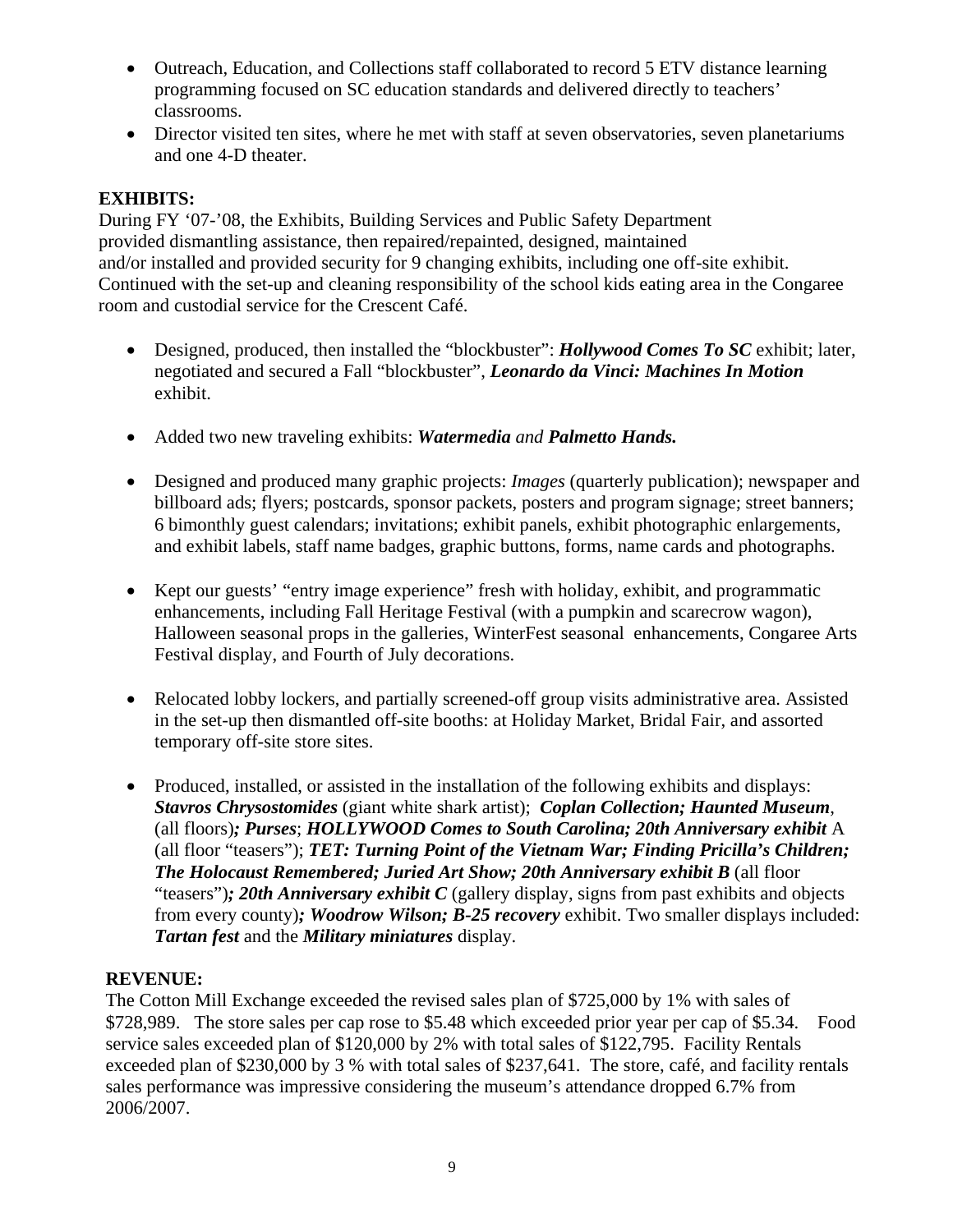- Outreach, Education, and Collections staff collaborated to record 5 ETV distance learning programming focused on SC education standards and delivered directly to teachers' classrooms.
- Director visited ten sites, where he met with staff at seven observatories, seven planetariums and one 4-D theater.

## **EXHIBITS:**

During FY '07-'08, the Exhibits, Building Services and Public Safety Department provided dismantling assistance, then repaired/repainted, designed, maintained and/or installed and provided security for 9 changing exhibits, including one off-site exhibit. Continued with the set-up and cleaning responsibility of the school kids eating area in the Congaree room and custodial service for the Crescent Café.

- Designed, produced, then installed the "blockbuster": *Hollywood Comes To SC* exhibit; later, negotiated and secured a Fall "blockbuster", *Leonardo da Vinci: Machines In Motion* exhibit.
- Added two new traveling exhibits: *Watermedia and Palmetto Hands.*
- Designed and produced many graphic projects: *Images* (quarterly publication); newspaper and billboard ads; flyers; postcards, sponsor packets, posters and program signage; street banners; 6 bimonthly guest calendars; invitations; exhibit panels, exhibit photographic enlargements, and exhibit labels, staff name badges, graphic buttons, forms, name cards and photographs.
- Kept our guests' "entry image experience" fresh with holiday, exhibit, and programmatic enhancements, including Fall Heritage Festival (with a pumpkin and scarecrow wagon), Halloween seasonal props in the galleries, WinterFest seasonal enhancements, Congaree Arts Festival display, and Fourth of July decorations.
- Relocated lobby lockers, and partially screened-off group visits administrative area. Assisted in the set-up then dismantled off-site booths: at Holiday Market, Bridal Fair, and assorted temporary off-site store sites.
- Produced, installed, or assisted in the installation of the following exhibits and displays: *Stavros Chrysostomides* (giant white shark artist); *Coplan Collection; Haunted Museum*, (all floors)*; Purses*; *HOLLYWOOD Comes to South Carolina; 20th Anniversary exhibit* A (all floor "teasers"); *TET: Turning Point of the Vietnam War; Finding Pricilla's Children; The Holocaust Remembered; Juried Art Show; 20th Anniversary exhibit B (all floor***)** "teasers")*; 20th Anniversary exhibit C* (gallery display, signs from past exhibits and objects from every county)*; Woodrow Wilson; B-25 recovery* exhibit. Two smaller displays included: *Tartan fest* and the *Military miniatures* display.

### **REVENUE:**

The Cotton Mill Exchange exceeded the revised sales plan of \$725,000 by 1% with sales of \$728,989. The store sales per cap rose to \$5.48 which exceeded prior year per cap of \$5.34. Food service sales exceeded plan of \$120,000 by 2% with total sales of \$122,795. Facility Rentals exceeded plan of \$230,000 by 3 % with total sales of \$237,641. The store, café, and facility rentals sales performance was impressive considering the museum's attendance dropped 6.7% from 2006/2007.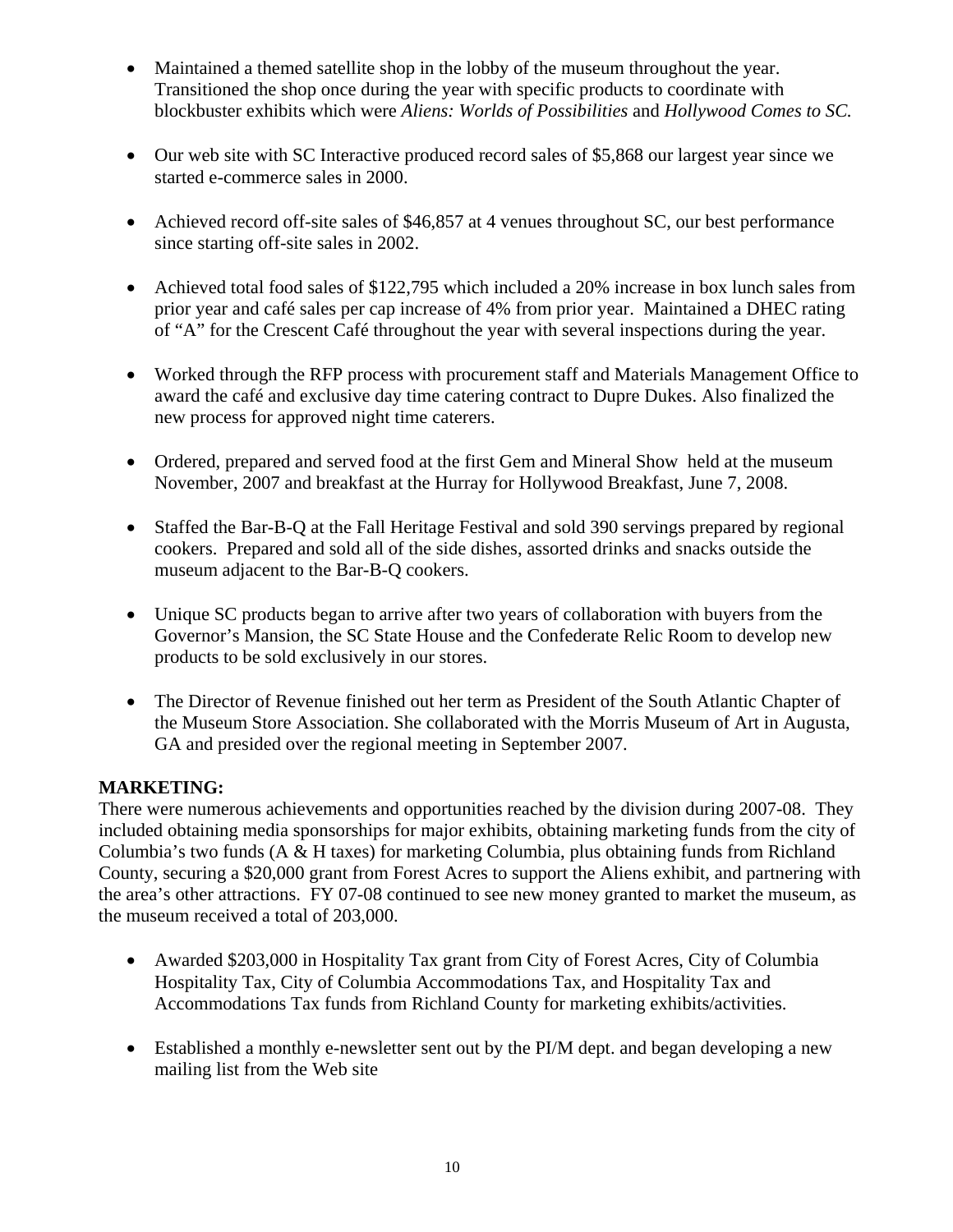- Maintained a themed satellite shop in the lobby of the museum throughout the year. Transitioned the shop once during the year with specific products to coordinate with blockbuster exhibits which were *Aliens: Worlds of Possibilities* and *Hollywood Comes to SC.*
- Our web site with SC Interactive produced record sales of \$5,868 our largest year since we started e-commerce sales in 2000.
- Achieved record off-site sales of \$46,857 at 4 venues throughout SC, our best performance since starting off-site sales in 2002.
- Achieved total food sales of \$122,795 which included a 20% increase in box lunch sales from prior year and café sales per cap increase of 4% from prior year. Maintained a DHEC rating of "A" for the Crescent Café throughout the year with several inspections during the year.
- Worked through the RFP process with procurement staff and Materials Management Office to award the café and exclusive day time catering contract to Dupre Dukes. Also finalized the new process for approved night time caterers.
- Ordered, prepared and served food at the first Gem and Mineral Show held at the museum November, 2007 and breakfast at the Hurray for Hollywood Breakfast, June 7, 2008.
- Staffed the Bar-B-Q at the Fall Heritage Festival and sold 390 servings prepared by regional cookers. Prepared and sold all of the side dishes, assorted drinks and snacks outside the museum adjacent to the Bar-B-Q cookers.
- Unique SC products began to arrive after two years of collaboration with buyers from the Governor's Mansion, the SC State House and the Confederate Relic Room to develop new products to be sold exclusively in our stores.
- The Director of Revenue finished out her term as President of the South Atlantic Chapter of the Museum Store Association. She collaborated with the Morris Museum of Art in Augusta, GA and presided over the regional meeting in September 2007.

## **MARKETING:**

There were numerous achievements and opportunities reached by the division during 2007-08. They included obtaining media sponsorships for major exhibits, obtaining marketing funds from the city of Columbia's two funds (A & H taxes) for marketing Columbia, plus obtaining funds from Richland County, securing a \$20,000 grant from Forest Acres to support the Aliens exhibit, and partnering with the area's other attractions. FY 07-08 continued to see new money granted to market the museum, as the museum received a total of 203,000.

- Awarded \$203,000 in Hospitality Tax grant from City of Forest Acres, City of Columbia Hospitality Tax, City of Columbia Accommodations Tax, and Hospitality Tax and Accommodations Tax funds from Richland County for marketing exhibits/activities.
- Established a monthly e-newsletter sent out by the PI/M dept. and began developing a new mailing list from the Web site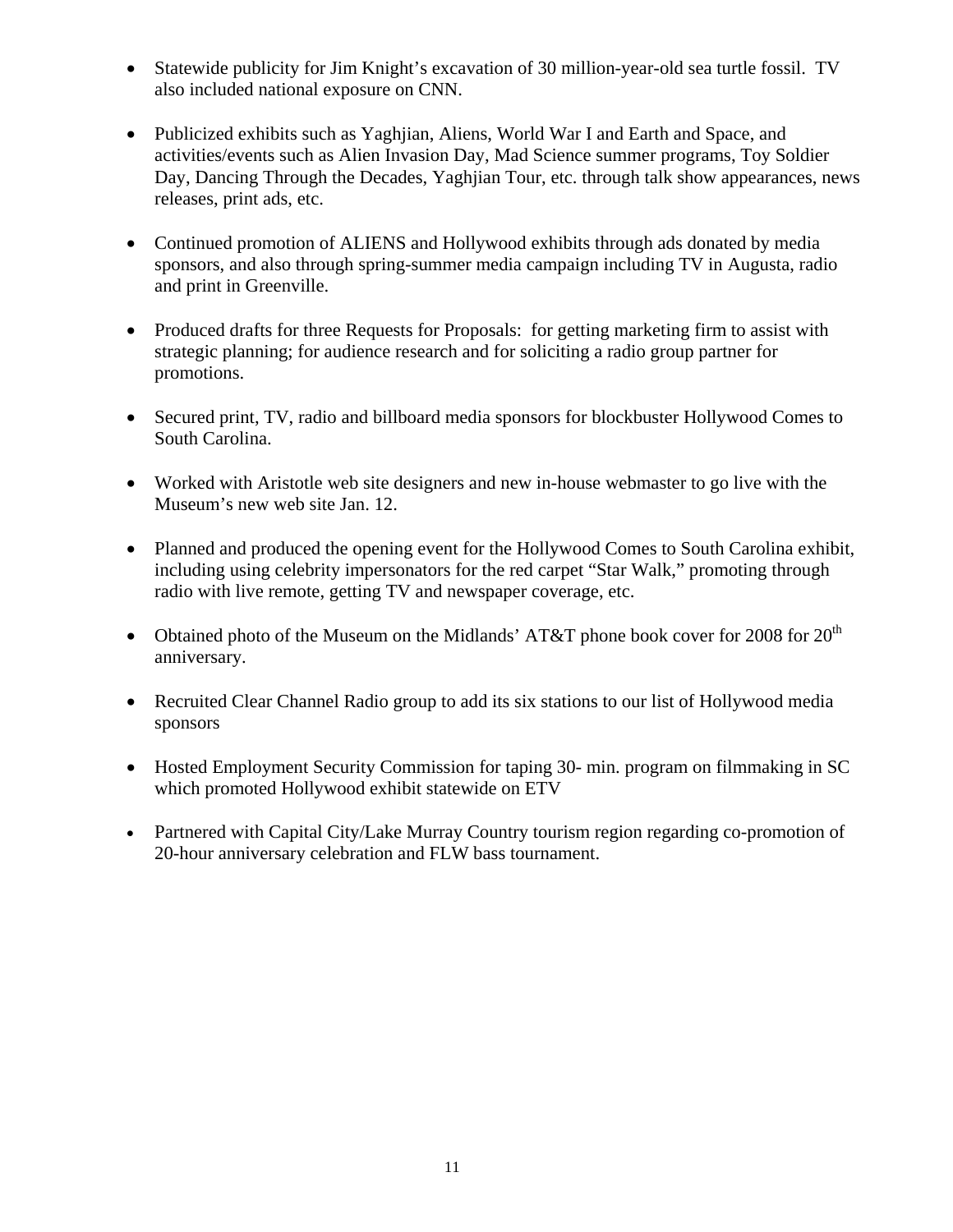- Statewide publicity for Jim Knight's excavation of 30 million-year-old sea turtle fossil. TV also included national exposure on CNN.
- Publicized exhibits such as Yaghjian, Aliens, World War I and Earth and Space, and activities/events such as Alien Invasion Day, Mad Science summer programs, Toy Soldier Day, Dancing Through the Decades, Yaghjian Tour, etc. through talk show appearances, news releases, print ads, etc.
- Continued promotion of ALIENS and Hollywood exhibits through ads donated by media sponsors, and also through spring-summer media campaign including TV in Augusta, radio and print in Greenville.
- Produced drafts for three Requests for Proposals: for getting marketing firm to assist with strategic planning; for audience research and for soliciting a radio group partner for promotions.
- Secured print, TV, radio and billboard media sponsors for blockbuster Hollywood Comes to South Carolina.
- Worked with Aristotle web site designers and new in-house webmaster to go live with the Museum's new web site Jan. 12.
- Planned and produced the opening event for the Hollywood Comes to South Carolina exhibit, including using celebrity impersonators for the red carpet "Star Walk," promoting through radio with live remote, getting TV and newspaper coverage, etc.
- Obtained photo of the Museum on the Midlands' AT&T phone book cover for 2008 for  $20<sup>th</sup>$ anniversary.
- Recruited Clear Channel Radio group to add its six stations to our list of Hollywood media sponsors
- Hosted Employment Security Commission for taping 30- min. program on filmmaking in SC which promoted Hollywood exhibit statewide on ETV
- Partnered with Capital City/Lake Murray Country tourism region regarding co-promotion of 20-hour anniversary celebration and FLW bass tournament.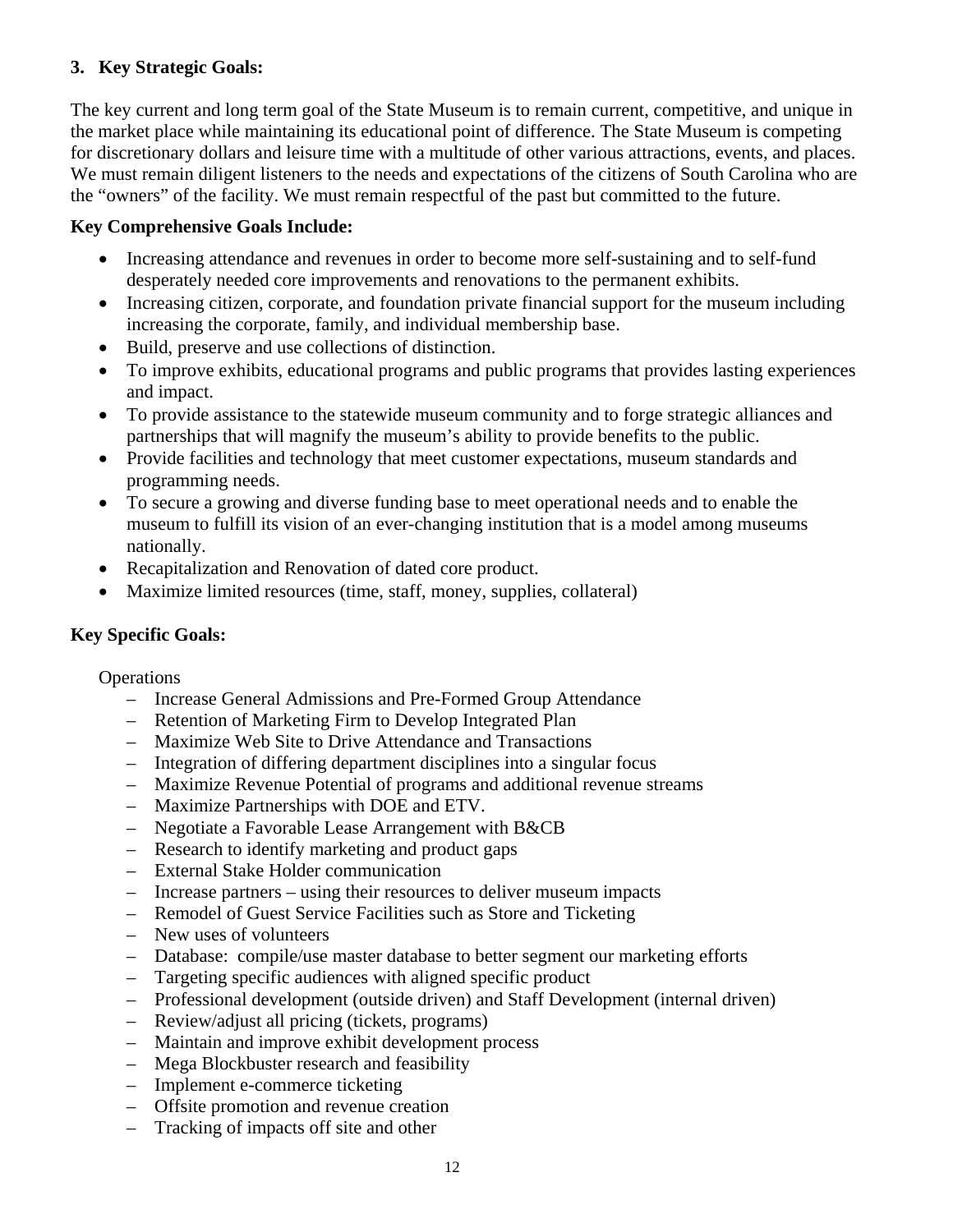## **3. Key Strategic Goals:**

The key current and long term goal of the State Museum is to remain current, competitive, and unique in the market place while maintaining its educational point of difference. The State Museum is competing for discretionary dollars and leisure time with a multitude of other various attractions, events, and places. We must remain diligent listeners to the needs and expectations of the citizens of South Carolina who are the "owners" of the facility. We must remain respectful of the past but committed to the future.

### **Key Comprehensive Goals Include:**

- Increasing attendance and revenues in order to become more self-sustaining and to self-fund desperately needed core improvements and renovations to the permanent exhibits.
- Increasing citizen, corporate, and foundation private financial support for the museum including increasing the corporate, family, and individual membership base.
- Build, preserve and use collections of distinction.
- To improve exhibits, educational programs and public programs that provides lasting experiences and impact.
- To provide assistance to the statewide museum community and to forge strategic alliances and partnerships that will magnify the museum's ability to provide benefits to the public.
- Provide facilities and technology that meet customer expectations, museum standards and programming needs.
- To secure a growing and diverse funding base to meet operational needs and to enable the museum to fulfill its vision of an ever-changing institution that is a model among museums nationally.
- Recapitalization and Renovation of dated core product.
- Maximize limited resources (time, staff, money, supplies, collateral)

### **Key Specific Goals:**

**Operations** 

- Increase General Admissions and Pre-Formed Group Attendance
- Retention of Marketing Firm to Develop Integrated Plan
- Maximize Web Site to Drive Attendance and Transactions
- Integration of differing department disciplines into a singular focus
- Maximize Revenue Potential of programs and additional revenue streams
- Maximize Partnerships with DOE and ETV.
- Negotiate a Favorable Lease Arrangement with B&CB
- Research to identify marketing and product gaps
- External Stake Holder communication
- Increase partners using their resources to deliver museum impacts
- Remodel of Guest Service Facilities such as Store and Ticketing
- New uses of volunteers
- Database: compile/use master database to better segment our marketing efforts
- Targeting specific audiences with aligned specific product
- Professional development (outside driven) and Staff Development (internal driven)
- Review/adjust all pricing (tickets, programs)
- Maintain and improve exhibit development process
- Mega Blockbuster research and feasibility
- Implement e-commerce ticketing
- Offsite promotion and revenue creation
- Tracking of impacts off site and other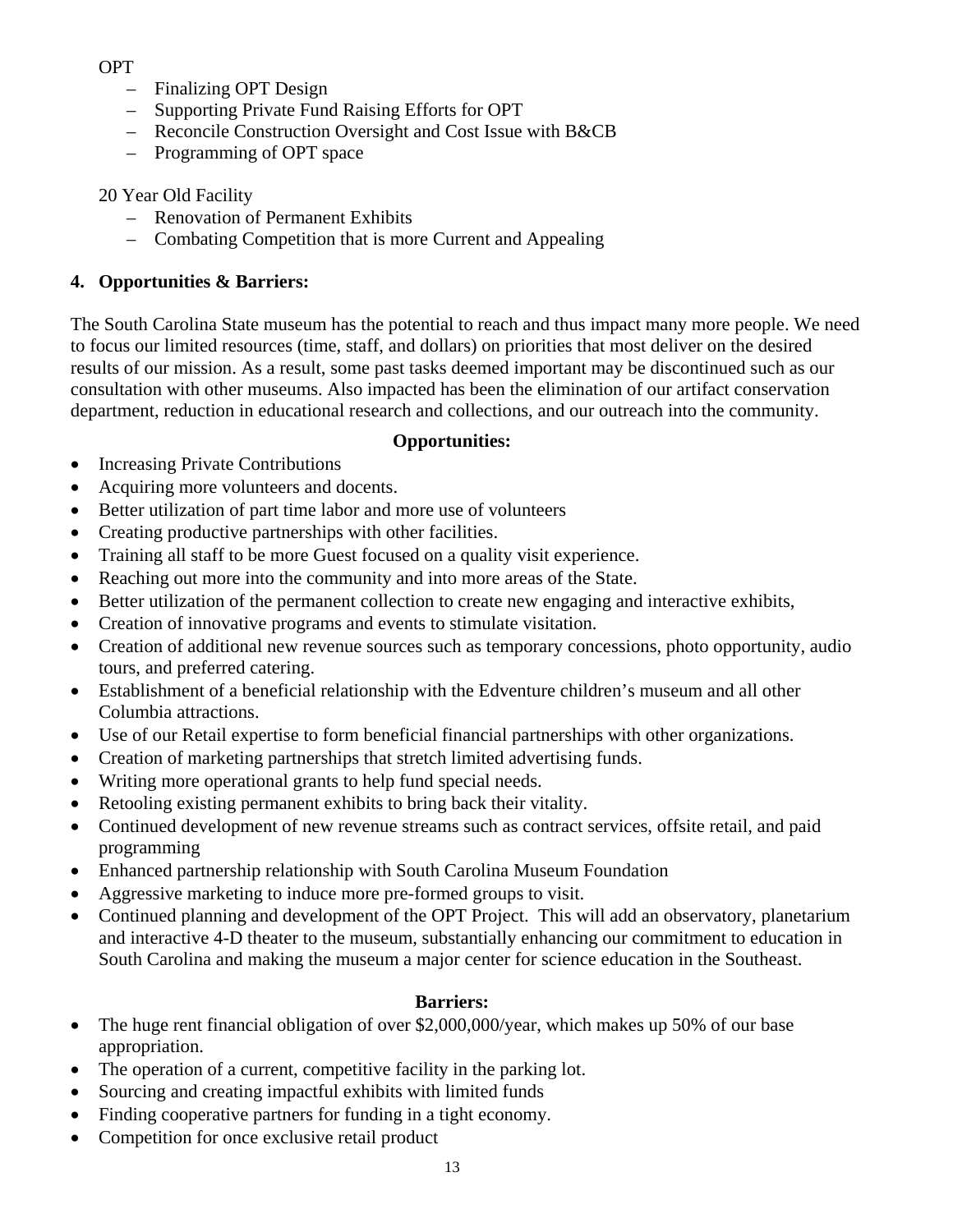OPT

- Finalizing OPT Design
- Supporting Private Fund Raising Efforts for OPT
- Reconcile Construction Oversight and Cost Issue with B&CB
- Programming of OPT space

20 Year Old Facility

- Renovation of Permanent Exhibits
- Combating Competition that is more Current and Appealing

## **4. Opportunities & Barriers:**

The South Carolina State museum has the potential to reach and thus impact many more people. We need to focus our limited resources (time, staff, and dollars) on priorities that most deliver on the desired results of our mission. As a result, some past tasks deemed important may be discontinued such as our consultation with other museums. Also impacted has been the elimination of our artifact conservation department, reduction in educational research and collections, and our outreach into the community.

## **Opportunities:**

- Increasing Private Contributions
- Acquiring more volunteers and docents.
- Better utilization of part time labor and more use of volunteers
- Creating productive partnerships with other facilities.
- Training all staff to be more Guest focused on a quality visit experience.
- Reaching out more into the community and into more areas of the State.
- Better utilization of the permanent collection to create new engaging and interactive exhibits,
- Creation of innovative programs and events to stimulate visitation.
- Creation of additional new revenue sources such as temporary concessions, photo opportunity, audio tours, and preferred catering.
- Establishment of a beneficial relationship with the Edventure children's museum and all other Columbia attractions.
- Use of our Retail expertise to form beneficial financial partnerships with other organizations.
- Creation of marketing partnerships that stretch limited advertising funds.
- Writing more operational grants to help fund special needs.
- Retooling existing permanent exhibits to bring back their vitality.
- Continued development of new revenue streams such as contract services, offsite retail, and paid programming
- Enhanced partnership relationship with South Carolina Museum Foundation
- Aggressive marketing to induce more pre-formed groups to visit.
- Continued planning and development of the OPT Project. This will add an observatory, planetarium and interactive 4-D theater to the museum, substantially enhancing our commitment to education in South Carolina and making the museum a major center for science education in the Southeast.

## **Barriers:**

- The huge rent financial obligation of over \$2,000,000/year, which makes up 50% of our base appropriation.
- The operation of a current, competitive facility in the parking lot.
- Sourcing and creating impactful exhibits with limited funds
- Finding cooperative partners for funding in a tight economy.
- Competition for once exclusive retail product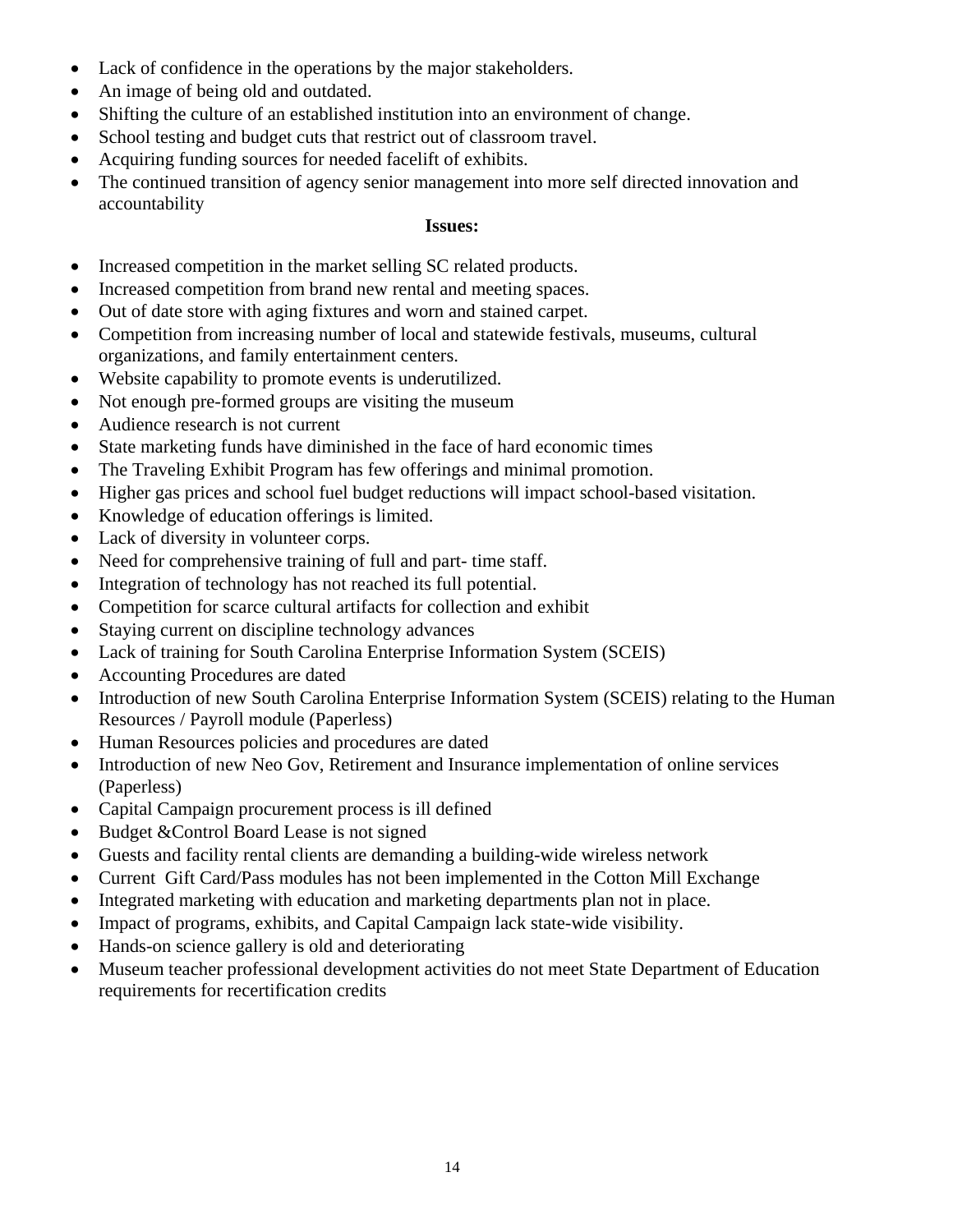- Lack of confidence in the operations by the major stakeholders.
- An image of being old and outdated.
- Shifting the culture of an established institution into an environment of change.
- School testing and budget cuts that restrict out of classroom travel.
- Acquiring funding sources for needed facelift of exhibits.
- The continued transition of agency senior management into more self directed innovation and accountability

### **Issues:**

- Increased competition in the market selling SC related products.
- Increased competition from brand new rental and meeting spaces.
- Out of date store with aging fixtures and worn and stained carpet.
- Competition from increasing number of local and statewide festivals, museums, cultural organizations, and family entertainment centers.
- Website capability to promote events is underutilized.
- Not enough pre-formed groups are visiting the museum
- Audience research is not current
- State marketing funds have diminished in the face of hard economic times
- The Traveling Exhibit Program has few offerings and minimal promotion.
- Higher gas prices and school fuel budget reductions will impact school-based visitation.
- Knowledge of education offerings is limited.
- Lack of diversity in volunteer corps.
- Need for comprehensive training of full and part- time staff.
- Integration of technology has not reached its full potential.
- Competition for scarce cultural artifacts for collection and exhibit
- Staying current on discipline technology advances
- Lack of training for South Carolina Enterprise Information System (SCEIS)
- Accounting Procedures are dated
- Introduction of new South Carolina Enterprise Information System (SCEIS) relating to the Human Resources / Payroll module (Paperless)
- Human Resources policies and procedures are dated
- Introduction of new Neo Gov, Retirement and Insurance implementation of online services (Paperless)
- Capital Campaign procurement process is ill defined
- Budget & Control Board Lease is not signed
- Guests and facility rental clients are demanding a building-wide wireless network
- Current Gift Card/Pass modules has not been implemented in the Cotton Mill Exchange
- Integrated marketing with education and marketing departments plan not in place.
- Impact of programs, exhibits, and Capital Campaign lack state-wide visibility.
- Hands-on science gallery is old and deteriorating
- Museum teacher professional development activities do not meet State Department of Education requirements for recertification credits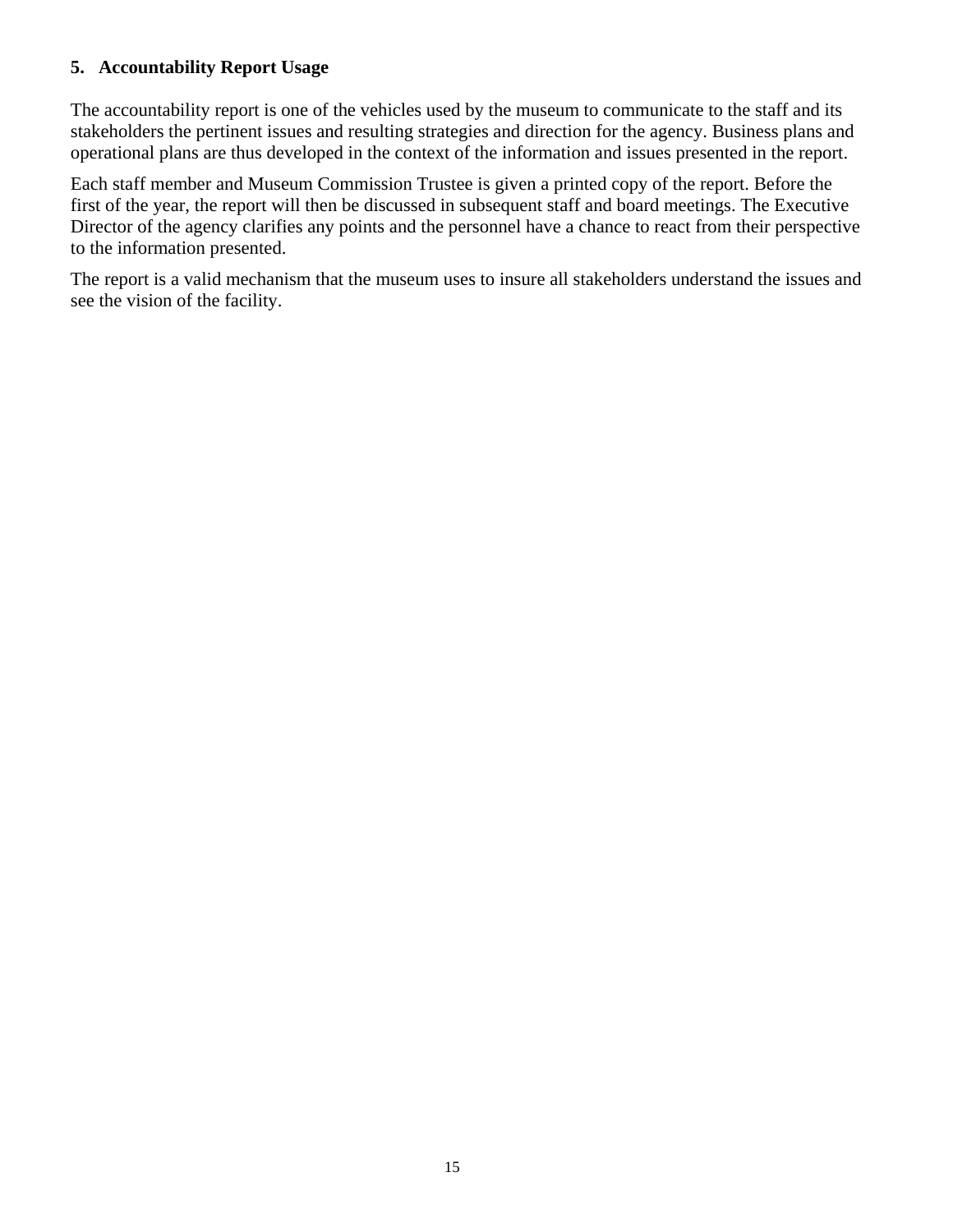### **5. Accountability Report Usage**

The accountability report is one of the vehicles used by the museum to communicate to the staff and its stakeholders the pertinent issues and resulting strategies and direction for the agency. Business plans and operational plans are thus developed in the context of the information and issues presented in the report.

Each staff member and Museum Commission Trustee is given a printed copy of the report. Before the first of the year, the report will then be discussed in subsequent staff and board meetings. The Executive Director of the agency clarifies any points and the personnel have a chance to react from their perspective to the information presented.

The report is a valid mechanism that the museum uses to insure all stakeholders understand the issues and see the vision of the facility.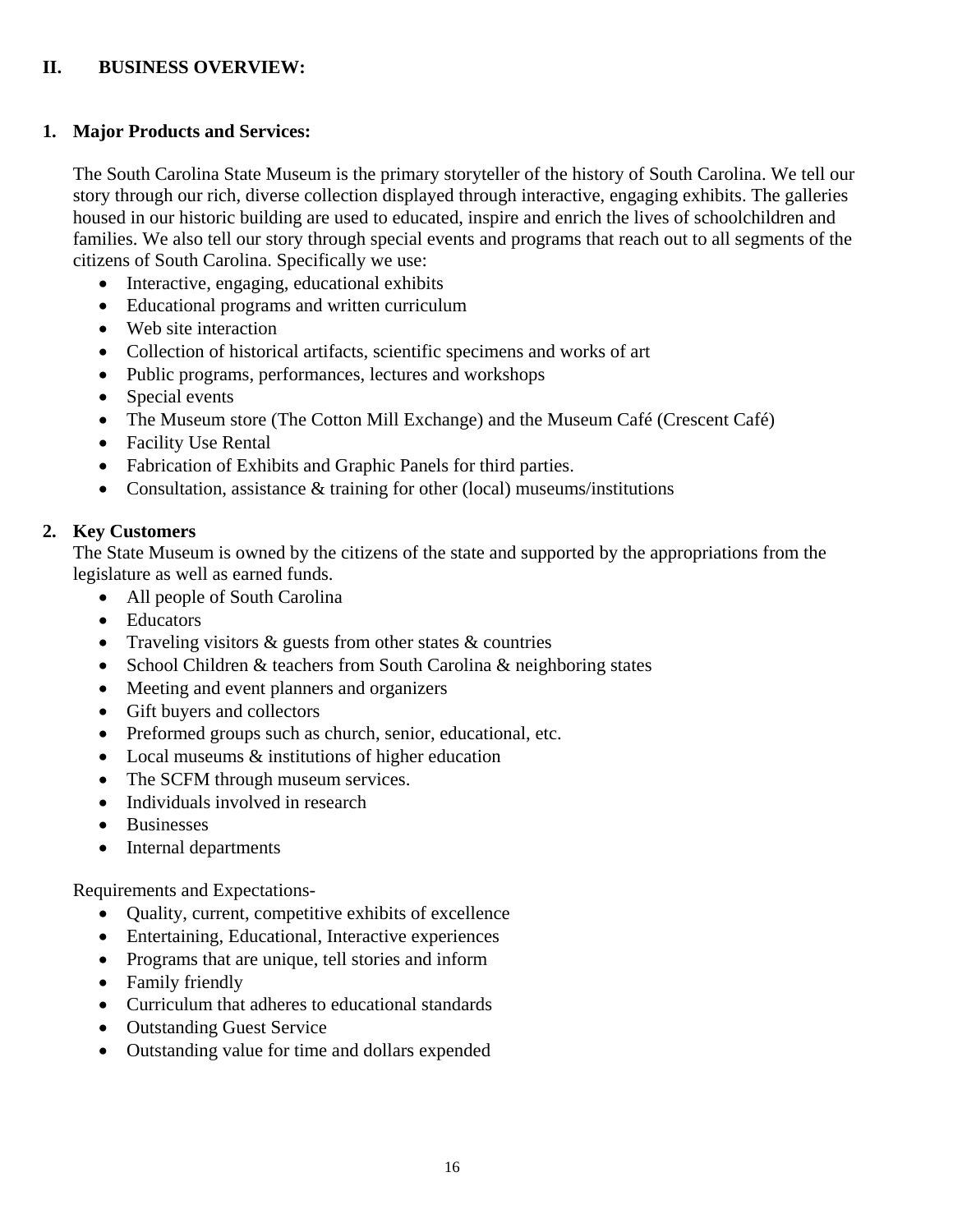### **II. BUSINESS OVERVIEW:**

### **1. Major Products and Services:**

The South Carolina State Museum is the primary storyteller of the history of South Carolina. We tell our story through our rich, diverse collection displayed through interactive, engaging exhibits. The galleries housed in our historic building are used to educated, inspire and enrich the lives of schoolchildren and families. We also tell our story through special events and programs that reach out to all segments of the citizens of South Carolina. Specifically we use:

- Interactive, engaging, educational exhibits
- Educational programs and written curriculum
- Web site interaction
- Collection of historical artifacts, scientific specimens and works of art
- Public programs, performances, lectures and workshops
- Special events
- The Museum store (The Cotton Mill Exchange) and the Museum Café (Crescent Café)
- Facility Use Rental
- Fabrication of Exhibits and Graphic Panels for third parties.
- Consultation, assistance & training for other (local) museums/institutions

## **2. Key Customers**

The State Museum is owned by the citizens of the state and supported by the appropriations from the legislature as well as earned funds.

- All people of South Carolina
- Educators
- Traveling visitors & guests from other states & countries
- School Children & teachers from South Carolina & neighboring states
- Meeting and event planners and organizers
- Gift buyers and collectors
- Preformed groups such as church, senior, educational, etc.
- Local museums & institutions of higher education
- The SCFM through museum services.
- Individuals involved in research
- Businesses
- Internal departments

Requirements and Expectations-

- Quality, current, competitive exhibits of excellence
- Entertaining, Educational, Interactive experiences
- Programs that are unique, tell stories and inform
- Family friendly
- Curriculum that adheres to educational standards
- Outstanding Guest Service
- Outstanding value for time and dollars expended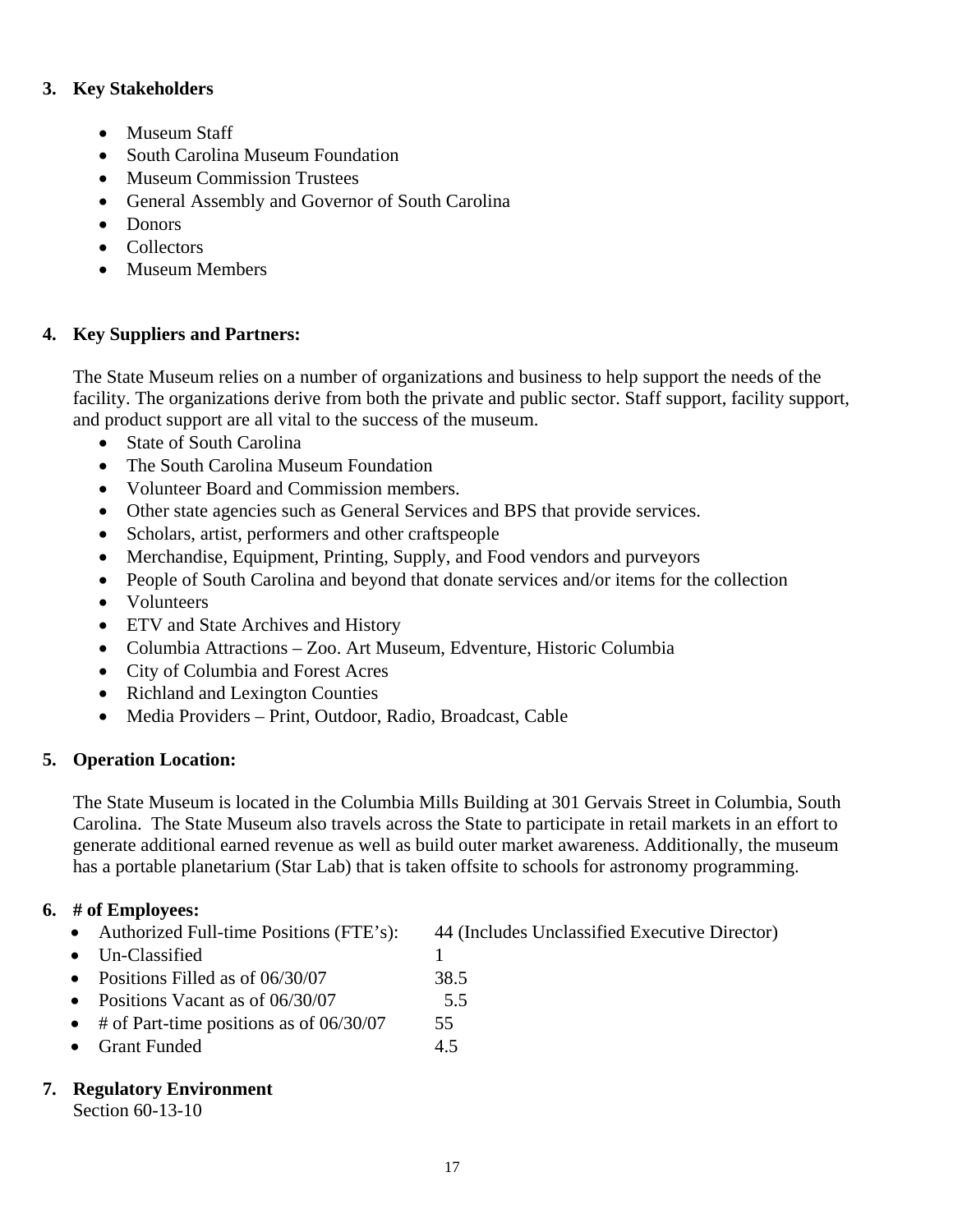### **3. Key Stakeholders**

- Museum Staff
- South Carolina Museum Foundation
- Museum Commission Trustees
- General Assembly and Governor of South Carolina
- Donors
- Collectors
- Museum Members

## **4. Key Suppliers and Partners:**

The State Museum relies on a number of organizations and business to help support the needs of the facility. The organizations derive from both the private and public sector. Staff support, facility support, and product support are all vital to the success of the museum.

- State of South Carolina
- The South Carolina Museum Foundation
- Volunteer Board and Commission members.
- Other state agencies such as General Services and BPS that provide services.
- Scholars, artist, performers and other craftspeople
- Merchandise, Equipment, Printing, Supply, and Food vendors and purveyors
- People of South Carolina and beyond that donate services and/or items for the collection
- Volunteers
- ETV and State Archives and History
- Columbia Attractions Zoo. Art Museum, Edventure, Historic Columbia
- City of Columbia and Forest Acres
- Richland and Lexington Counties
- Media Providers Print, Outdoor, Radio, Broadcast, Cable

## **5. Operation Location:**

The State Museum is located in the Columbia Mills Building at 301 Gervais Street in Columbia, South Carolina. The State Museum also travels across the State to participate in retail markets in an effort to generate additional earned revenue as well as build outer market awareness. Additionally, the museum has a portable planetarium (Star Lab) that is taken offsite to schools for astronomy programming.

### **6. # of Employees:**

- Authorized Full-time Positions (FTE's): 44 (Includes Unclassified Executive Director)
- $\bullet$  Un-Classified 1
- Positions Filled as of 06/30/07 38.5
- Positions Vacant as of 06/30/07 5.5
- # of Part-time positions as of 06/30/07 55
- Grant Funded 4.5

## **7. Regulatory Environment**

Section 60-13-10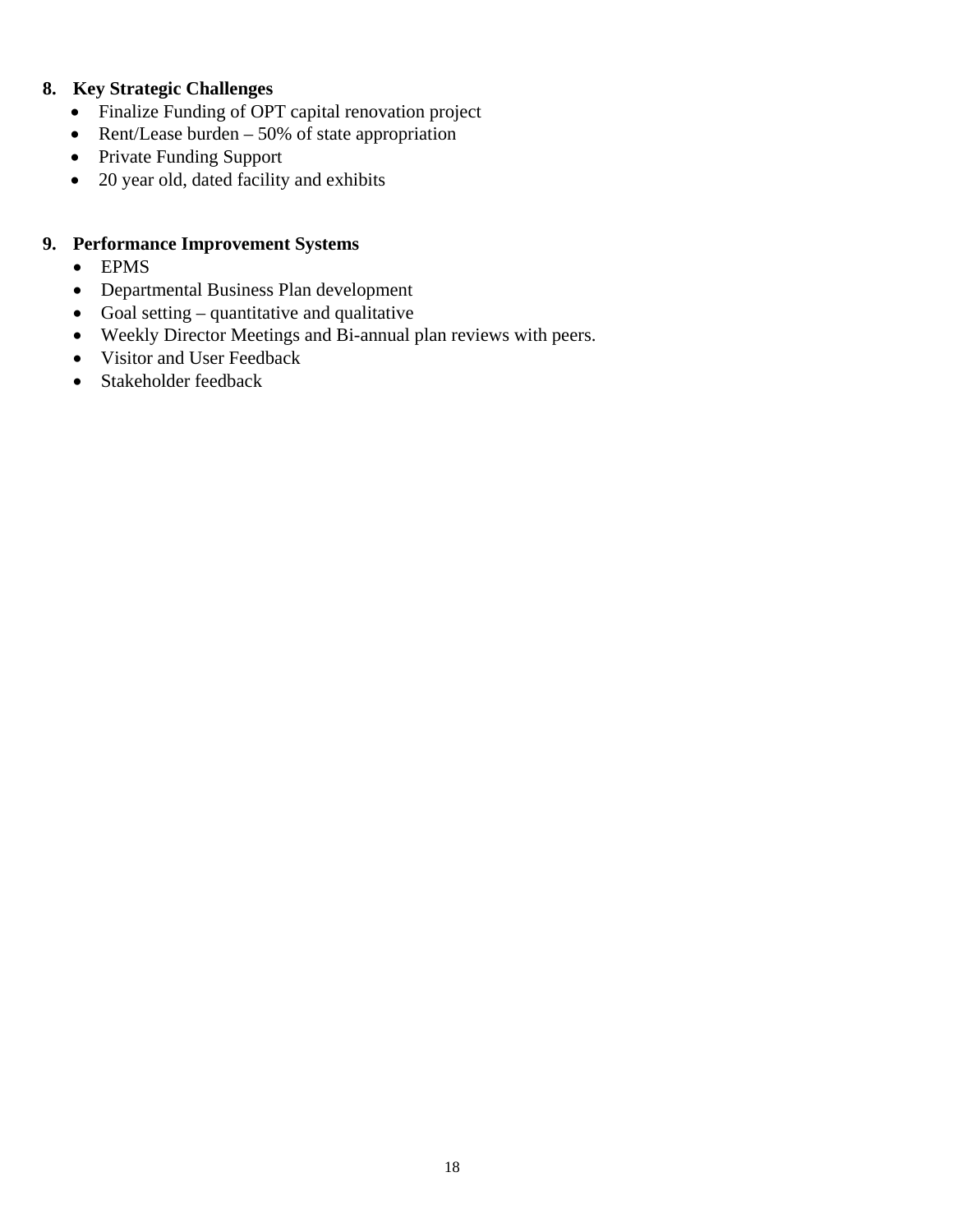## **8. Key Strategic Challenges**

- Finalize Funding of OPT capital renovation project
- Rent/Lease burden 50% of state appropriation
- Private Funding Support
- 20 year old, dated facility and exhibits

## **9. Performance Improvement Systems**

- EPMS
- Departmental Business Plan development
- Goal setting quantitative and qualitative
- Weekly Director Meetings and Bi-annual plan reviews with peers.
- Visitor and User Feedback
- Stakeholder feedback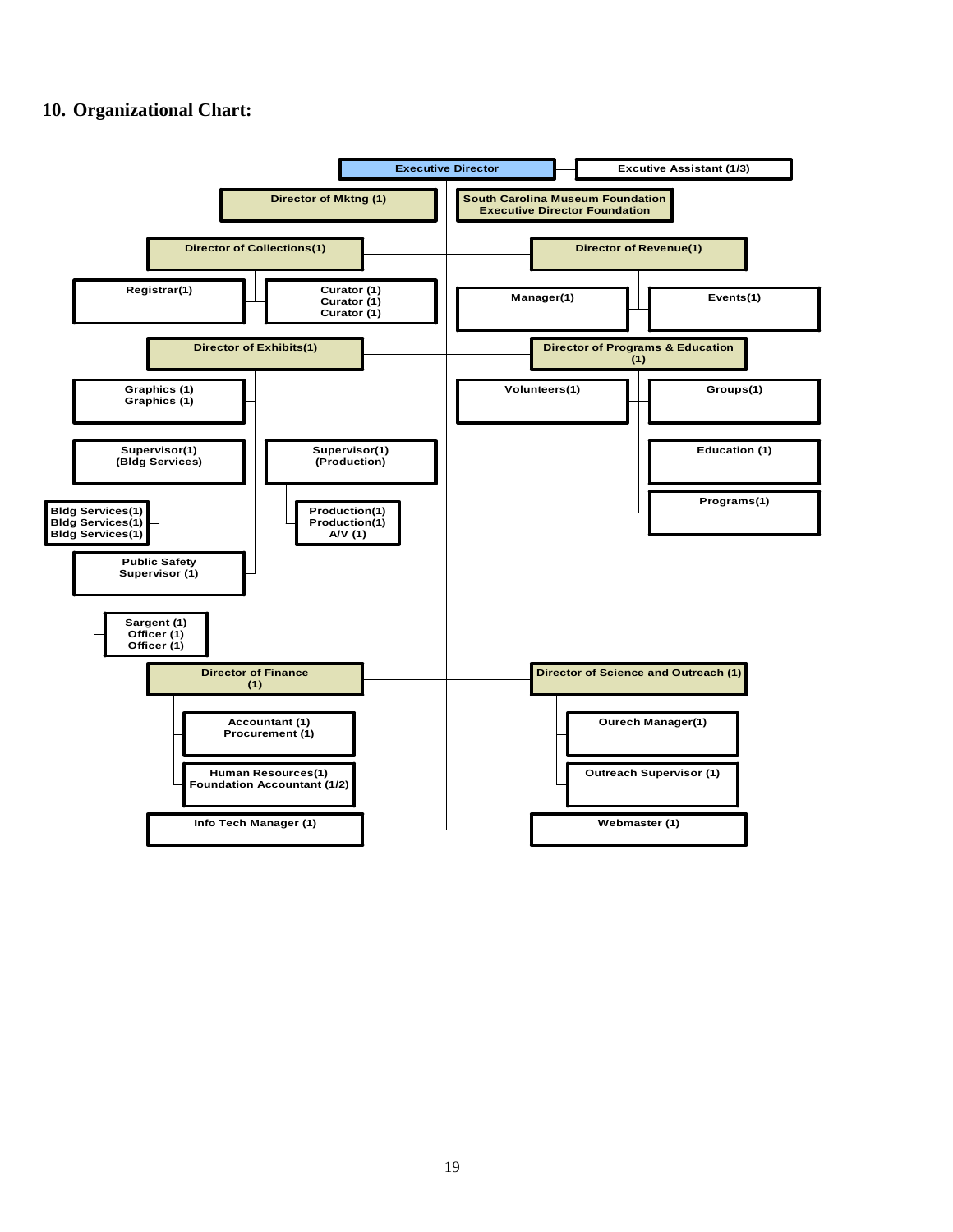### **10. Organizational Chart:**

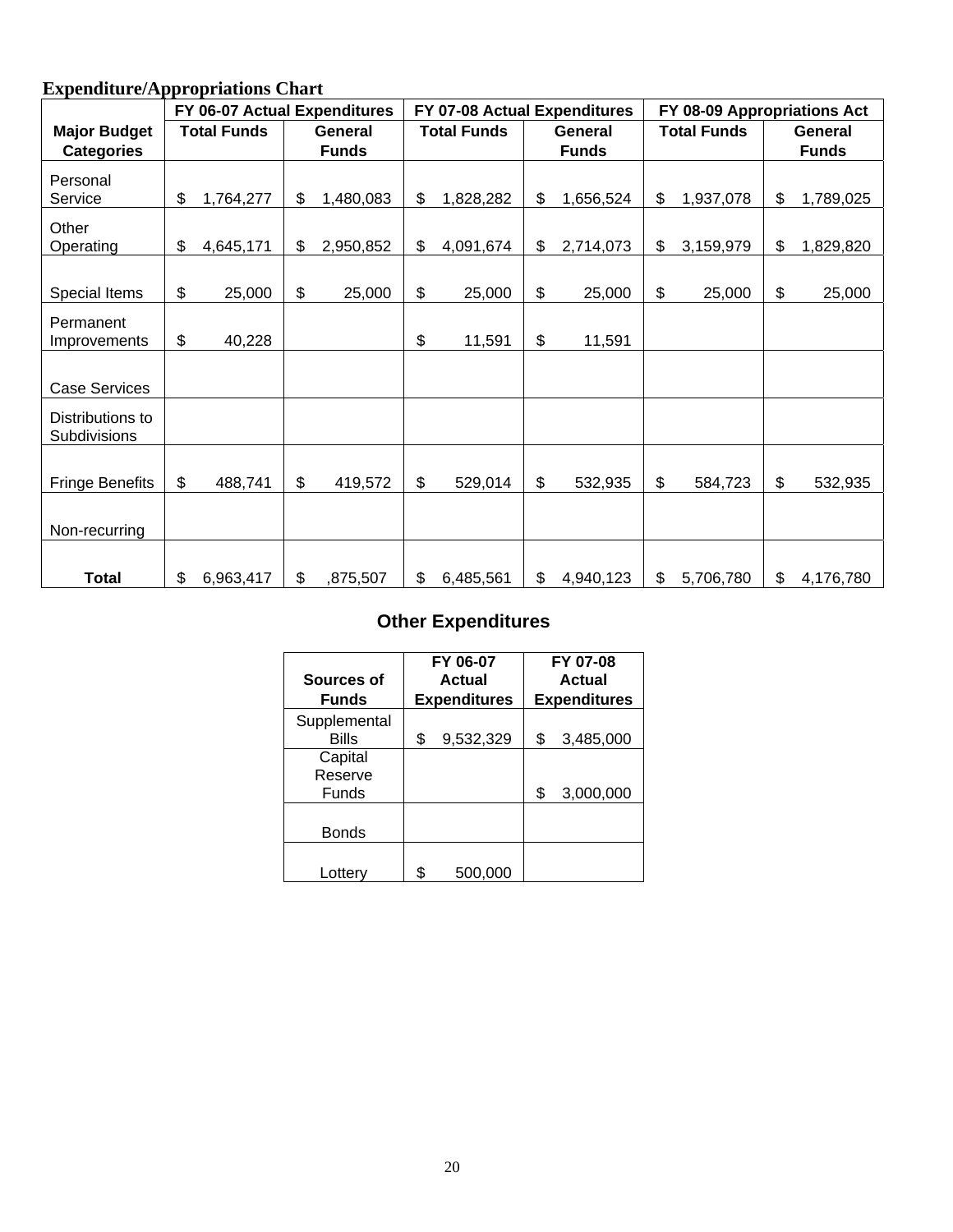## **Expenditure/Appropriations Chart**

|                                  | FY 06-07 Actual Expenditures |                 | FY 07-08 Actual Expenditures |                    |         | FY 08-09 Appropriations Act |    |                    |              |           |
|----------------------------------|------------------------------|-----------------|------------------------------|--------------------|---------|-----------------------------|----|--------------------|--------------|-----------|
| <b>Major Budget</b>              | <b>Total Funds</b>           | General         |                              | <b>Total Funds</b> | General |                             |    | <b>Total Funds</b> | General      |           |
| <b>Categories</b>                |                              | <b>Funds</b>    |                              |                    |         | <b>Funds</b>                |    |                    | <b>Funds</b> |           |
| Personal                         |                              |                 |                              |                    |         |                             |    |                    |              |           |
| Service                          | \$<br>1,764,277              | \$<br>1,480,083 | \$                           | 1,828,282          | \$      | 1,656,524                   | \$ | 1,937,078          | \$           | 1,789,025 |
| Other<br>Operating               | \$<br>4,645,171              | \$<br>2,950,852 | \$                           | 4,091,674          | \$      | 2,714,073                   | \$ | 3,159,979          | \$           | 1,829,820 |
|                                  |                              |                 |                              |                    |         |                             |    |                    |              |           |
| Special Items                    | \$<br>25,000                 | \$<br>25,000    | \$                           | 25,000             | \$      | 25,000                      | \$ | 25,000             | \$           | 25,000    |
| Permanent<br>Improvements        | \$<br>40,228                 |                 | \$                           | 11,591             | \$      | 11,591                      |    |                    |              |           |
|                                  |                              |                 |                              |                    |         |                             |    |                    |              |           |
| <b>Case Services</b>             |                              |                 |                              |                    |         |                             |    |                    |              |           |
| Distributions to<br>Subdivisions |                              |                 |                              |                    |         |                             |    |                    |              |           |
| <b>Fringe Benefits</b>           | \$<br>488,741                | \$<br>419,572   | \$                           | 529,014            | \$      | 532,935                     | \$ | 584,723            | \$           | 532,935   |
| Non-recurring                    |                              |                 |                              |                    |         |                             |    |                    |              |           |
|                                  |                              |                 |                              |                    |         |                             |    |                    |              |           |
| <b>Total</b>                     | \$<br>6,963,417              | \$<br>,875,507  | \$                           | 6,485,561          | \$      | 4,940,123                   | \$ | 5,706,780          | \$           | 4,176,780 |

# **Other Expenditures**

| Sources of                         | FY 06-07<br>Actual  |                     | FY 07-08<br>Actual |  |
|------------------------------------|---------------------|---------------------|--------------------|--|
| <b>Funds</b>                       | <b>Expenditures</b> | <b>Expenditures</b> |                    |  |
| Supplemental<br>Bills              | \$<br>9,532,329     | \$                  | 3,485,000          |  |
| Capital<br>Reserve<br><b>Funds</b> |                     | \$                  | 3,000,000          |  |
| <b>Bonds</b>                       |                     |                     |                    |  |
| Lottery                            | \$<br>500,000       |                     |                    |  |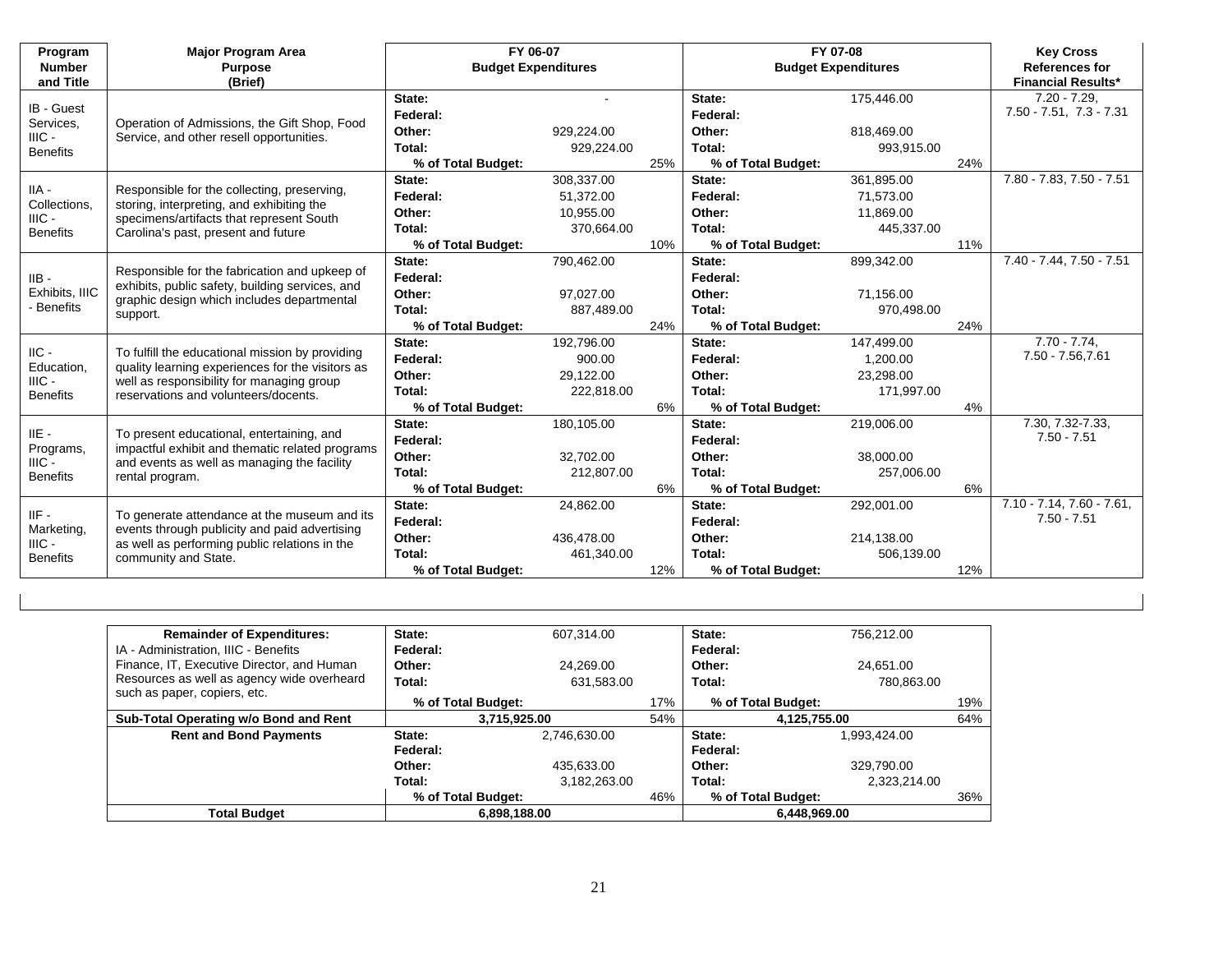| Program<br><b>Number</b><br>and Title | <b>Major Program Area</b><br><b>Purpose</b><br>(Brief)                                                                                                                                   | FY 06-07<br><b>Budget Expenditures</b> |            |     | FY 07-08<br><b>Budget Expenditures</b> |            | <b>Key Cross</b><br><b>References for</b><br><b>Financial Results*</b> |                                               |
|---------------------------------------|------------------------------------------------------------------------------------------------------------------------------------------------------------------------------------------|----------------------------------------|------------|-----|----------------------------------------|------------|------------------------------------------------------------------------|-----------------------------------------------|
| IB - Guest                            |                                                                                                                                                                                          | State:<br>Federal:                     |            |     | State:<br>Federal:                     | 175,446.00 |                                                                        | $7.20 - 7.29$<br>$7.50 - 7.51$ , $7.3 - 7.31$ |
| Services,                             | Operation of Admissions, the Gift Shop, Food                                                                                                                                             | Other:                                 | 929,224.00 |     | Other:                                 | 818.469.00 |                                                                        |                                               |
| $HIC -$<br><b>Benefits</b>            | Service, and other resell opportunities.                                                                                                                                                 | Total:                                 | 929,224.00 |     | Total:                                 | 993,915.00 |                                                                        |                                               |
|                                       |                                                                                                                                                                                          | % of Total Budget:                     |            | 25% | % of Total Budget:                     |            | 24%                                                                    |                                               |
|                                       |                                                                                                                                                                                          | State:                                 | 308,337.00 |     | State:                                 | 361,895.00 |                                                                        | 7.80 - 7.83, 7.50 - 7.51                      |
| $IIA -$                               | Responsible for the collecting, preserving,                                                                                                                                              | Federal:                               | 51,372.00  |     | Federal:                               | 71,573.00  |                                                                        |                                               |
| Collections,<br>$HIC -$               | storing, interpreting, and exhibiting the                                                                                                                                                | Other:                                 | 10,955.00  |     | Other:                                 | 11,869.00  |                                                                        |                                               |
| <b>Benefits</b>                       | specimens/artifacts that represent South<br>Carolina's past, present and future                                                                                                          | Total:                                 | 370.664.00 |     | Total:                                 | 445,337.00 |                                                                        |                                               |
|                                       |                                                                                                                                                                                          | % of Total Budget:                     |            | 10% | % of Total Budget:                     |            | 11%                                                                    |                                               |
| $IIB -$<br>Exhibits, IIIC             | Responsible for the fabrication and upkeep of<br>exhibits, public safety, building services, and<br>graphic design which includes departmental<br>support.                               | State:                                 | 790,462.00 |     | State:                                 | 899,342.00 |                                                                        | 7.40 - 7.44, 7.50 - 7.51                      |
|                                       |                                                                                                                                                                                          | Federal:                               |            |     | Federal:                               |            |                                                                        |                                               |
|                                       |                                                                                                                                                                                          | Other:                                 | 97,027.00  |     | Other:                                 | 71,156.00  |                                                                        |                                               |
| - Benefits                            |                                                                                                                                                                                          | Total:                                 | 887,489.00 |     | Total:                                 | 970,498.00 |                                                                        |                                               |
|                                       |                                                                                                                                                                                          | % of Total Budget:                     |            | 24% | % of Total Budget:                     |            | 24%                                                                    |                                               |
| $\text{IIC}$ -                        | To fulfill the educational mission by providing<br>quality learning experiences for the visitors as<br>well as responsibility for managing group<br>reservations and volunteers/docents. | State:                                 | 192,796.00 |     | State:                                 | 147,499.00 |                                                                        | $7.70 - 7.74$                                 |
| Education,                            |                                                                                                                                                                                          | Federal:                               | 900.00     |     | Federal:                               | 1,200.00   |                                                                        | 7.50 - 7.56,7.61                              |
| $HIC -$                               |                                                                                                                                                                                          | Other:                                 | 29,122.00  |     | Other:                                 | 23,298.00  |                                                                        |                                               |
| <b>Benefits</b>                       |                                                                                                                                                                                          | Total:                                 | 222,818.00 |     | Total:                                 | 171,997.00 |                                                                        |                                               |
|                                       |                                                                                                                                                                                          | % of Total Budget:                     |            | 6%  | % of Total Budget:                     |            | 4%                                                                     |                                               |
| $IIE -$                               | To present educational, entertaining, and                                                                                                                                                | State:                                 | 180,105.00 |     | State:                                 | 219,006.00 |                                                                        | 7.30, 7.32-7.33,                              |
| Programs,                             | impactful exhibit and thematic related programs                                                                                                                                          | Federal:                               |            |     | Federal:                               |            |                                                                        | $7.50 - 7.51$                                 |
| $HIC -$                               | and events as well as managing the facility                                                                                                                                              | Other:                                 | 32,702.00  |     | Other:                                 | 38,000.00  |                                                                        |                                               |
| <b>Benefits</b>                       | rental program.                                                                                                                                                                          | Total:                                 | 212,807.00 |     | Total:                                 | 257,006.00 |                                                                        |                                               |
|                                       |                                                                                                                                                                                          | % of Total Budget:                     |            | 6%  | % of Total Budget:                     |            | 6%                                                                     |                                               |
| $IIF -$                               | To generate attendance at the museum and its                                                                                                                                             | State:                                 | 24,862.00  |     | State:                                 | 292,001.00 |                                                                        | 7.10 - 7.14, 7.60 - 7.61,                     |
| Marketing,                            | events through publicity and paid advertising                                                                                                                                            | Federal:                               |            |     | Federal:                               |            |                                                                        | $7.50 - 7.51$                                 |
| $HIC -$                               | as well as performing public relations in the                                                                                                                                            | Other:                                 | 436,478.00 |     | Other:                                 | 214,138.00 |                                                                        |                                               |
| <b>Benefits</b>                       | community and State.                                                                                                                                                                     | Total:                                 | 461,340.00 |     | Total:                                 | 506,139.00 |                                                                        |                                               |
|                                       |                                                                                                                                                                                          | % of Total Budget:                     |            | 12% | % of Total Budget:                     |            | 12%                                                                    |                                               |

| <b>Remainder of Expenditures:</b>          | State:             | 607,314.00   |     | State:   | 756.212.00         |     |
|--------------------------------------------|--------------------|--------------|-----|----------|--------------------|-----|
| IA - Administration, IIIC - Benefits       | Federal:           |              |     | Federal: |                    |     |
| Finance, IT, Executive Director, and Human | Other:             | 24.269.00    |     | Other:   | 24.651.00          |     |
| Resources as well as agency wide overheard | Total:             | 631,583.00   |     | Total:   | 780,863.00         |     |
| such as paper, copiers, etc.               | % of Total Budget: |              | 17% |          | % of Total Budget: | 19% |
| Sub-Total Operating w/o Bond and Rent      | 3,715,925.00       |              | 54% |          | 4,125,755.00       | 64% |
| <b>Rent and Bond Payments</b>              | State:             | 2,746,630.00 |     | State:   | 1.993.424.00       |     |
|                                            | Federal:           |              |     | Federal: |                    |     |
|                                            | Other:             | 435,633.00   |     | Other:   | 329,790.00         |     |
|                                            | Total:             | 3,182,263.00 |     | Total:   | 2,323,214.00       |     |
|                                            | % of Total Budget: |              | 46% |          | % of Total Budget: | 36% |
| <b>Total Budget</b>                        | 6.898.188.00       |              |     |          | 6.448.969.00       |     |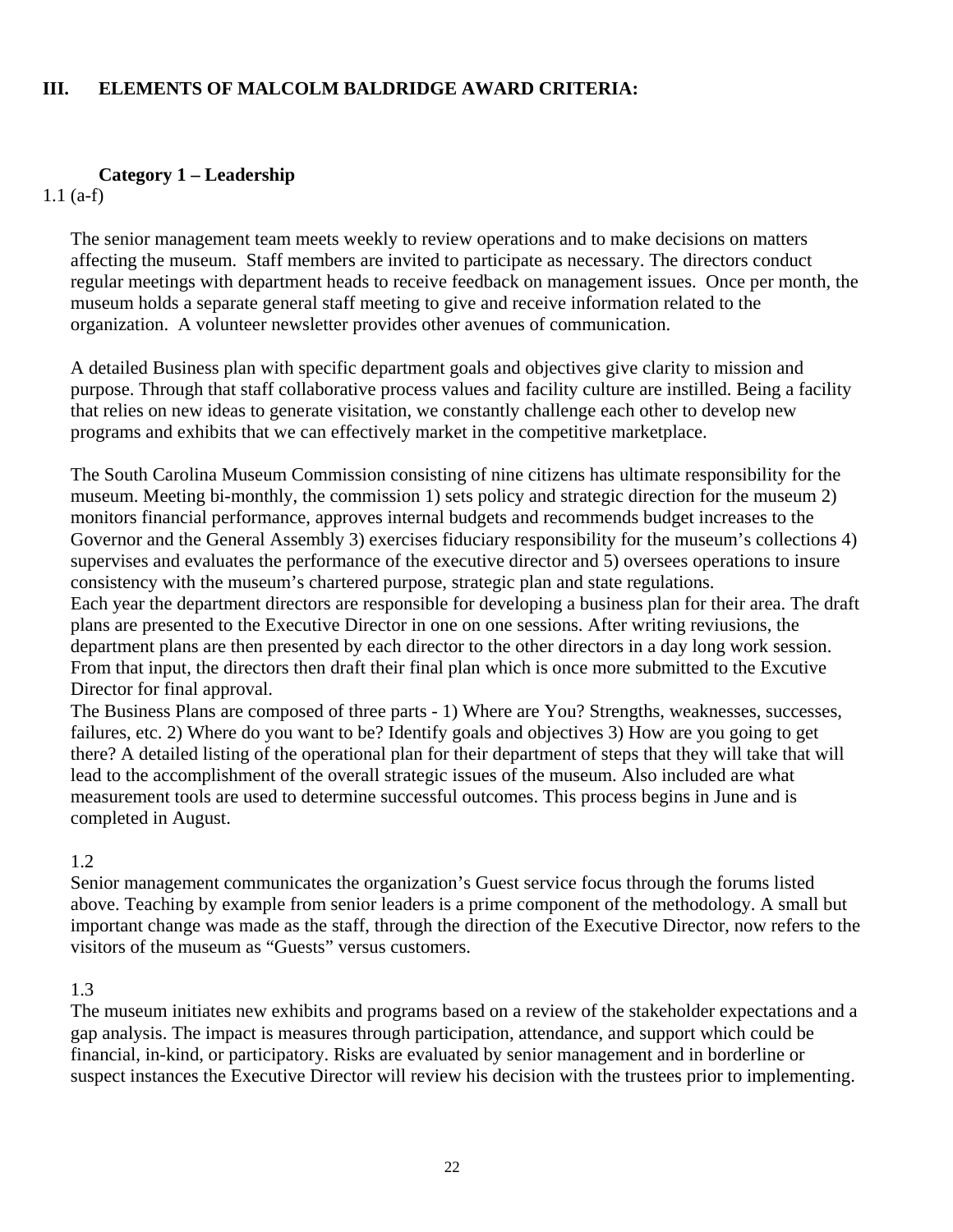### **III. ELEMENTS OF MALCOLM BALDRIDGE AWARD CRITERIA:**

### **Category 1 – Leadership**

1.1 (a-f)

The senior management team meets weekly to review operations and to make decisions on matters affecting the museum. Staff members are invited to participate as necessary. The directors conduct regular meetings with department heads to receive feedback on management issues. Once per month, the museum holds a separate general staff meeting to give and receive information related to the organization. A volunteer newsletter provides other avenues of communication.

A detailed Business plan with specific department goals and objectives give clarity to mission and purpose. Through that staff collaborative process values and facility culture are instilled. Being a facility that relies on new ideas to generate visitation, we constantly challenge each other to develop new programs and exhibits that we can effectively market in the competitive marketplace.

The South Carolina Museum Commission consisting of nine citizens has ultimate responsibility for the museum. Meeting bi-monthly, the commission 1) sets policy and strategic direction for the museum 2) monitors financial performance, approves internal budgets and recommends budget increases to the Governor and the General Assembly 3) exercises fiduciary responsibility for the museum's collections 4) supervises and evaluates the performance of the executive director and 5) oversees operations to insure consistency with the museum's chartered purpose, strategic plan and state regulations.

Each year the department directors are responsible for developing a business plan for their area. The draft plans are presented to the Executive Director in one on one sessions. After writing reviusions, the department plans are then presented by each director to the other directors in a day long work session. From that input, the directors then draft their final plan which is once more submitted to the Excutive Director for final approval.

The Business Plans are composed of three parts - 1) Where are You? Strengths, weaknesses, successes, failures, etc. 2) Where do you want to be? Identify goals and objectives 3) How are you going to get there? A detailed listing of the operational plan for their department of steps that they will take that will lead to the accomplishment of the overall strategic issues of the museum. Also included are what measurement tools are used to determine successful outcomes. This process begins in June and is completed in August.

### 1.2

Senior management communicates the organization's Guest service focus through the forums listed above. Teaching by example from senior leaders is a prime component of the methodology. A small but important change was made as the staff, through the direction of the Executive Director, now refers to the visitors of the museum as "Guests" versus customers.

### 1.3

The museum initiates new exhibits and programs based on a review of the stakeholder expectations and a gap analysis. The impact is measures through participation, attendance, and support which could be financial, in-kind, or participatory. Risks are evaluated by senior management and in borderline or suspect instances the Executive Director will review his decision with the trustees prior to implementing.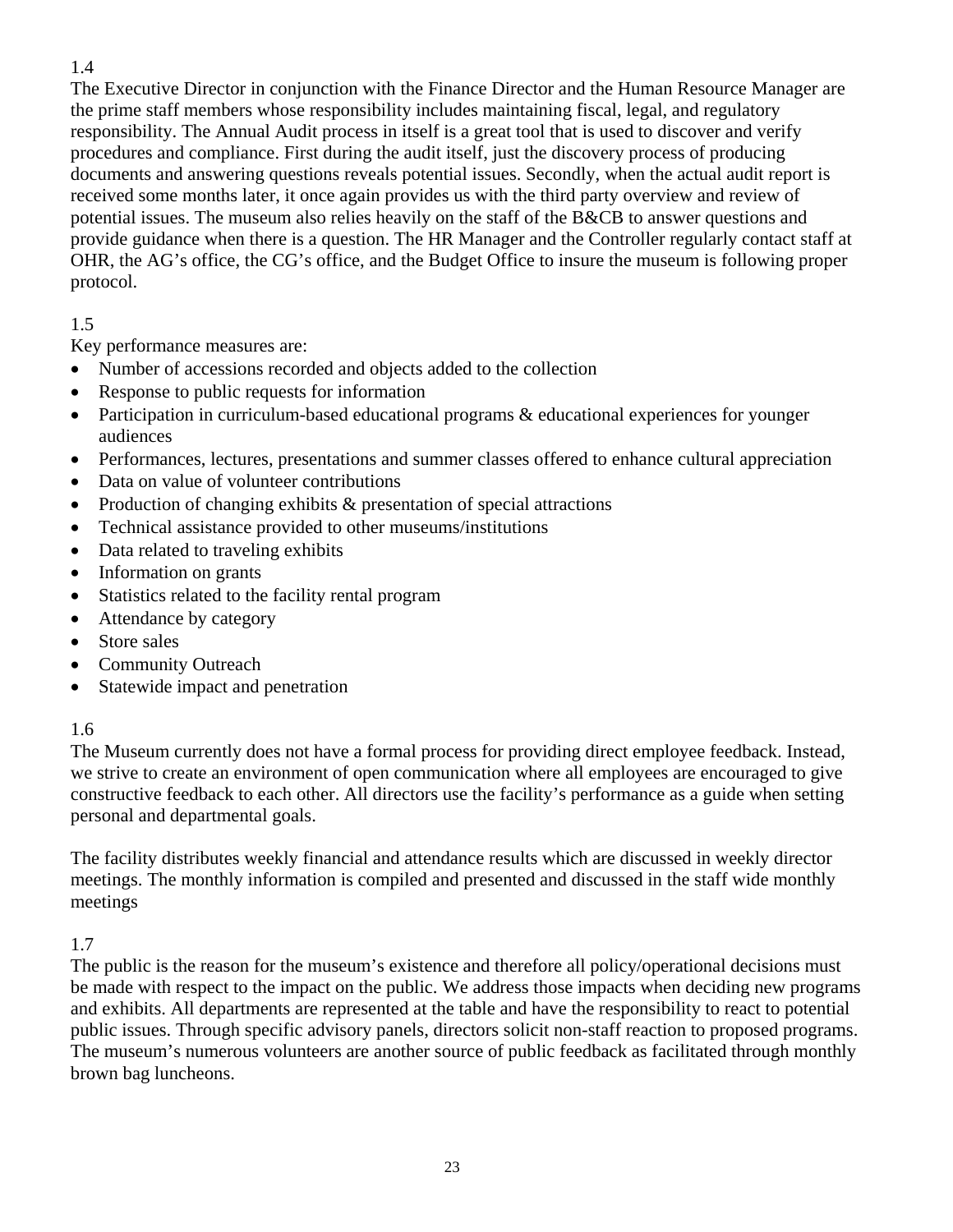## 1.4

The Executive Director in conjunction with the Finance Director and the Human Resource Manager are the prime staff members whose responsibility includes maintaining fiscal, legal, and regulatory responsibility. The Annual Audit process in itself is a great tool that is used to discover and verify procedures and compliance. First during the audit itself, just the discovery process of producing documents and answering questions reveals potential issues. Secondly, when the actual audit report is received some months later, it once again provides us with the third party overview and review of potential issues. The museum also relies heavily on the staff of the B&CB to answer questions and provide guidance when there is a question. The HR Manager and the Controller regularly contact staff at OHR, the AG's office, the CG's office, and the Budget Office to insure the museum is following proper protocol.

## 1.5

Key performance measures are:

- Number of accessions recorded and objects added to the collection
- Response to public requests for information
- Participation in curriculum-based educational programs  $\&$  educational experiences for younger audiences
- Performances, lectures, presentations and summer classes offered to enhance cultural appreciation
- Data on value of volunteer contributions
- Production of changing exhibits & presentation of special attractions
- Technical assistance provided to other museums/institutions
- Data related to traveling exhibits
- Information on grants
- Statistics related to the facility rental program
- Attendance by category
- Store sales
- Community Outreach
- Statewide impact and penetration

## 1.6

The Museum currently does not have a formal process for providing direct employee feedback. Instead, we strive to create an environment of open communication where all employees are encouraged to give constructive feedback to each other. All directors use the facility's performance as a guide when setting personal and departmental goals.

The facility distributes weekly financial and attendance results which are discussed in weekly director meetings. The monthly information is compiled and presented and discussed in the staff wide monthly meetings

### 1.7

The public is the reason for the museum's existence and therefore all policy/operational decisions must be made with respect to the impact on the public. We address those impacts when deciding new programs and exhibits. All departments are represented at the table and have the responsibility to react to potential public issues. Through specific advisory panels, directors solicit non-staff reaction to proposed programs. The museum's numerous volunteers are another source of public feedback as facilitated through monthly brown bag luncheons.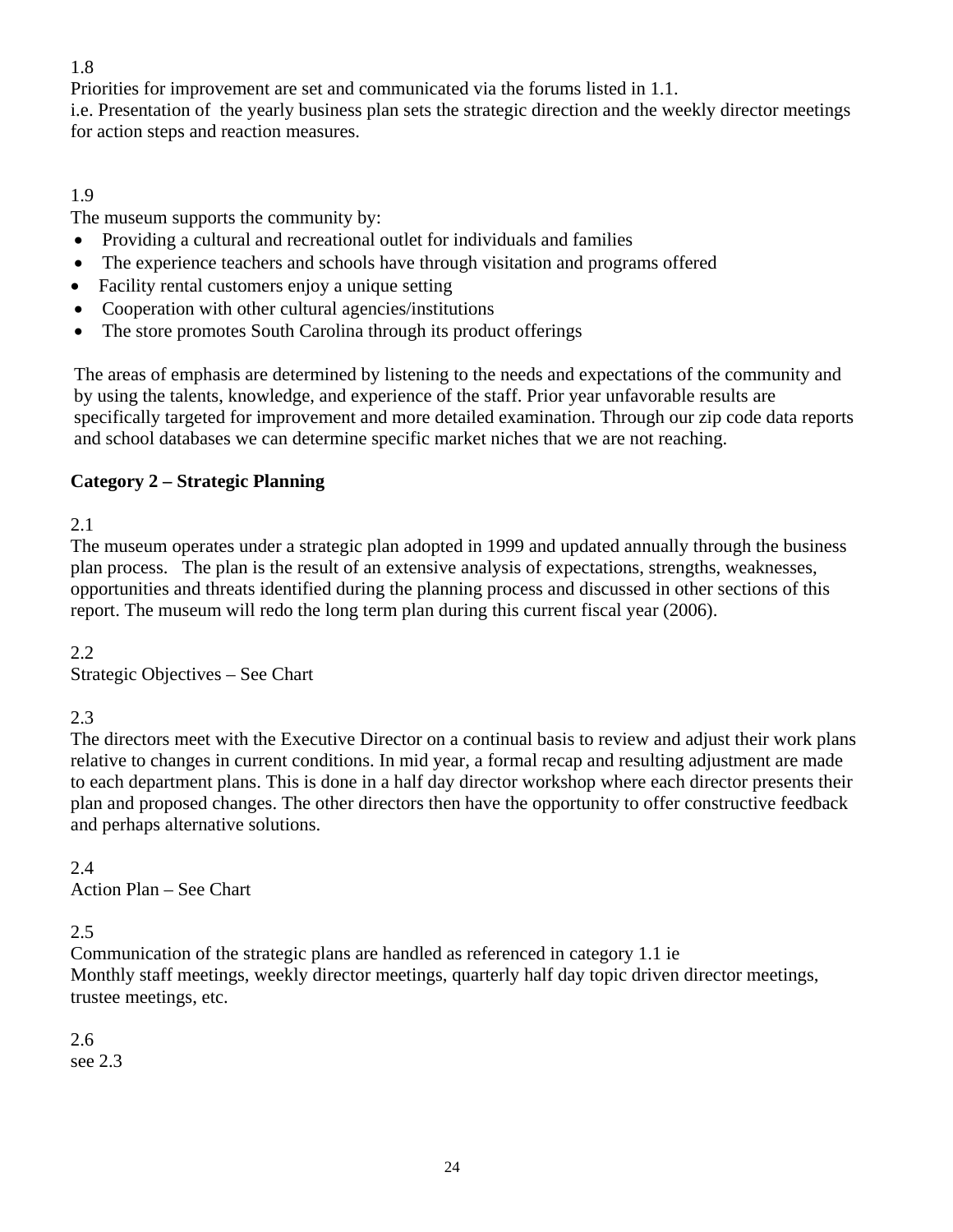## 1.8

Priorities for improvement are set and communicated via the forums listed in 1.1.

i.e. Presentation of the yearly business plan sets the strategic direction and the weekly director meetings for action steps and reaction measures.

## 1.9

The museum supports the community by:

- Providing a cultural and recreational outlet for individuals and families
- The experience teachers and schools have through visitation and programs offered
- Facility rental customers enjoy a unique setting
- Cooperation with other cultural agencies/institutions
- The store promotes South Carolina through its product offerings

The areas of emphasis are determined by listening to the needs and expectations of the community and by using the talents, knowledge, and experience of the staff. Prior year unfavorable results are specifically targeted for improvement and more detailed examination. Through our zip code data reports and school databases we can determine specific market niches that we are not reaching.

## **Category 2 – Strategic Planning**

### 2.1

The museum operates under a strategic plan adopted in 1999 and updated annually through the business plan process. The plan is the result of an extensive analysis of expectations, strengths, weaknesses, opportunities and threats identified during the planning process and discussed in other sections of this report. The museum will redo the long term plan during this current fiscal year (2006).

### 2.2

Strategic Objectives – See Chart

## 2.3

The directors meet with the Executive Director on a continual basis to review and adjust their work plans relative to changes in current conditions. In mid year, a formal recap and resulting adjustment are made to each department plans. This is done in a half day director workshop where each director presents their plan and proposed changes. The other directors then have the opportunity to offer constructive feedback and perhaps alternative solutions.

### 2.4

Action Plan – See Chart

## 2.5

Communication of the strategic plans are handled as referenced in category 1.1 ie Monthly staff meetings, weekly director meetings, quarterly half day topic driven director meetings, trustee meetings, etc.

2.6 see 2.3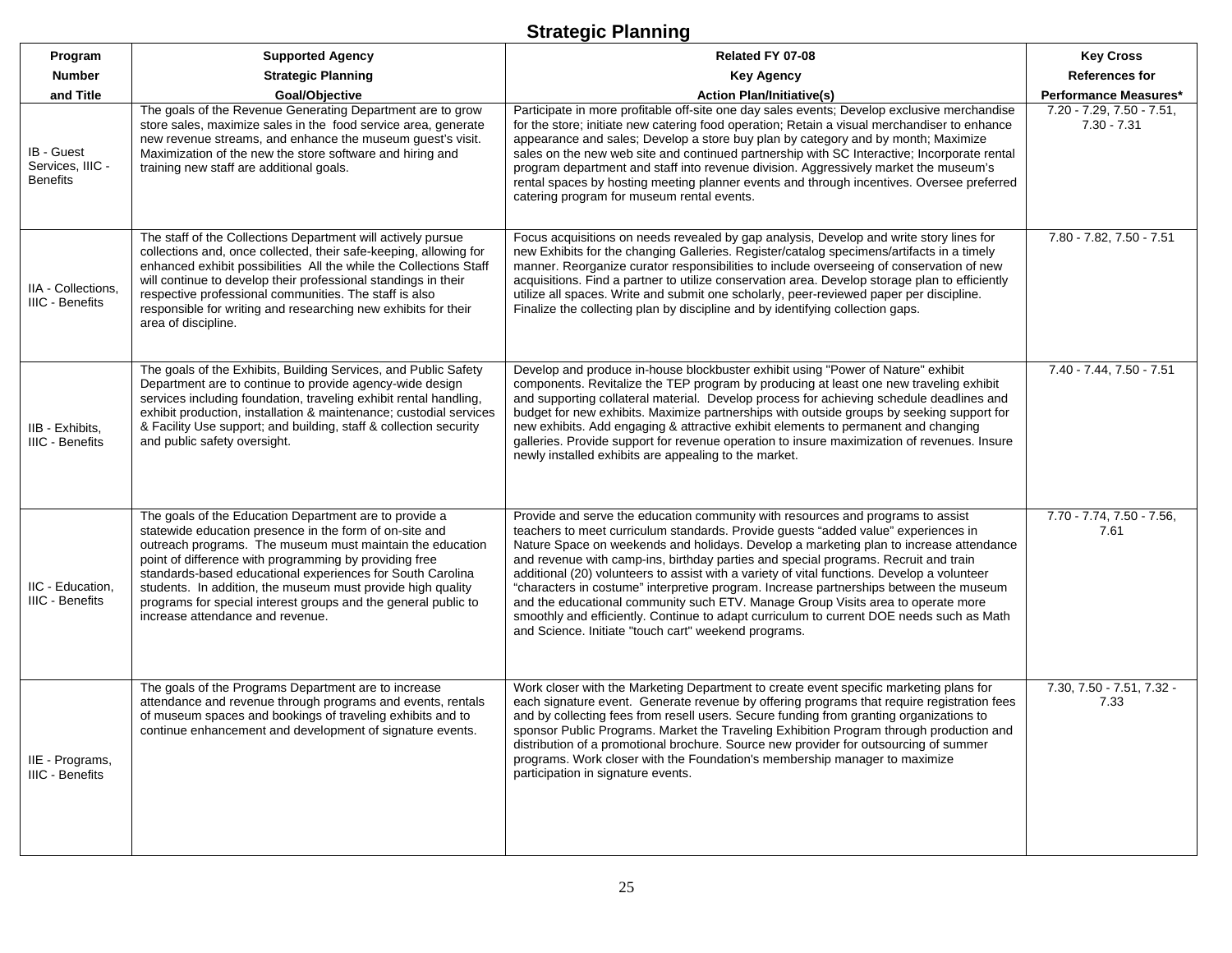## **Strategic Planning**

| Program                                           | <b>Supported Agency</b>                                                                                                                                                                                                                                                                                                                                                                                                                                                     | Related FY 07-08                                                                                                                                                                                                                                                                                                                                                                                                                                                                                                                                                                                                                                                                                                                                                                        | <b>Key Cross</b>                           |
|---------------------------------------------------|-----------------------------------------------------------------------------------------------------------------------------------------------------------------------------------------------------------------------------------------------------------------------------------------------------------------------------------------------------------------------------------------------------------------------------------------------------------------------------|-----------------------------------------------------------------------------------------------------------------------------------------------------------------------------------------------------------------------------------------------------------------------------------------------------------------------------------------------------------------------------------------------------------------------------------------------------------------------------------------------------------------------------------------------------------------------------------------------------------------------------------------------------------------------------------------------------------------------------------------------------------------------------------------|--------------------------------------------|
| <b>Number</b>                                     | <b>Strategic Planning</b>                                                                                                                                                                                                                                                                                                                                                                                                                                                   | <b>Key Agency</b>                                                                                                                                                                                                                                                                                                                                                                                                                                                                                                                                                                                                                                                                                                                                                                       | <b>References for</b>                      |
| and Title                                         | Goal/Objective                                                                                                                                                                                                                                                                                                                                                                                                                                                              | <b>Action Plan/Initiative(s)</b>                                                                                                                                                                                                                                                                                                                                                                                                                                                                                                                                                                                                                                                                                                                                                        | <b>Performance Measures*</b>               |
| IB - Guest<br>Services, IIIC -<br><b>Benefits</b> | The goals of the Revenue Generating Department are to grow<br>store sales, maximize sales in the food service area, generate<br>new revenue streams, and enhance the museum guest's visit.<br>Maximization of the new the store software and hiring and<br>training new staff are additional goals.                                                                                                                                                                         | Participate in more profitable off-site one day sales events; Develop exclusive merchandise<br>for the store; initiate new catering food operation; Retain a visual merchandiser to enhance<br>appearance and sales; Develop a store buy plan by category and by month; Maximize<br>sales on the new web site and continued partnership with SC Interactive; Incorporate rental<br>program department and staff into revenue division. Aggressively market the museum's<br>rental spaces by hosting meeting planner events and through incentives. Oversee preferred<br>catering program for museum rental events.                                                                                                                                                                      | 7.20 - 7.29, 7.50 - 7.51,<br>$7.30 - 7.31$ |
| IIA - Collections.<br><b>IIIC - Benefits</b>      | The staff of the Collections Department will actively pursue<br>collections and, once collected, their safe-keeping, allowing for<br>enhanced exhibit possibilities All the while the Collections Staff<br>will continue to develop their professional standings in their<br>respective professional communities. The staff is also<br>responsible for writing and researching new exhibits for their<br>area of discipline.                                                | Focus acquisitions on needs revealed by gap analysis, Develop and write story lines for<br>new Exhibits for the changing Galleries. Register/catalog specimens/artifacts in a timely<br>manner. Reorganize curator responsibilities to include overseeing of conservation of new<br>acquisitions. Find a partner to utilize conservation area. Develop storage plan to efficiently<br>utilize all spaces. Write and submit one scholarly, peer-reviewed paper per discipline.<br>Finalize the collecting plan by discipline and by identifying collection gaps.                                                                                                                                                                                                                         | 7.80 - 7.82, 7.50 - 7.51                   |
| IIB - Exhibits,<br><b>IIIC - Benefits</b>         | The goals of the Exhibits, Building Services, and Public Safety<br>Department are to continue to provide agency-wide design<br>services including foundation, traveling exhibit rental handling,<br>exhibit production, installation & maintenance; custodial services<br>& Facility Use support; and building, staff & collection security<br>and public safety oversight.                                                                                                 | Develop and produce in-house blockbuster exhibit using "Power of Nature" exhibit<br>components. Revitalize the TEP program by producing at least one new traveling exhibit<br>and supporting collateral material. Develop process for achieving schedule deadlines and<br>budget for new exhibits. Maximize partnerships with outside groups by seeking support for<br>new exhibits. Add engaging & attractive exhibit elements to permanent and changing<br>galleries. Provide support for revenue operation to insure maximization of revenues. Insure<br>newly installed exhibits are appealing to the market.                                                                                                                                                                       | 7.40 - 7.44, 7.50 - 7.51                   |
| IIC - Education,<br>IIIC - Benefits               | The goals of the Education Department are to provide a<br>statewide education presence in the form of on-site and<br>outreach programs. The museum must maintain the education<br>point of difference with programming by providing free<br>standards-based educational experiences for South Carolina<br>students. In addition, the museum must provide high quality<br>programs for special interest groups and the general public to<br>increase attendance and revenue. | Provide and serve the education community with resources and programs to assist<br>teachers to meet curriculum standards. Provide guests "added value" experiences in<br>Nature Space on weekends and holidays. Develop a marketing plan to increase attendance<br>and revenue with camp-ins, birthday parties and special programs. Recruit and train<br>additional (20) volunteers to assist with a variety of vital functions. Develop a volunteer<br>"characters in costume" interpretive program. Increase partnerships between the museum<br>and the educational community such ETV. Manage Group Visits area to operate more<br>smoothly and efficiently. Continue to adapt curriculum to current DOE needs such as Math<br>and Science. Initiate "touch cart" weekend programs. | 7.70 - 7.74, 7.50 - 7.56,<br>7.61          |
| IIE - Programs,<br><b>IIIC - Benefits</b>         | The goals of the Programs Department are to increase<br>attendance and revenue through programs and events, rentals<br>of museum spaces and bookings of traveling exhibits and to<br>continue enhancement and development of signature events.                                                                                                                                                                                                                              | Work closer with the Marketing Department to create event specific marketing plans for<br>each signature event. Generate revenue by offering programs that require registration fees<br>and by collecting fees from resell users. Secure funding from granting organizations to<br>sponsor Public Programs. Market the Traveling Exhibition Program through production and<br>distribution of a promotional brochure. Source new provider for outsourcing of summer<br>programs. Work closer with the Foundation's membership manager to maximize<br>participation in signature events.                                                                                                                                                                                                 | 7.30, 7.50 - 7.51, 7.32 -<br>7.33          |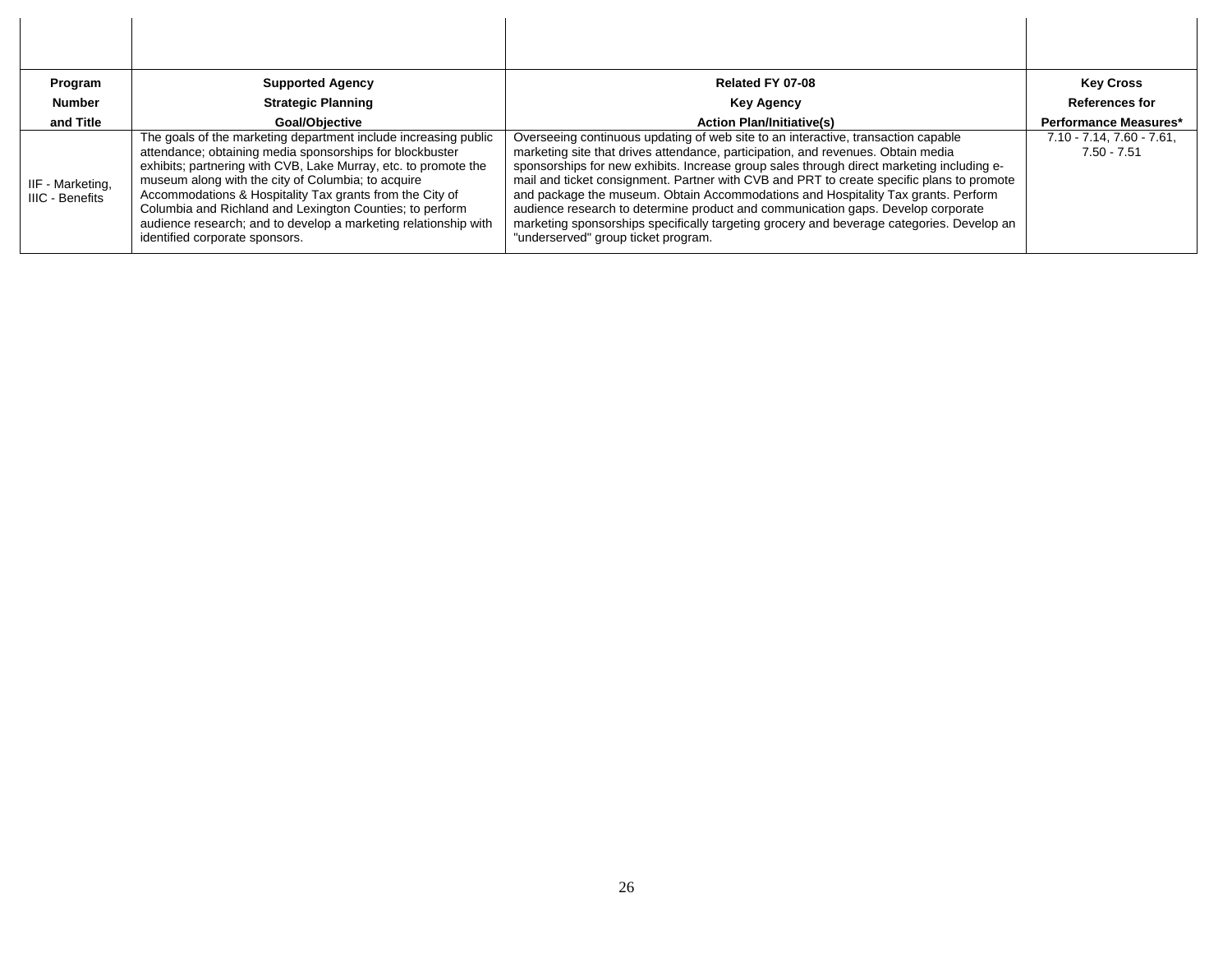| Program                                    | <b>Supported Agency</b>                                                                                                                                                                                                                                                                                                                                                                                                                                                           | Related FY 07-08                                                                                                                                                                                                                                                                                                                                                                                                                                                                                                                                                                                                                                                             | <b>Key Cross</b>                                 |
|--------------------------------------------|-----------------------------------------------------------------------------------------------------------------------------------------------------------------------------------------------------------------------------------------------------------------------------------------------------------------------------------------------------------------------------------------------------------------------------------------------------------------------------------|------------------------------------------------------------------------------------------------------------------------------------------------------------------------------------------------------------------------------------------------------------------------------------------------------------------------------------------------------------------------------------------------------------------------------------------------------------------------------------------------------------------------------------------------------------------------------------------------------------------------------------------------------------------------------|--------------------------------------------------|
| <b>Number</b>                              | <b>Strategic Planning</b>                                                                                                                                                                                                                                                                                                                                                                                                                                                         | <b>Key Agency</b>                                                                                                                                                                                                                                                                                                                                                                                                                                                                                                                                                                                                                                                            | <b>References for</b>                            |
| and Title                                  | Goal/Obiective                                                                                                                                                                                                                                                                                                                                                                                                                                                                    | <b>Action Plan/Initiative(s)</b>                                                                                                                                                                                                                                                                                                                                                                                                                                                                                                                                                                                                                                             | Performance Measures*                            |
| IIF - Marketing,<br><b>IIIC - Benefits</b> | The goals of the marketing department include increasing public<br>attendance; obtaining media sponsorships for blockbuster<br>exhibits; partnering with CVB, Lake Murray, etc. to promote the<br>museum along with the city of Columbia; to acquire<br>Accommodations & Hospitality Tax grants from the City of<br>Columbia and Richland and Lexington Counties; to perform<br>audience research; and to develop a marketing relationship with<br>identified corporate sponsors. | Overseeing continuous updating of web site to an interactive, transaction capable<br>marketing site that drives attendance, participation, and revenues. Obtain media<br>sponsorships for new exhibits. Increase group sales through direct marketing including e-<br>mail and ticket consignment. Partner with CVB and PRT to create specific plans to promote<br>and package the museum. Obtain Accommodations and Hospitality Tax grants. Perform<br>audience research to determine product and communication gaps. Develop corporate<br>marketing sponsorships specifically targeting grocery and beverage categories. Develop an<br>"underserved" group ticket program. | $7.10 - 7.14$ , $7.60 - 7.61$ ,<br>$7.50 - 7.51$ |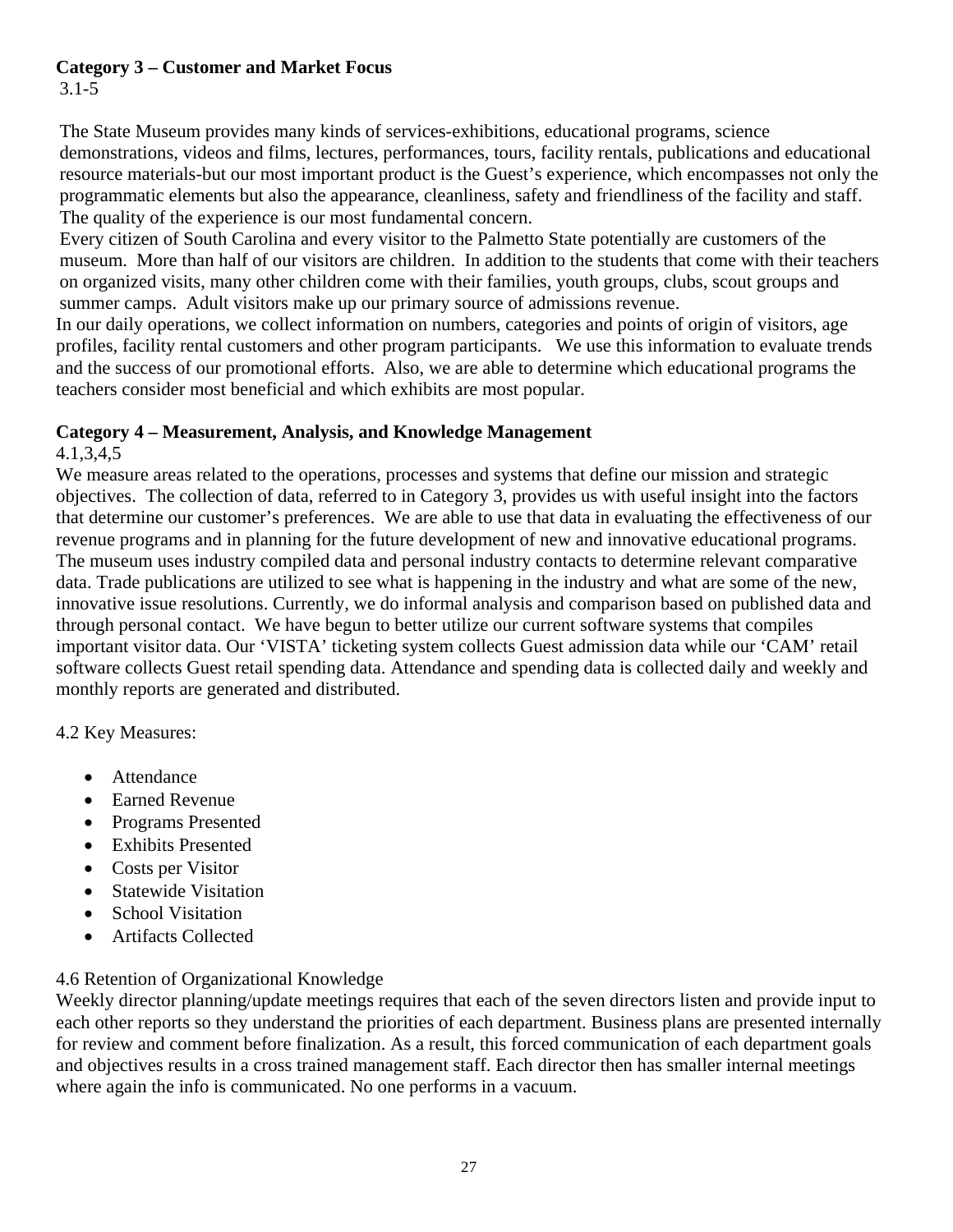## **Category 3 – Customer and Market Focus**

3.1-5

The State Museum provides many kinds of services-exhibitions, educational programs, science demonstrations, videos and films, lectures, performances, tours, facility rentals, publications and educational resource materials-but our most important product is the Guest's experience, which encompasses not only the programmatic elements but also the appearance, cleanliness, safety and friendliness of the facility and staff. The quality of the experience is our most fundamental concern.

Every citizen of South Carolina and every visitor to the Palmetto State potentially are customers of the museum. More than half of our visitors are children. In addition to the students that come with their teachers on organized visits, many other children come with their families, youth groups, clubs, scout groups and summer camps. Adult visitors make up our primary source of admissions revenue.

In our daily operations, we collect information on numbers, categories and points of origin of visitors, age profiles, facility rental customers and other program participants. We use this information to evaluate trends and the success of our promotional efforts. Also, we are able to determine which educational programs the teachers consider most beneficial and which exhibits are most popular.

### **Category 4 – Measurement, Analysis, and Knowledge Management**

4.1,3,4,5

We measure areas related to the operations, processes and systems that define our mission and strategic objectives. The collection of data, referred to in Category 3, provides us with useful insight into the factors that determine our customer's preferences. We are able to use that data in evaluating the effectiveness of our revenue programs and in planning for the future development of new and innovative educational programs. The museum uses industry compiled data and personal industry contacts to determine relevant comparative data. Trade publications are utilized to see what is happening in the industry and what are some of the new, innovative issue resolutions. Currently, we do informal analysis and comparison based on published data and through personal contact. We have begun to better utilize our current software systems that compiles important visitor data. Our 'VISTA' ticketing system collects Guest admission data while our 'CAM' retail software collects Guest retail spending data. Attendance and spending data is collected daily and weekly and monthly reports are generated and distributed.

## 4.2 Key Measures:

- **Attendance**
- Earned Revenue
- Programs Presented
- Exhibits Presented
- Costs per Visitor
- **Statewide Visitation**
- School Visitation
- Artifacts Collected

## 4.6 Retention of Organizational Knowledge

Weekly director planning/update meetings requires that each of the seven directors listen and provide input to each other reports so they understand the priorities of each department. Business plans are presented internally for review and comment before finalization. As a result, this forced communication of each department goals and objectives results in a cross trained management staff. Each director then has smaller internal meetings where again the info is communicated. No one performs in a vacuum.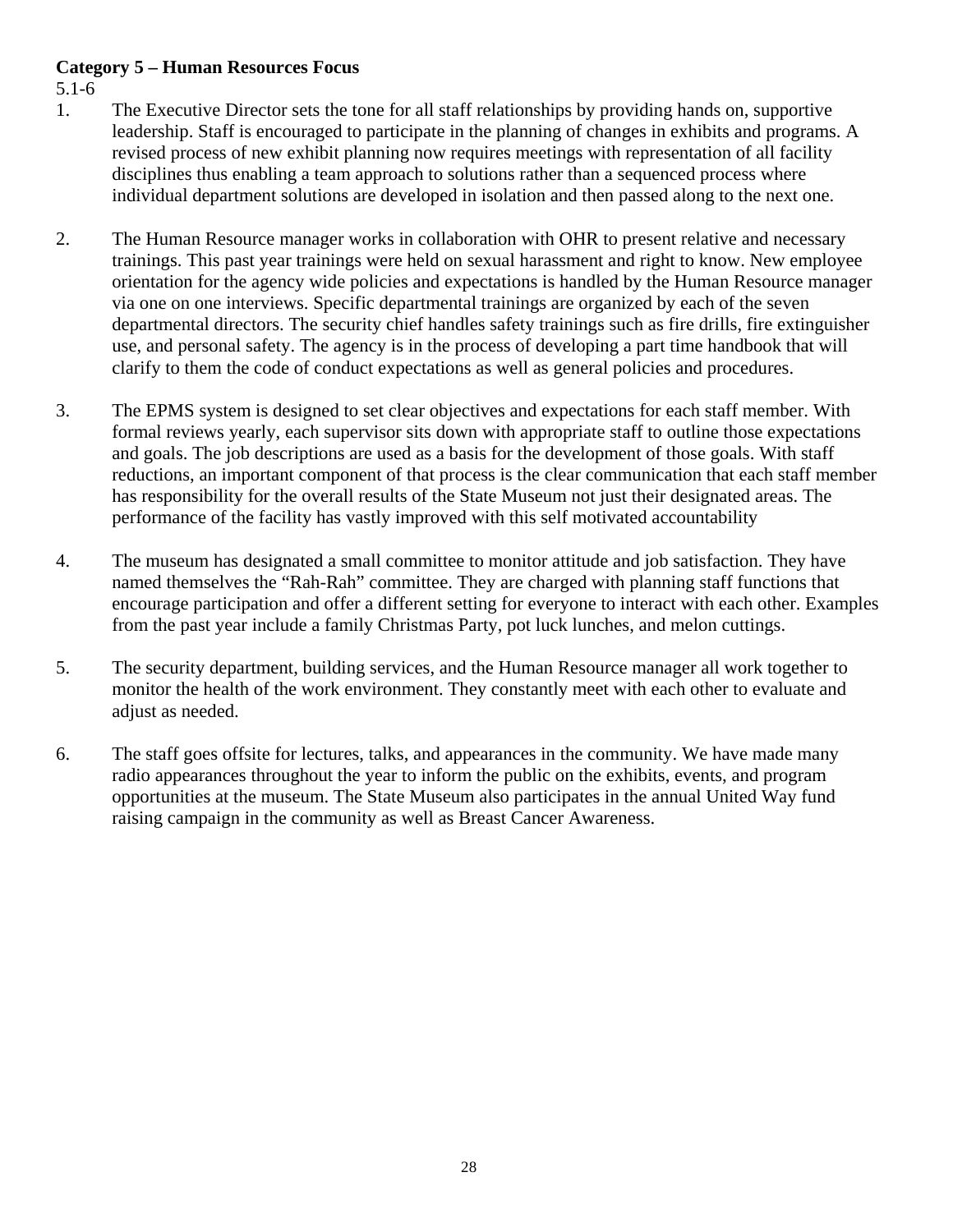### **Category 5 – Human Resources Focus**

5.1-6

- 1. The Executive Director sets the tone for all staff relationships by providing hands on, supportive leadership. Staff is encouraged to participate in the planning of changes in exhibits and programs. A revised process of new exhibit planning now requires meetings with representation of all facility disciplines thus enabling a team approach to solutions rather than a sequenced process where individual department solutions are developed in isolation and then passed along to the next one.
- 2. The Human Resource manager works in collaboration with OHR to present relative and necessary trainings. This past year trainings were held on sexual harassment and right to know. New employee orientation for the agency wide policies and expectations is handled by the Human Resource manager via one on one interviews. Specific departmental trainings are organized by each of the seven departmental directors. The security chief handles safety trainings such as fire drills, fire extinguisher use, and personal safety. The agency is in the process of developing a part time handbook that will clarify to them the code of conduct expectations as well as general policies and procedures.
- 3. The EPMS system is designed to set clear objectives and expectations for each staff member. With formal reviews yearly, each supervisor sits down with appropriate staff to outline those expectations and goals. The job descriptions are used as a basis for the development of those goals. With staff reductions, an important component of that process is the clear communication that each staff member has responsibility for the overall results of the State Museum not just their designated areas. The performance of the facility has vastly improved with this self motivated accountability
- 4. The museum has designated a small committee to monitor attitude and job satisfaction. They have named themselves the "Rah-Rah" committee. They are charged with planning staff functions that encourage participation and offer a different setting for everyone to interact with each other. Examples from the past year include a family Christmas Party, pot luck lunches, and melon cuttings.
- 5. The security department, building services, and the Human Resource manager all work together to monitor the health of the work environment. They constantly meet with each other to evaluate and adjust as needed.
- 6. The staff goes offsite for lectures, talks, and appearances in the community. We have made many radio appearances throughout the year to inform the public on the exhibits, events, and program opportunities at the museum. The State Museum also participates in the annual United Way fund raising campaign in the community as well as Breast Cancer Awareness.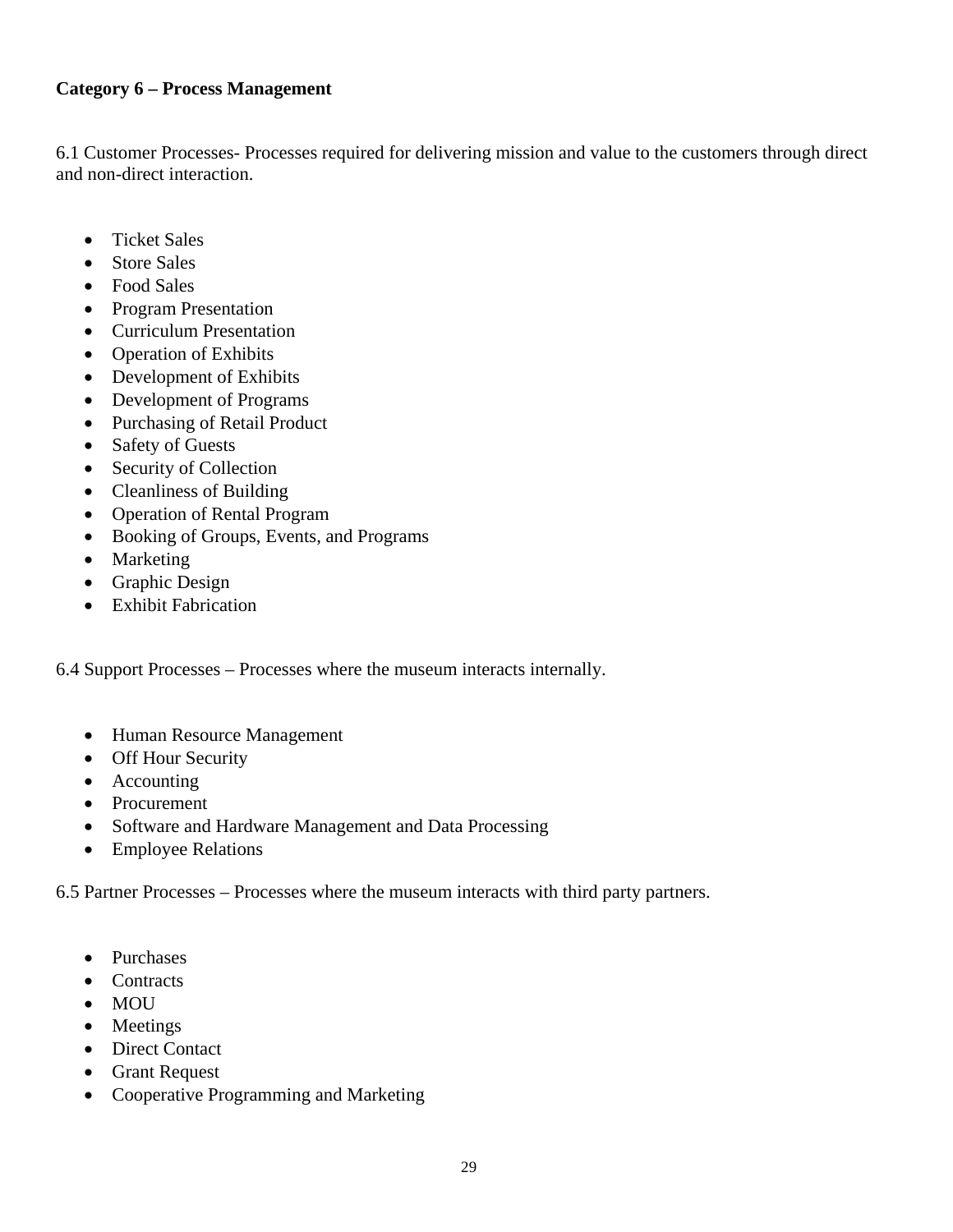### **Category 6 – Process Management**

6.1 Customer Processes- Processes required for delivering mission and value to the customers through direct and non-direct interaction.

- Ticket Sales
- Store Sales
- Food Sales
- Program Presentation
- Curriculum Presentation
- Operation of Exhibits
- Development of Exhibits
- Development of Programs
- Purchasing of Retail Product
- Safety of Guests
- Security of Collection
- Cleanliness of Building
- Operation of Rental Program
- Booking of Groups, Events, and Programs
- Marketing
- Graphic Design
- Exhibit Fabrication

6.4 Support Processes – Processes where the museum interacts internally.

- Human Resource Management
- Off Hour Security
- Accounting
- Procurement
- Software and Hardware Management and Data Processing
- Employee Relations

6.5 Partner Processes – Processes where the museum interacts with third party partners.

- Purchases
- Contracts
- MOU
- Meetings
- Direct Contact
- Grant Request
- Cooperative Programming and Marketing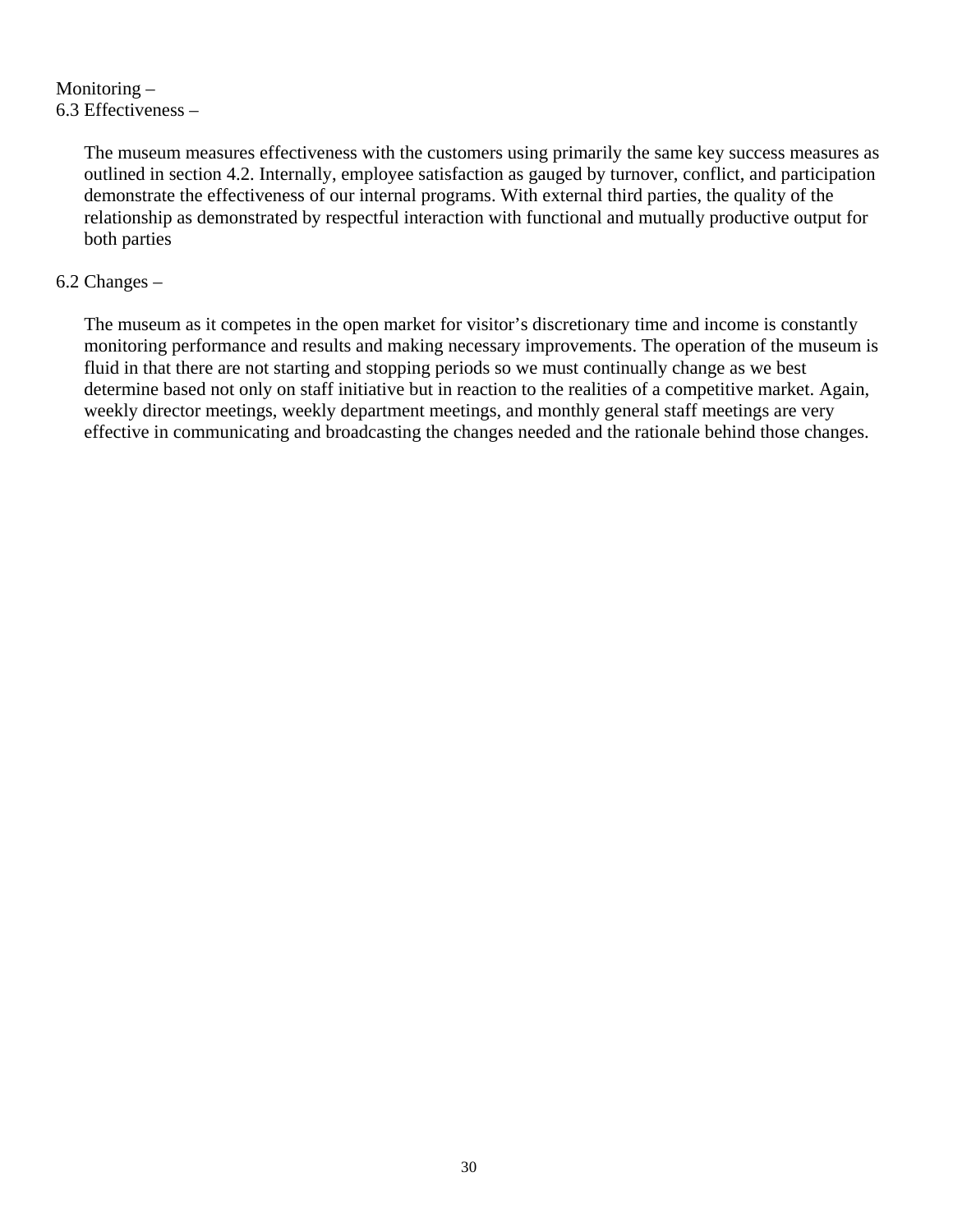Monitoring – 6.3 Effectiveness –

> The museum measures effectiveness with the customers using primarily the same key success measures as outlined in section 4.2. Internally, employee satisfaction as gauged by turnover, conflict, and participation demonstrate the effectiveness of our internal programs. With external third parties, the quality of the relationship as demonstrated by respectful interaction with functional and mutually productive output for both parties

### 6.2 Changes –

The museum as it competes in the open market for visitor's discretionary time and income is constantly monitoring performance and results and making necessary improvements. The operation of the museum is fluid in that there are not starting and stopping periods so we must continually change as we best determine based not only on staff initiative but in reaction to the realities of a competitive market. Again, weekly director meetings, weekly department meetings, and monthly general staff meetings are very effective in communicating and broadcasting the changes needed and the rationale behind those changes.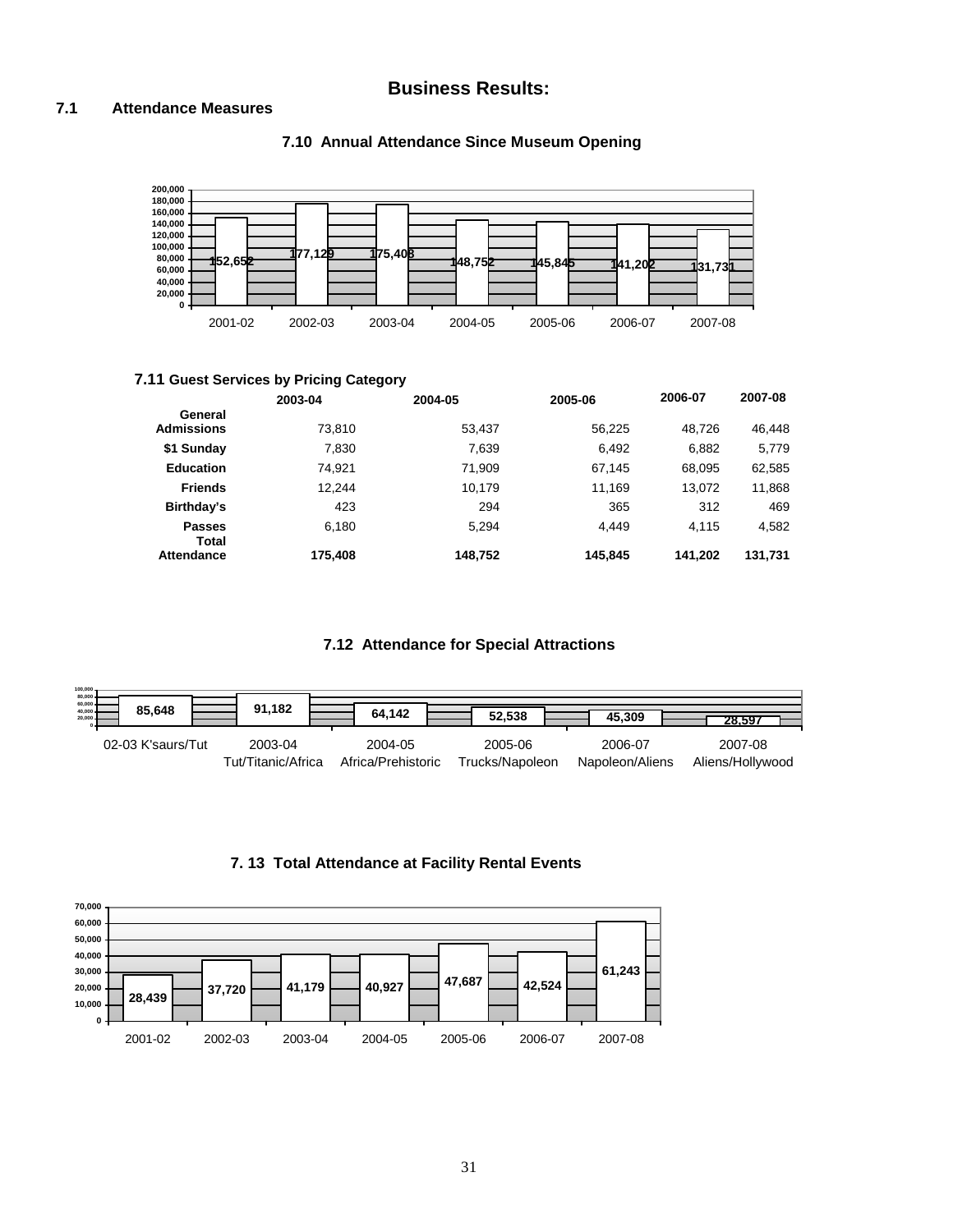### **Business Results:**

#### **7.1 Attendance Measures**



#### **7.10 Annual Attendance Since Museum Opening**

#### **7.11 Guest Services by Pricing Category**

|                              | 2003-04 | 2004-05 | 2005-06 | 2006-07 | 2007-08 |
|------------------------------|---------|---------|---------|---------|---------|
| General<br><b>Admissions</b> | 73.810  | 53.437  | 56,225  | 48.726  | 46,448  |
| \$1 Sunday                   | 7.830   | 7.639   | 6,492   | 6,882   | 5,779   |
| <b>Education</b>             | 74.921  | 71.909  | 67.145  | 68.095  | 62,585  |
| <b>Friends</b>               | 12.244  | 10.179  | 11.169  | 13.072  | 11,868  |
| Birthday's                   | 423     | 294     | 365     | 312     | 469     |
| <b>Passes</b><br>Total       | 6.180   | 5.294   | 4.449   | 4.115   | 4,582   |
| Attendance                   | 175.408 | 148,752 | 145.845 | 141.202 | 131,731 |

#### **7.12 Attendance for Special Attractions**



#### **7. 13 Total Attendance at Facility Rental Events**

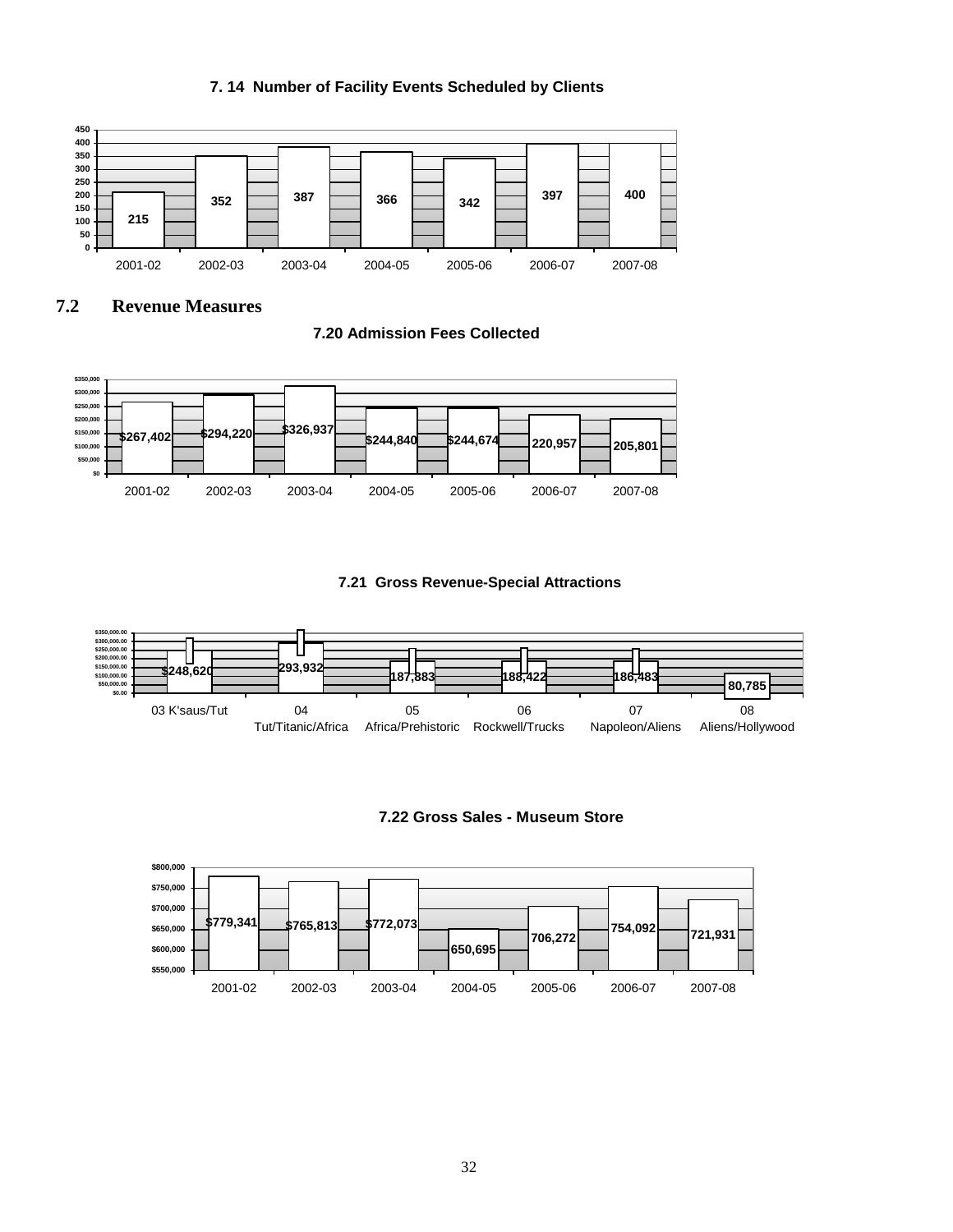#### **7. 14 Number of Facility Events Scheduled by Clients**



#### **7.2 Revenue Measures**

**7.20 Admission Fees Collected** 



#### **7.21 Gross Revenue-Special Attractions**



**7.22 Gross Sales - Museum Store** 

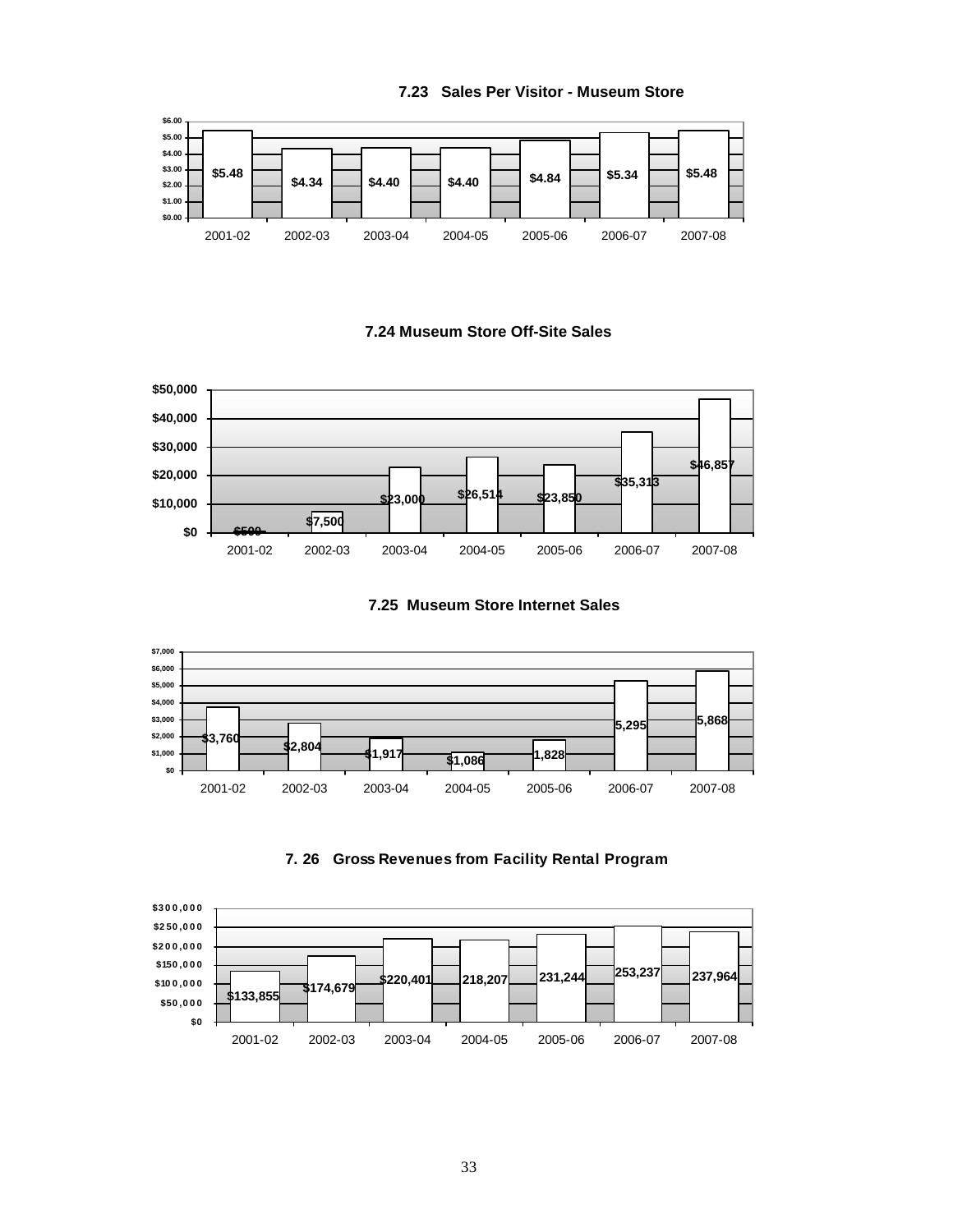

#### **7.24 Museum Store Off-Site Sales**









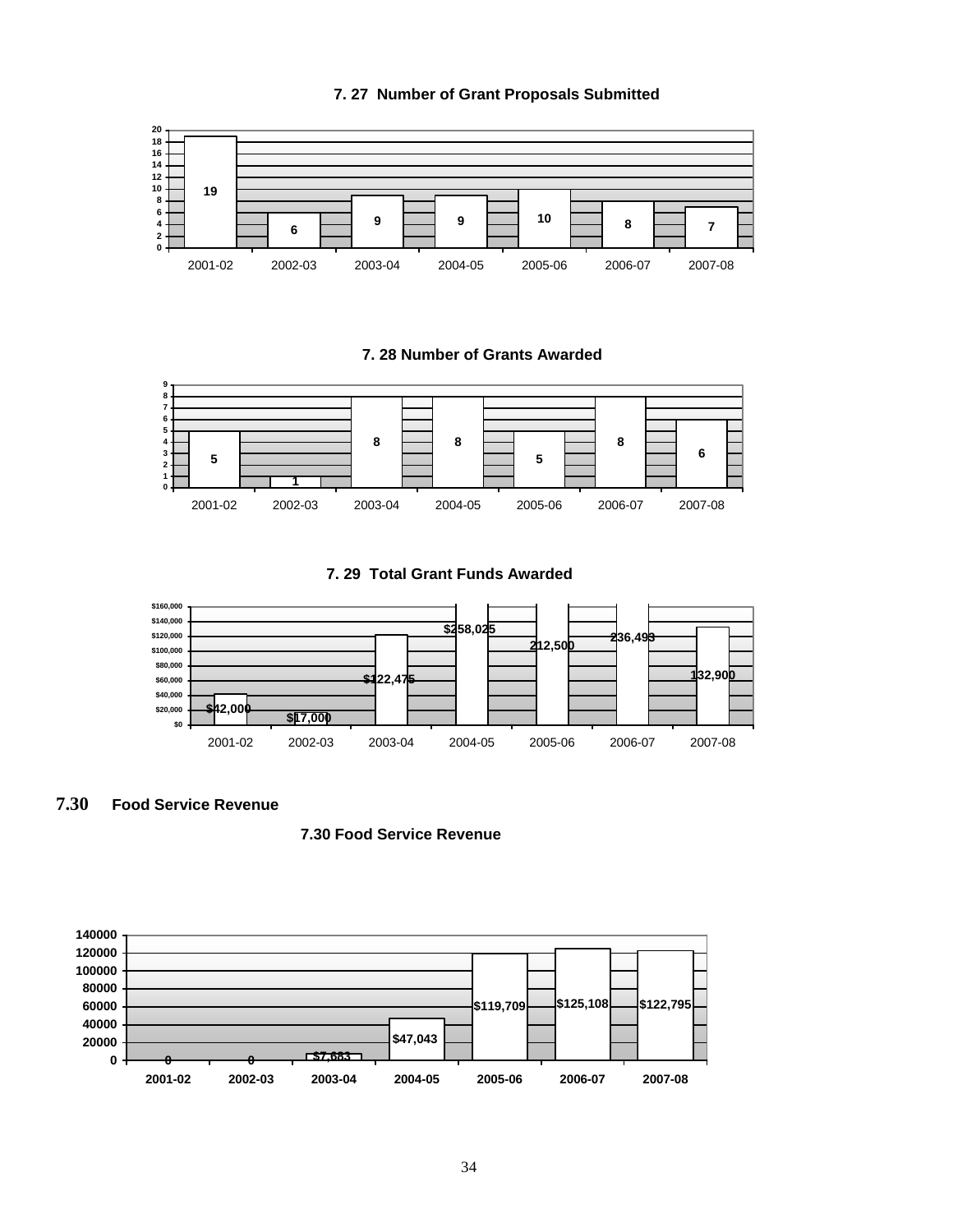

**7. 29 Total Grant Funds Awarded**



**7.30 Food Service Revenue**

#### **7.30 Food Service Revenue**



**7. 27 Number of Grant Proposals Submitted**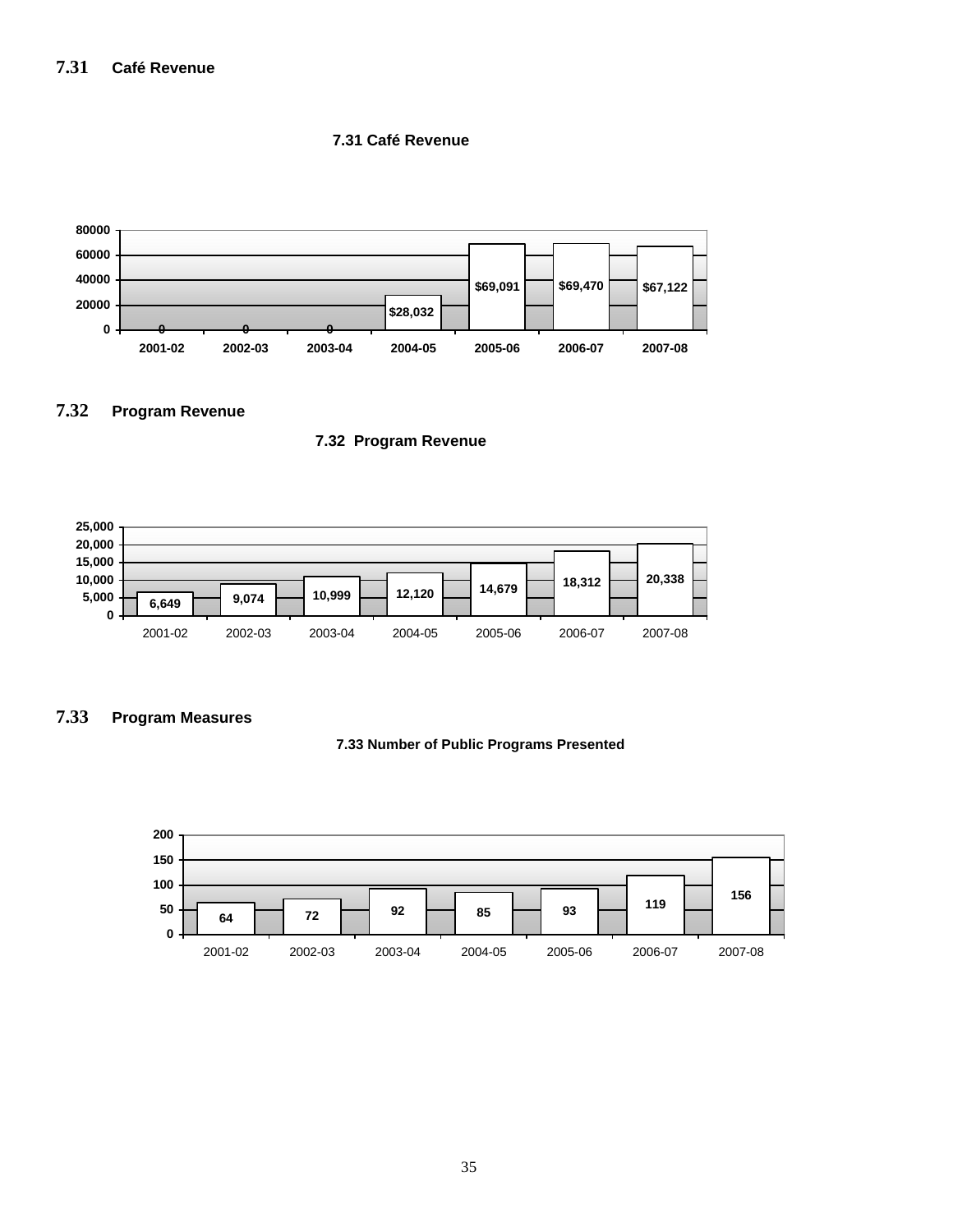#### **7.31 Café Revenue**



#### **7.32 Program Revenue**

#### **7.32 Program Revenue**



#### **7.33 Program Measures**



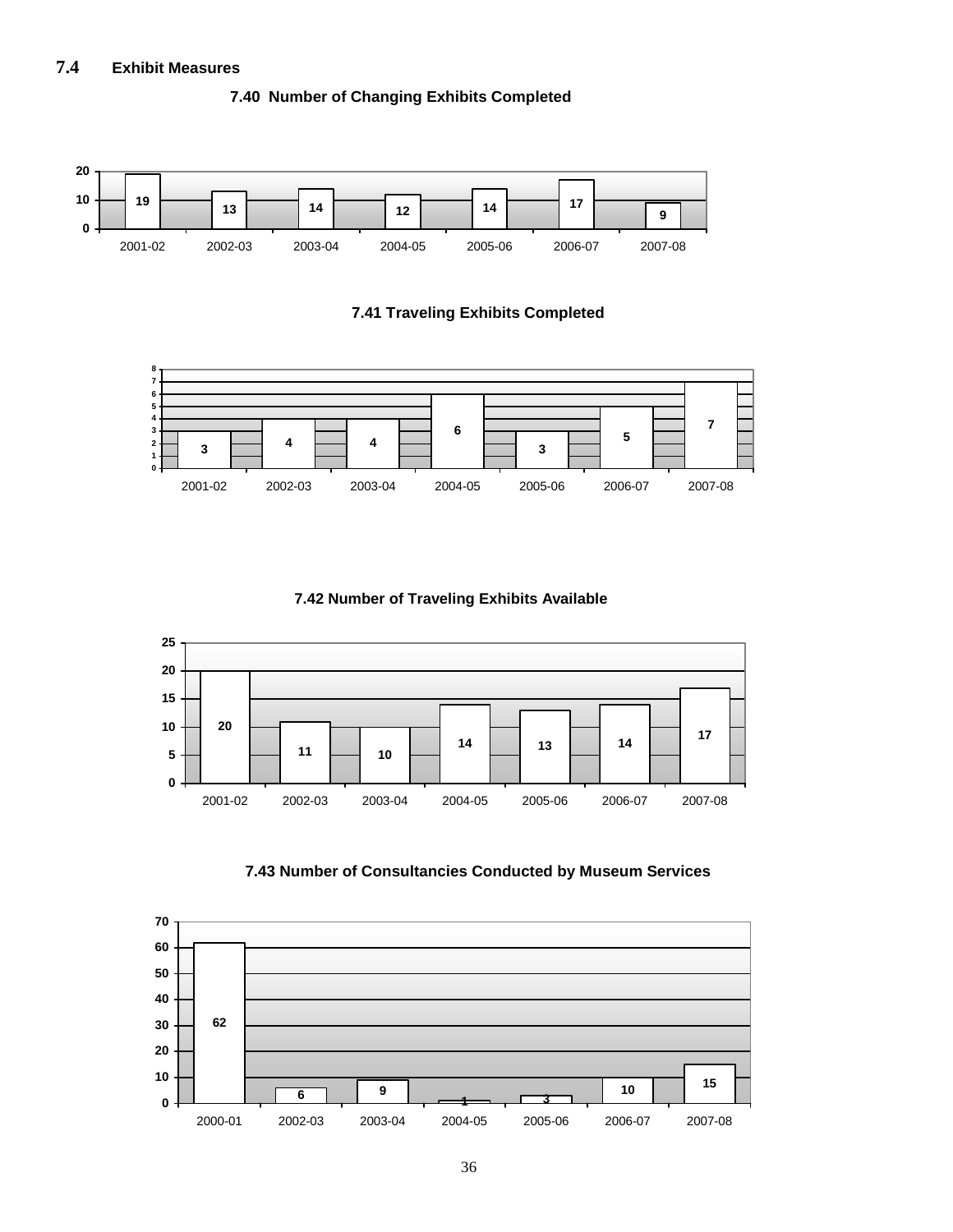#### **7.4 Exhibit Measures**



#### **7.40 Number of Changing Exhibits Completed**

**7.41 Traveling Exhibits Completed**



**7.42 Number of Traveling Exhibits Available**





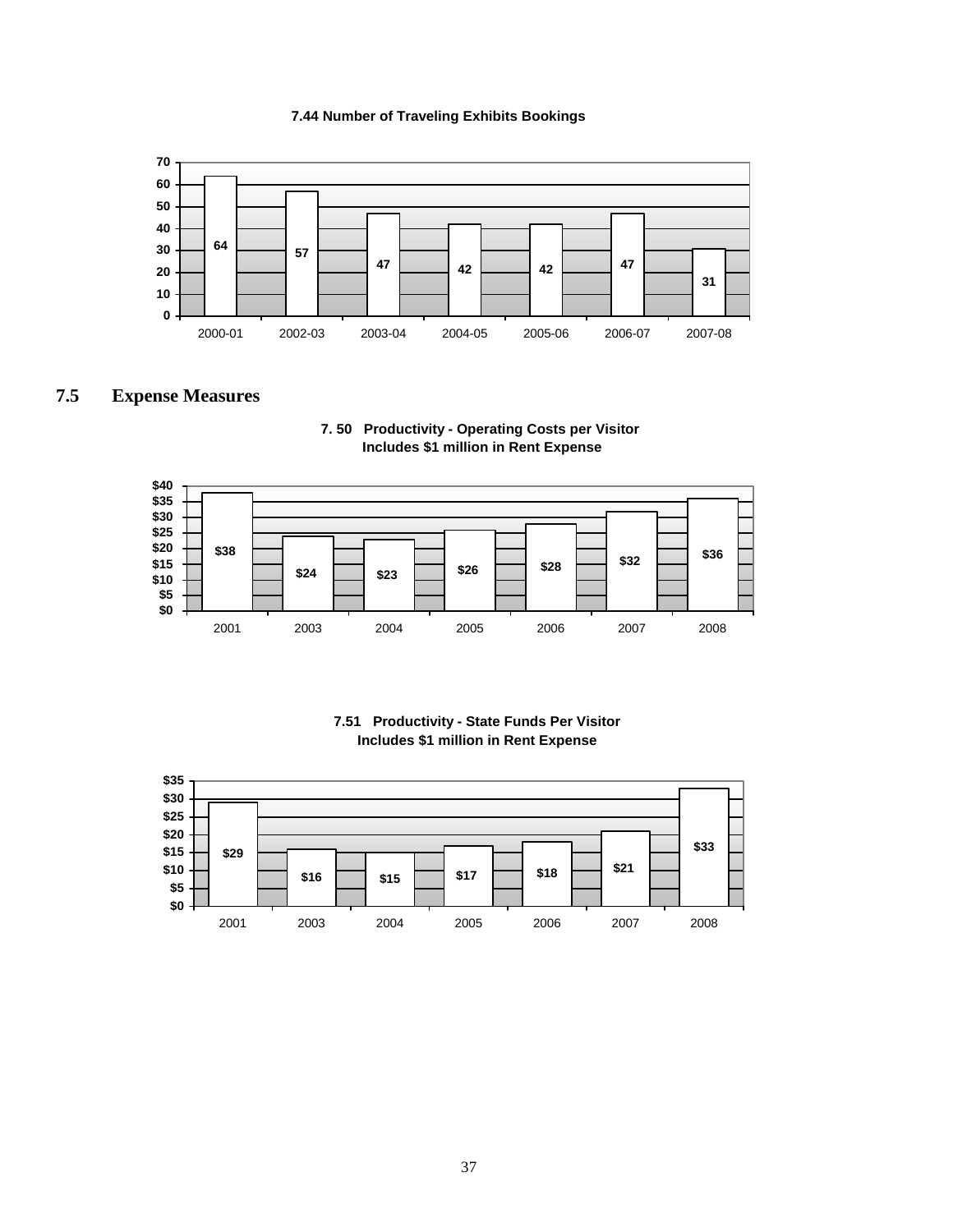#### **7.44 Number of Traveling Exhibits Bookings**



### **7.5 Expense Measures**





#### **7.51 Productivity - State Funds Per Visitor Includes \$1 million in Rent Expense**

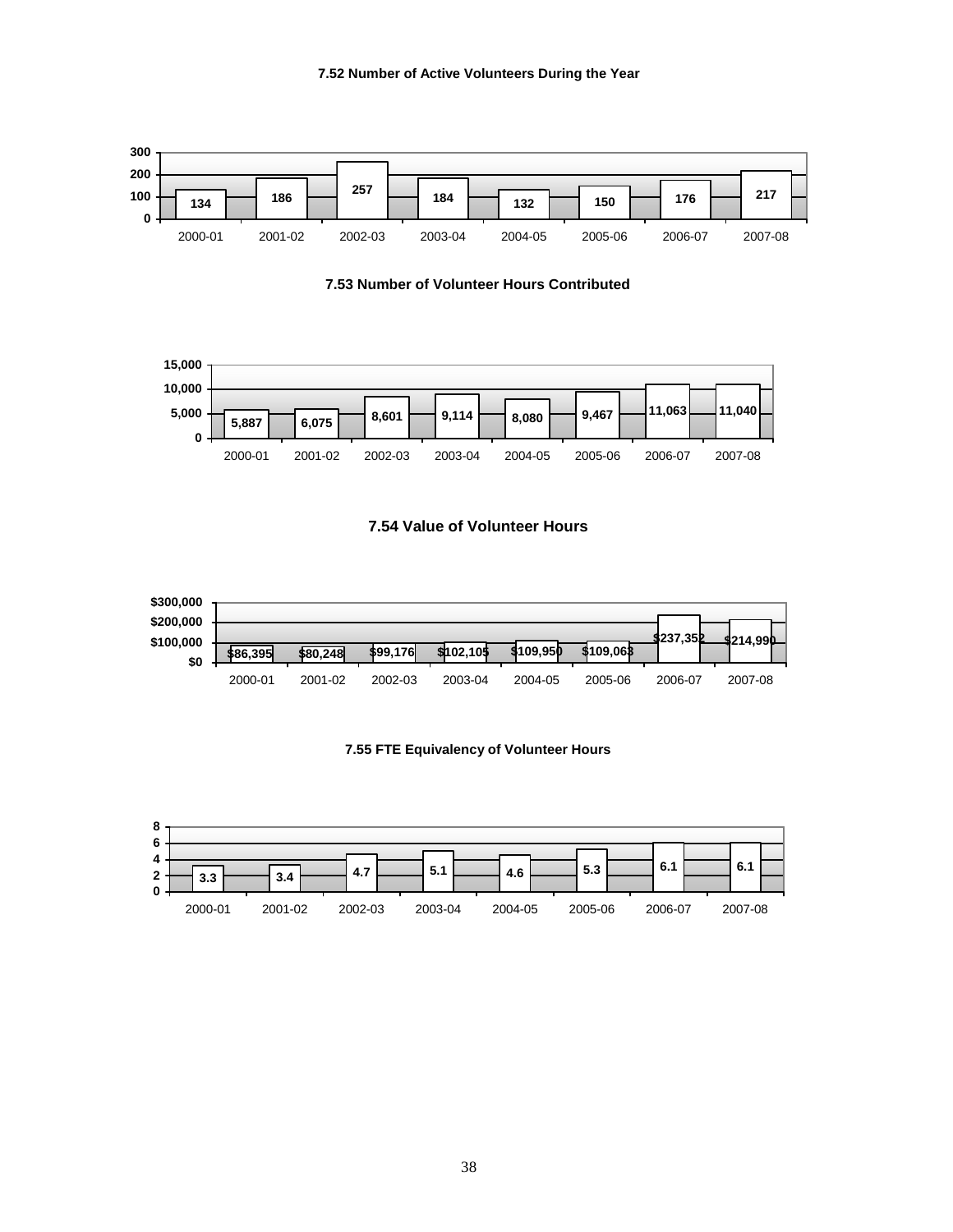

**7.53 Number of Volunteer Hours Contributed**



#### **7.54 Value of Volunteer Hours**



#### **7.55 FTE Equivalency of Volunteer Hours**

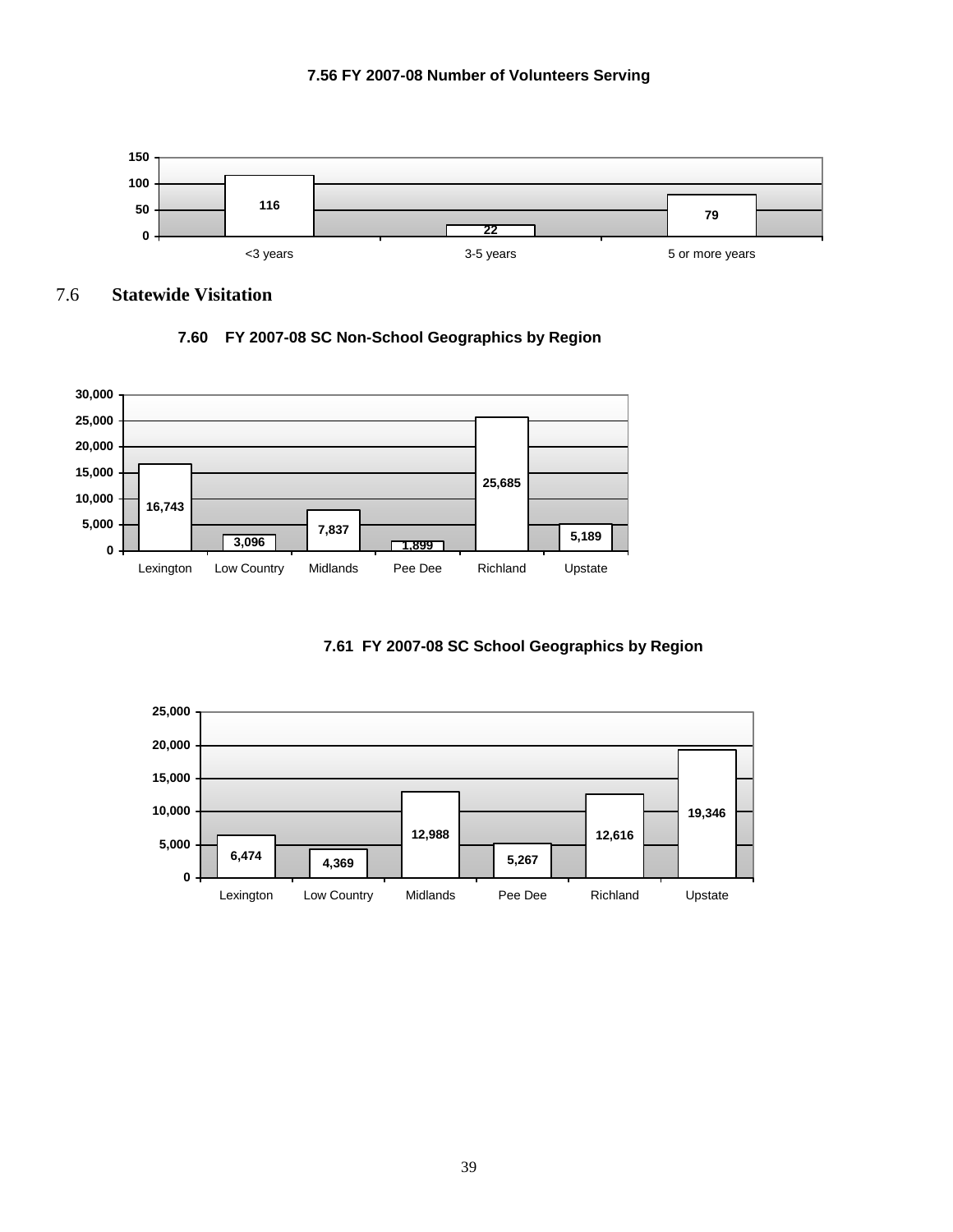



7.6 **Statewide Visitation** 







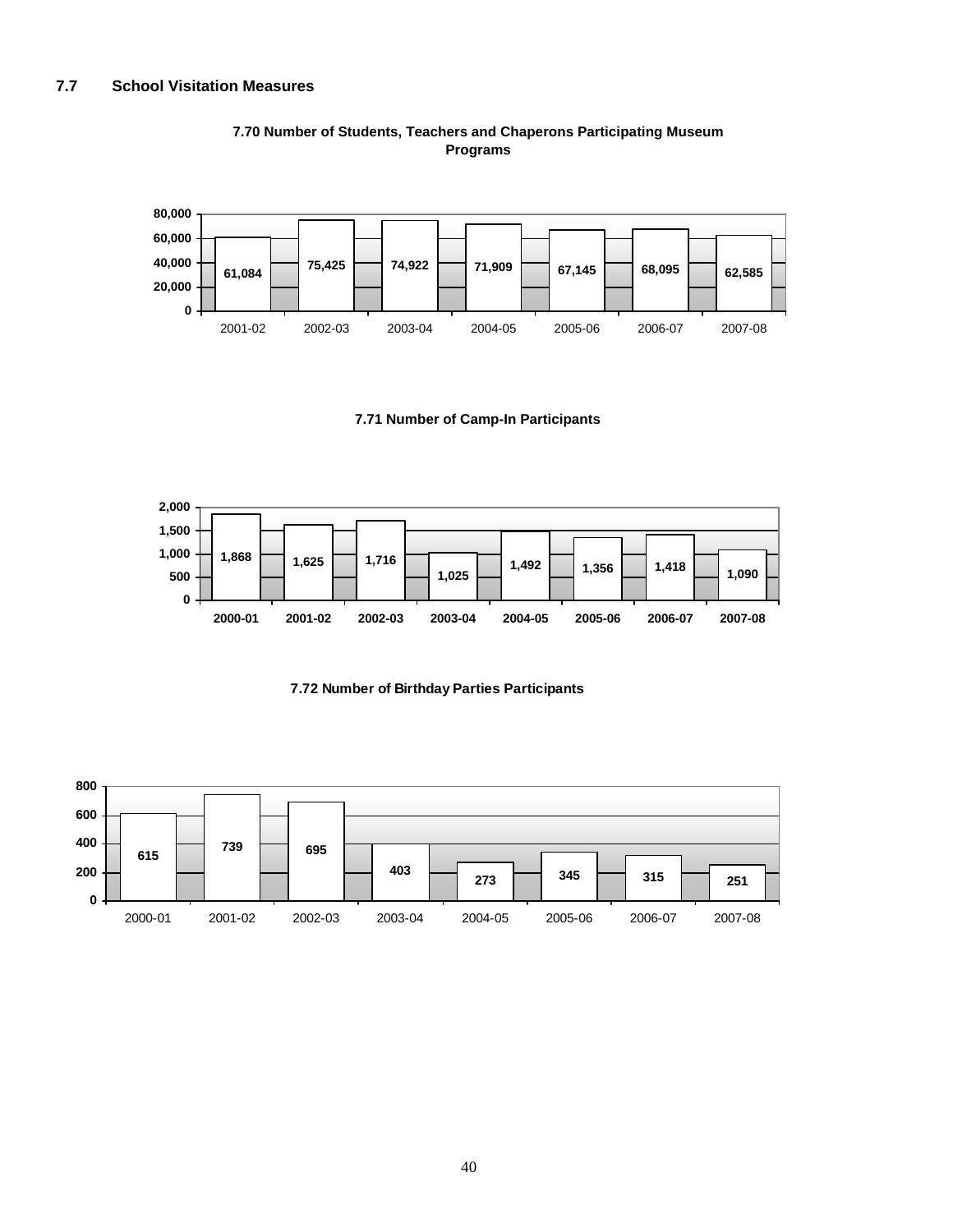

#### **7.70 Number of Students, Teachers and Chaperons Participating Museum Programs**

#### **7.71 Number of Camp-In Participants**





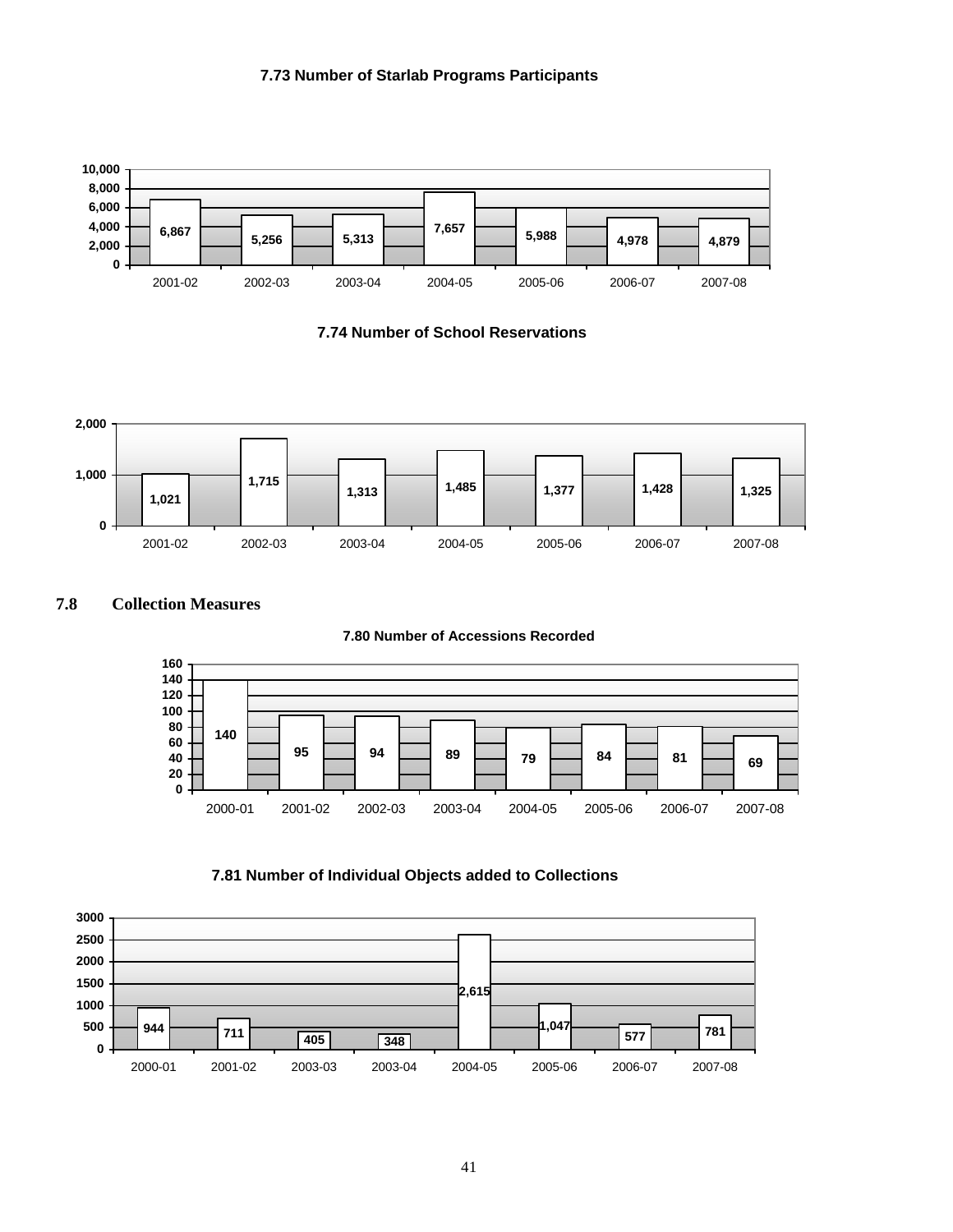#### **7.73 Number of Starlab Programs Participants**



**7.74 Number of School Reservations**



#### **7.8 Collection Measures**